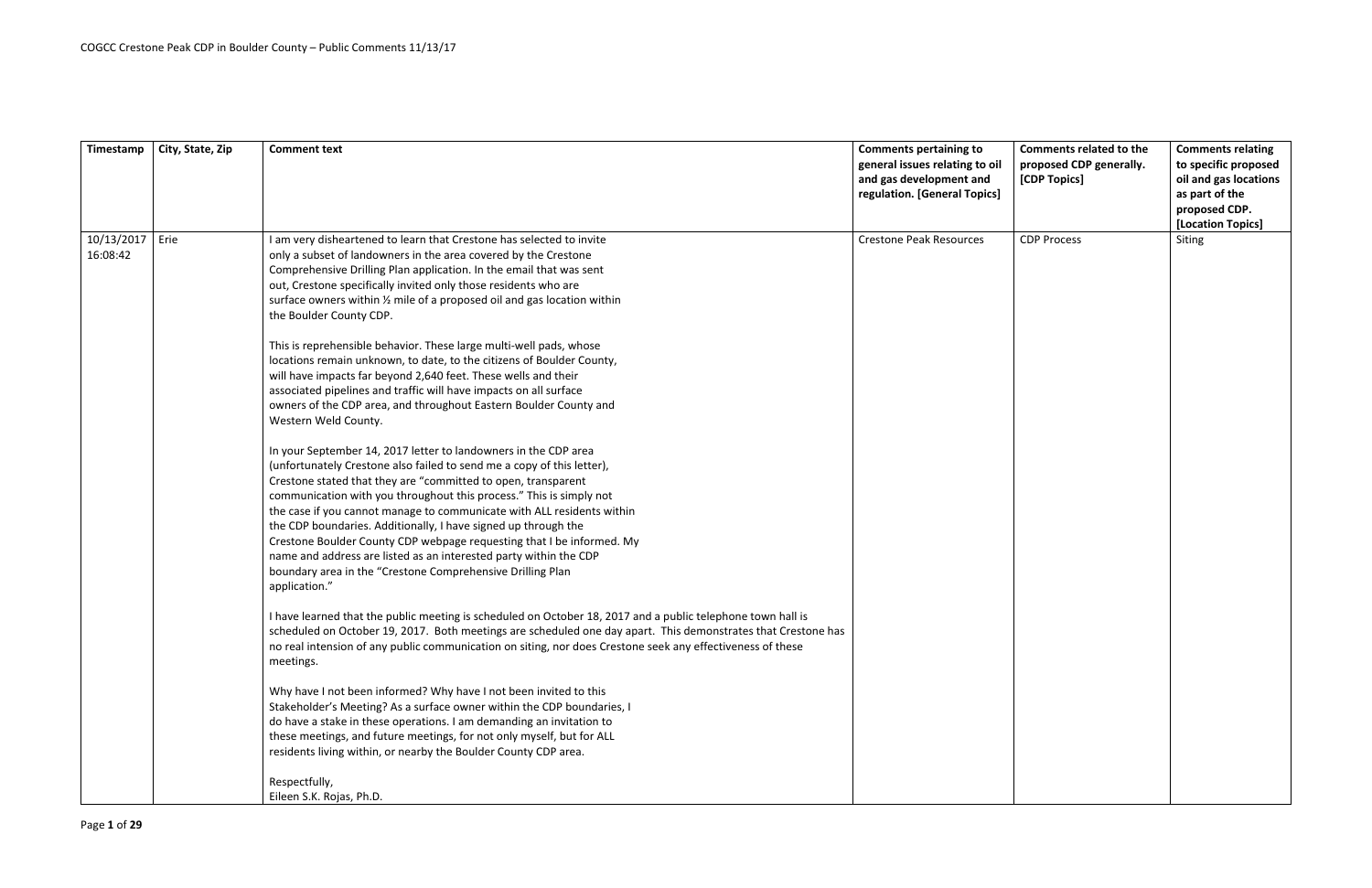|            |                  |                                                                                                               |                                | <b>Comments related to the</b> |                          |
|------------|------------------|---------------------------------------------------------------------------------------------------------------|--------------------------------|--------------------------------|--------------------------|
| Timestamp  | City, State, Zip | <b>Comment text</b>                                                                                           | <b>Comments pertaining to</b>  |                                | <b>Comments relating</b> |
|            |                  |                                                                                                               | general issues relating to oil | proposed CDP generally.        | to specific proposed     |
|            |                  |                                                                                                               | and gas development and        | [CDP Topics]                   | oil and gas locations    |
|            |                  |                                                                                                               | regulation. [General Topics]   |                                | as part of the           |
|            |                  |                                                                                                               |                                |                                | proposed CDP.            |
|            |                  |                                                                                                               |                                |                                | [Location Topics]        |
| 10/13/2017 | Erie             | I am very disheartened to learn that Crestone has selected to invite                                          | <b>Crestone Peak Resources</b> | <b>CDP Process</b>             | Siting                   |
| 16:08:42   |                  | only a subset of landowners in the area covered by the Crestone                                               |                                |                                |                          |
|            |                  | Comprehensive Drilling Plan application. In the email that was sent                                           |                                |                                |                          |
|            |                  | out, Crestone specifically invited only those residents who are                                               |                                |                                |                          |
|            |                  | surface owners within 1/2 mile of a proposed oil and gas location within                                      |                                |                                |                          |
|            |                  | the Boulder County CDP.                                                                                       |                                |                                |                          |
|            |                  | This is reprehensible behavior. These large multi-well pads, whose                                            |                                |                                |                          |
|            |                  | locations remain unknown, to date, to the citizens of Boulder County,                                         |                                |                                |                          |
|            |                  | will have impacts far beyond 2,640 feet. These wells and their                                                |                                |                                |                          |
|            |                  | associated pipelines and traffic will have impacts on all surface                                             |                                |                                |                          |
|            |                  | owners of the CDP area, and throughout Eastern Boulder County and                                             |                                |                                |                          |
|            |                  | Western Weld County.                                                                                          |                                |                                |                          |
|            |                  | In your September 14, 2017 letter to landowners in the CDP area                                               |                                |                                |                          |
|            |                  | (unfortunately Crestone also failed to send me a copy of this letter),                                        |                                |                                |                          |
|            |                  | Crestone stated that they are "committed to open, transparent                                                 |                                |                                |                          |
|            |                  | communication with you throughout this process." This is simply not                                           |                                |                                |                          |
|            |                  | the case if you cannot manage to communicate with ALL residents within                                        |                                |                                |                          |
|            |                  | the CDP boundaries. Additionally, I have signed up through the                                                |                                |                                |                          |
|            |                  | Crestone Boulder County CDP webpage requesting that I be informed. My                                         |                                |                                |                          |
|            |                  | name and address are listed as an interested party within the CDP                                             |                                |                                |                          |
|            |                  | boundary area in the "Crestone Comprehensive Drilling Plan                                                    |                                |                                |                          |
|            |                  | application."                                                                                                 |                                |                                |                          |
|            |                  | I have learned that the public meeting is scheduled on October 18, 2017 and a public telephone town hall is   |                                |                                |                          |
|            |                  | scheduled on October 19, 2017. Both meetings are scheduled one day apart. This demonstrates that Crestone has |                                |                                |                          |
|            |                  | no real intension of any public communication on siting, nor does Crestone seek any effectiveness of these    |                                |                                |                          |
|            |                  | meetings.                                                                                                     |                                |                                |                          |
|            |                  | Why have I not been informed? Why have I not been invited to this                                             |                                |                                |                          |
|            |                  | Stakeholder's Meeting? As a surface owner within the CDP boundaries, I                                        |                                |                                |                          |
|            |                  | do have a stake in these operations. I am demanding an invitation to                                          |                                |                                |                          |
|            |                  | these meetings, and future meetings, for not only myself, but for ALL                                         |                                |                                |                          |
|            |                  | residents living within, or nearby the Boulder County CDP area.                                               |                                |                                |                          |
|            |                  |                                                                                                               |                                |                                |                          |
|            |                  | Respectfully,                                                                                                 |                                |                                |                          |
|            |                  | Eileen S.K. Rojas, Ph.D.                                                                                      |                                |                                |                          |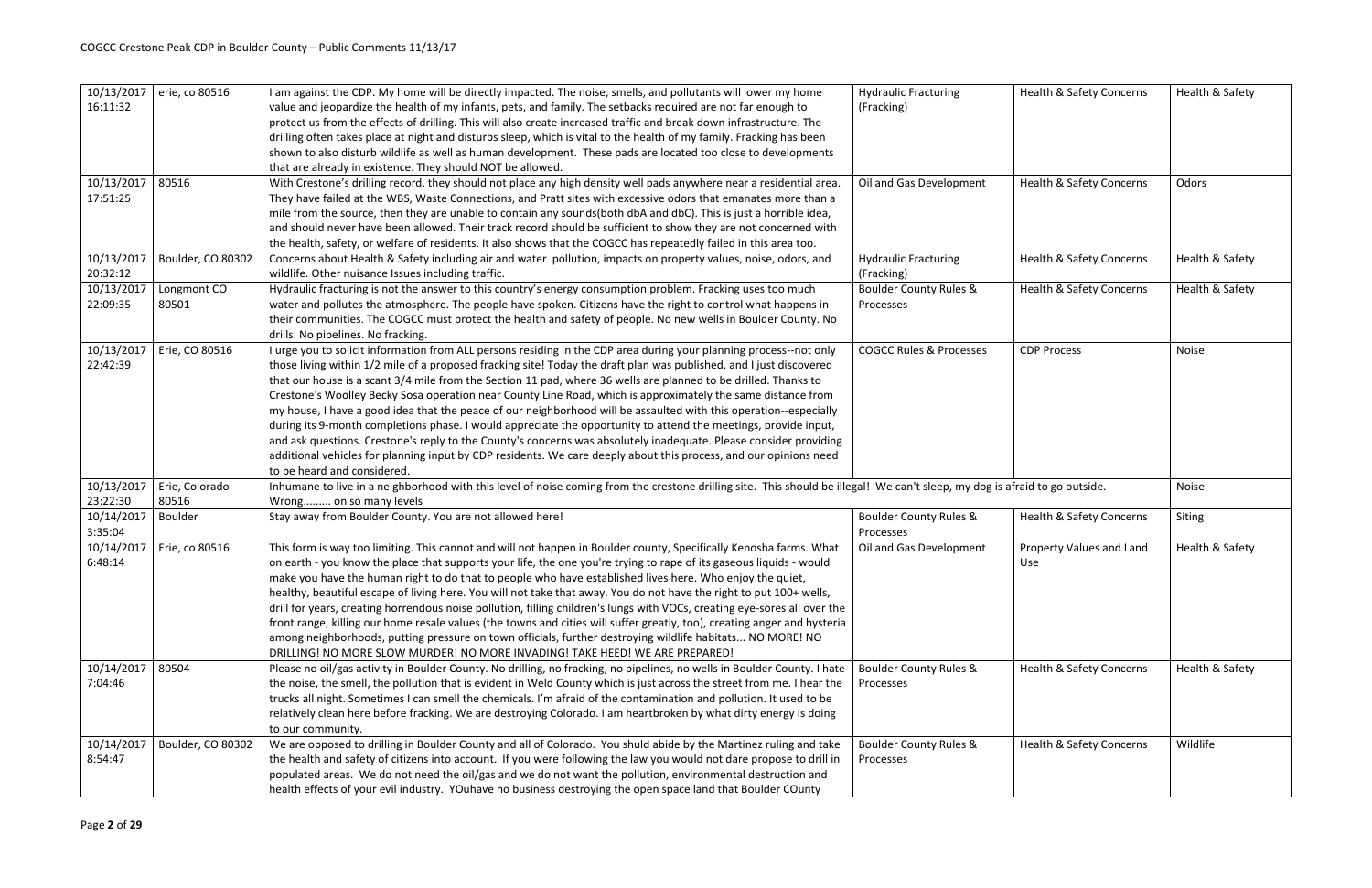| 10/13/2017<br>16:11:32 | erie, co 80516          | I am against the CDP. My home will be directly impacted. The noise, smells, and pollutants will lower my home<br>value and jeopardize the health of my infants, pets, and family. The setbacks required are not far enough to<br>protect us from the effects of drilling. This will also create increased traffic and break down infrastructure. The<br>drilling often takes place at night and disturbs sleep, which is vital to the health of my family. Fracking has been<br>shown to also disturb wildlife as well as human development. These pads are located too close to developments<br>that are already in existence. They should NOT be allowed.                                                                                                                                                                                                                                                                                                                                   | <b>Hydraulic Fracturing</b><br>(Fracking)      | <b>Health &amp; Safety Concerns</b> | Health & Safety |
|------------------------|-------------------------|-----------------------------------------------------------------------------------------------------------------------------------------------------------------------------------------------------------------------------------------------------------------------------------------------------------------------------------------------------------------------------------------------------------------------------------------------------------------------------------------------------------------------------------------------------------------------------------------------------------------------------------------------------------------------------------------------------------------------------------------------------------------------------------------------------------------------------------------------------------------------------------------------------------------------------------------------------------------------------------------------|------------------------------------------------|-------------------------------------|-----------------|
| 10/13/2017<br>17:51:25 | 80516                   | With Crestone's drilling record, they should not place any high density well pads anywhere near a residential area.<br>They have failed at the WBS, Waste Connections, and Pratt sites with excessive odors that emanates more than a<br>mile from the source, then they are unable to contain any sounds(both dbA and dbC). This is just a horrible idea,<br>and should never have been allowed. Their track record should be sufficient to show they are not concerned with<br>the health, safety, or welfare of residents. It also shows that the COGCC has repeatedly failed in this area too.                                                                                                                                                                                                                                                                                                                                                                                            | Oil and Gas Development                        | <b>Health &amp; Safety Concerns</b> | Odors           |
| 10/13/2017<br>20:32:12 | Boulder, CO 80302       | Concerns about Health & Safety including air and water pollution, impacts on property values, noise, odors, and<br>wildlife. Other nuisance Issues including traffic.                                                                                                                                                                                                                                                                                                                                                                                                                                                                                                                                                                                                                                                                                                                                                                                                                         | <b>Hydraulic Fracturing</b><br>(Fracking)      | Health & Safety Concerns            | Health & Safety |
| 10/13/2017<br>22:09:35 | Longmont CO<br>80501    | Hydraulic fracturing is not the answer to this country's energy consumption problem. Fracking uses too much<br>water and pollutes the atmosphere. The people have spoken. Citizens have the right to control what happens in<br>their communities. The COGCC must protect the health and safety of people. No new wells in Boulder County. No<br>drills. No pipelines. No fracking.                                                                                                                                                                                                                                                                                                                                                                                                                                                                                                                                                                                                           | <b>Boulder County Rules &amp;</b><br>Processes | <b>Health &amp; Safety Concerns</b> | Health & Safety |
| 10/13/2017<br>22:42:39 | Erie, CO 80516          | I urge you to solicit information from ALL persons residing in the CDP area during your planning process--not only<br>those living within 1/2 mile of a proposed fracking site! Today the draft plan was published, and I just discovered<br>that our house is a scant 3/4 mile from the Section 11 pad, where 36 wells are planned to be drilled. Thanks to<br>Crestone's Woolley Becky Sosa operation near County Line Road, which is approximately the same distance from<br>my house, I have a good idea that the peace of our neighborhood will be assaulted with this operation--especially<br>during its 9-month completions phase. I would appreciate the opportunity to attend the meetings, provide input,<br>and ask questions. Crestone's reply to the County's concerns was absolutely inadequate. Please consider providing<br>additional vehicles for planning input by CDP residents. We care deeply about this process, and our opinions need<br>to be heard and considered. | <b>COGCC Rules &amp; Processes</b>             | <b>CDP Process</b>                  | Noise           |
| 10/13/2017<br>23:22:30 | Erie, Colorado<br>80516 | Inhumane to live in a neighborhood with this level of noise coming from the crestone drilling site. This should be illegal! We can't sleep, my dog is afraid to go outside.<br>Wrong on so many levels                                                                                                                                                                                                                                                                                                                                                                                                                                                                                                                                                                                                                                                                                                                                                                                        |                                                |                                     | <b>Noise</b>    |
| 10/14/2017<br>3:35:04  | Boulder                 | Stay away from Boulder County. You are not allowed here!                                                                                                                                                                                                                                                                                                                                                                                                                                                                                                                                                                                                                                                                                                                                                                                                                                                                                                                                      | <b>Boulder County Rules &amp;</b><br>Processes | <b>Health &amp; Safety Concerns</b> | Siting          |
| 10/14/2017<br>6:48:14  | Erie, co 80516          | This form is way too limiting. This cannot and will not happen in Boulder county, Specifically Kenosha farms. What<br>on earth - you know the place that supports your life, the one you're trying to rape of its gaseous liquids - would<br>make you have the human right to do that to people who have established lives here. Who enjoy the quiet,<br>healthy, beautiful escape of living here. You will not take that away. You do not have the right to put 100+ wells,<br>drill for years, creating horrendous noise pollution, filling children's lungs with VOCs, creating eye-sores all over the<br>front range, killing our home resale values (the towns and cities will suffer greatly, too), creating anger and hysteria<br>among neighborhoods, putting pressure on town officials, further destroying wildlife habitats NO MORE! NO<br>DRILLING! NO MORE SLOW MURDER! NO MORE INVADING! TAKE HEED! WE ARE PREPARED!                                                            | Oil and Gas Development                        | Property Values and Land<br>Use     | Health & Safety |
| 10/14/2017<br>7:04:46  | 80504                   | Please no oil/gas activity in Boulder County. No drilling, no fracking, no pipelines, no wells in Boulder County. I hate<br>the noise, the smell, the pollution that is evident in Weld County which is just across the street from me. I hear the<br>trucks all night. Sometimes I can smell the chemicals. I'm afraid of the contamination and pollution. It used to be<br>relatively clean here before fracking. We are destroying Colorado. I am heartbroken by what dirty energy is doing<br>to our community.                                                                                                                                                                                                                                                                                                                                                                                                                                                                           | <b>Boulder County Rules &amp;</b><br>Processes | <b>Health &amp; Safety Concerns</b> | Health & Safety |
| 10/14/2017<br>8:54:47  | Boulder, CO 80302       | We are opposed to drilling in Boulder County and all of Colorado. You shuld abide by the Martinez ruling and take<br>the health and safety of citizens into account. If you were following the law you would not dare propose to drill in<br>populated areas. We do not need the oil/gas and we do not want the pollution, environmental destruction and<br>health effects of your evil industry. YOuhave no business destroying the open space land that Boulder COunty                                                                                                                                                                                                                                                                                                                                                                                                                                                                                                                      | <b>Boulder County Rules &amp;</b><br>Processes | <b>Health &amp; Safety Concerns</b> | Wildlife        |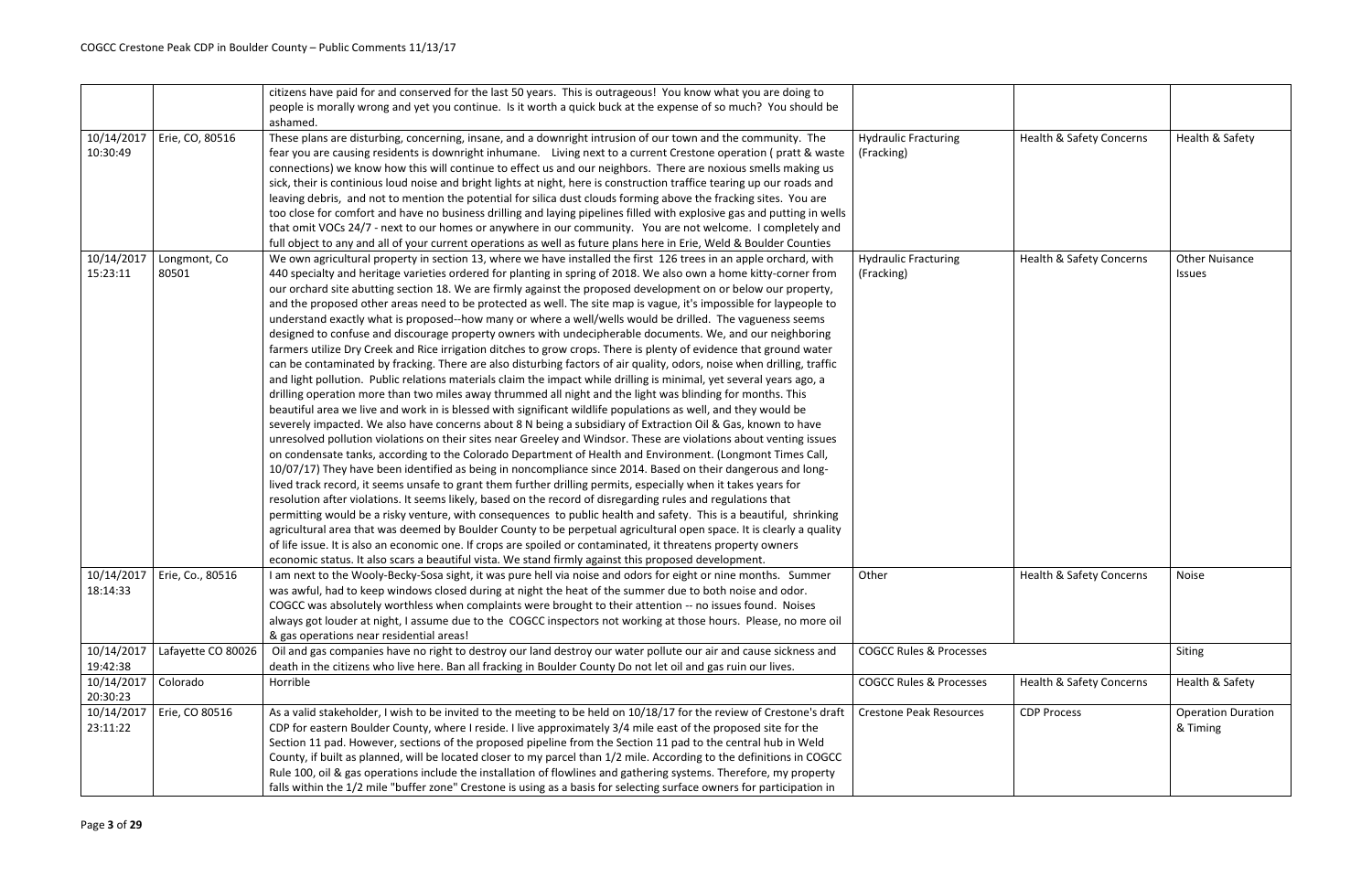|                        |                               | citizens have paid for and conserved for the last 50 years. This is outrageous! You know what you are doing to<br>people is morally wrong and yet you continue. Is it worth a quick buck at the expense of so much? You should be                                                                                                                                                                                                                                                                                                                                                                                                                                                                                                                                                                                                                                                                                                                                                                                                                                                                                                                                                                                                                                                                                                                                                                                                                                                                                                                                                                                                                                                                                                                                                                                                                                                                                                                                                                                                                                                                                                                                                                                                                                                                                                                                                                                                                                                             |                                           |                                     |                                       |
|------------------------|-------------------------------|-----------------------------------------------------------------------------------------------------------------------------------------------------------------------------------------------------------------------------------------------------------------------------------------------------------------------------------------------------------------------------------------------------------------------------------------------------------------------------------------------------------------------------------------------------------------------------------------------------------------------------------------------------------------------------------------------------------------------------------------------------------------------------------------------------------------------------------------------------------------------------------------------------------------------------------------------------------------------------------------------------------------------------------------------------------------------------------------------------------------------------------------------------------------------------------------------------------------------------------------------------------------------------------------------------------------------------------------------------------------------------------------------------------------------------------------------------------------------------------------------------------------------------------------------------------------------------------------------------------------------------------------------------------------------------------------------------------------------------------------------------------------------------------------------------------------------------------------------------------------------------------------------------------------------------------------------------------------------------------------------------------------------------------------------------------------------------------------------------------------------------------------------------------------------------------------------------------------------------------------------------------------------------------------------------------------------------------------------------------------------------------------------------------------------------------------------------------------------------------------------|-------------------------------------------|-------------------------------------|---------------------------------------|
|                        |                               | ashamed.                                                                                                                                                                                                                                                                                                                                                                                                                                                                                                                                                                                                                                                                                                                                                                                                                                                                                                                                                                                                                                                                                                                                                                                                                                                                                                                                                                                                                                                                                                                                                                                                                                                                                                                                                                                                                                                                                                                                                                                                                                                                                                                                                                                                                                                                                                                                                                                                                                                                                      |                                           |                                     |                                       |
| 10/14/2017<br>10:30:49 | Erie, CO, 80516               | These plans are disturbing, concerning, insane, and a downright intrusion of our town and the community. The<br>fear you are causing residents is downright inhumane. Living next to a current Crestone operation (pratt & waste<br>connections) we know how this will continue to effect us and our neighbors. There are noxious smells making us<br>sick, their is continious loud noise and bright lights at night, here is construction traffice tearing up our roads and<br>leaving debris, and not to mention the potential for silica dust clouds forming above the fracking sites. You are                                                                                                                                                                                                                                                                                                                                                                                                                                                                                                                                                                                                                                                                                                                                                                                                                                                                                                                                                                                                                                                                                                                                                                                                                                                                                                                                                                                                                                                                                                                                                                                                                                                                                                                                                                                                                                                                                            | <b>Hydraulic Fracturing</b><br>(Fracking) | <b>Health &amp; Safety Concerns</b> | Health & Safety                       |
|                        |                               | too close for comfort and have no business drilling and laying pipelines filled with explosive gas and putting in wells<br>that omit VOCs 24/7 - next to our homes or anywhere in our community. You are not welcome. I completely and<br>full object to any and all of your current operations as well as future plans here in Erie, Weld & Boulder Counties                                                                                                                                                                                                                                                                                                                                                                                                                                                                                                                                                                                                                                                                                                                                                                                                                                                                                                                                                                                                                                                                                                                                                                                                                                                                                                                                                                                                                                                                                                                                                                                                                                                                                                                                                                                                                                                                                                                                                                                                                                                                                                                                 |                                           |                                     |                                       |
| 10/14/2017<br>15:23:11 | Longmont, Co<br>80501         | We own agricultural property in section 13, where we have installed the first 126 trees in an apple orchard, with<br>440 specialty and heritage varieties ordered for planting in spring of 2018. We also own a home kitty-corner from<br>our orchard site abutting section 18. We are firmly against the proposed development on or below our property,<br>and the proposed other areas need to be protected as well. The site map is vague, it's impossible for laypeople to<br>understand exactly what is proposed--how many or where a well/wells would be drilled. The vagueness seems<br>designed to confuse and discourage property owners with undecipherable documents. We, and our neighboring<br>farmers utilize Dry Creek and Rice irrigation ditches to grow crops. There is plenty of evidence that ground water<br>can be contaminated by fracking. There are also disturbing factors of air quality, odors, noise when drilling, traffic<br>and light pollution. Public relations materials claim the impact while drilling is minimal, yet several years ago, a<br>drilling operation more than two miles away thrummed all night and the light was blinding for months. This<br>beautiful area we live and work in is blessed with significant wildlife populations as well, and they would be<br>severely impacted. We also have concerns about 8 N being a subsidiary of Extraction Oil & Gas, known to have<br>unresolved pollution violations on their sites near Greeley and Windsor. These are violations about venting issues<br>on condensate tanks, according to the Colorado Department of Health and Environment. (Longmont Times Call,<br>10/07/17) They have been identified as being in noncompliance since 2014. Based on their dangerous and long-<br>lived track record, it seems unsafe to grant them further drilling permits, especially when it takes years for<br>resolution after violations. It seems likely, based on the record of disregarding rules and regulations that<br>permitting would be a risky venture, with consequences to public health and safety. This is a beautiful, shrinking<br>agricultural area that was deemed by Boulder County to be perpetual agricultural open space. It is clearly a quality<br>of life issue. It is also an economic one. If crops are spoiled or contaminated, it threatens property owners<br>economic status. It also scars a beautiful vista. We stand firmly against this proposed development. | <b>Hydraulic Fracturing</b><br>(Fracking) | <b>Health &amp; Safety Concerns</b> | <b>Other Nuisance</b><br>Issues       |
| 18:14:33               | 10/14/2017   Erie, Co., 80516 | I am next to the Wooly-Becky-Sosa sight, it was pure hell via noise and odors for eight or nine months. Summer<br>was awful, had to keep windows closed during at night the heat of the summer due to both noise and odor.<br>COGCC was absolutely worthless when complaints were brought to their attention -- no issues found. Noises<br>always got louder at night, I assume due to the COGCC inspectors not working at those hours. Please, no more oil<br>& gas operations near residential areas!                                                                                                                                                                                                                                                                                                                                                                                                                                                                                                                                                                                                                                                                                                                                                                                                                                                                                                                                                                                                                                                                                                                                                                                                                                                                                                                                                                                                                                                                                                                                                                                                                                                                                                                                                                                                                                                                                                                                                                                       | Other                                     | Health & Safety Concerns            | Noise                                 |
| 10/14/2017<br>19:42:38 | Lafayette CO 80026            | Oil and gas companies have no right to destroy our land destroy our water pollute our air and cause sickness and<br>death in the citizens who live here. Ban all fracking in Boulder County Do not let oil and gas ruin our lives.                                                                                                                                                                                                                                                                                                                                                                                                                                                                                                                                                                                                                                                                                                                                                                                                                                                                                                                                                                                                                                                                                                                                                                                                                                                                                                                                                                                                                                                                                                                                                                                                                                                                                                                                                                                                                                                                                                                                                                                                                                                                                                                                                                                                                                                            | <b>COGCC Rules &amp; Processes</b>        |                                     | Siting                                |
| 10/14/2017<br>20:30:23 | Colorado                      | Horrible                                                                                                                                                                                                                                                                                                                                                                                                                                                                                                                                                                                                                                                                                                                                                                                                                                                                                                                                                                                                                                                                                                                                                                                                                                                                                                                                                                                                                                                                                                                                                                                                                                                                                                                                                                                                                                                                                                                                                                                                                                                                                                                                                                                                                                                                                                                                                                                                                                                                                      | <b>COGCC Rules &amp; Processes</b>        | <b>Health &amp; Safety Concerns</b> | Health & Safety                       |
| 10/14/2017<br>23:11:22 | Erie, CO 80516                | As a valid stakeholder, I wish to be invited to the meeting to be held on 10/18/17 for the review of Crestone's draft<br>CDP for eastern Boulder County, where I reside. I live approximately 3/4 mile east of the proposed site for the<br>Section 11 pad. However, sections of the proposed pipeline from the Section 11 pad to the central hub in Weld<br>County, if built as planned, will be located closer to my parcel than 1/2 mile. According to the definitions in COGCC<br>Rule 100, oil & gas operations include the installation of flowlines and gathering systems. Therefore, my property<br>falls within the 1/2 mile "buffer zone" Crestone is using as a basis for selecting surface owners for participation in                                                                                                                                                                                                                                                                                                                                                                                                                                                                                                                                                                                                                                                                                                                                                                                                                                                                                                                                                                                                                                                                                                                                                                                                                                                                                                                                                                                                                                                                                                                                                                                                                                                                                                                                                            | <b>Crestone Peak Resources</b>            | <b>CDP Process</b>                  | <b>Operation Duration</b><br>& Timing |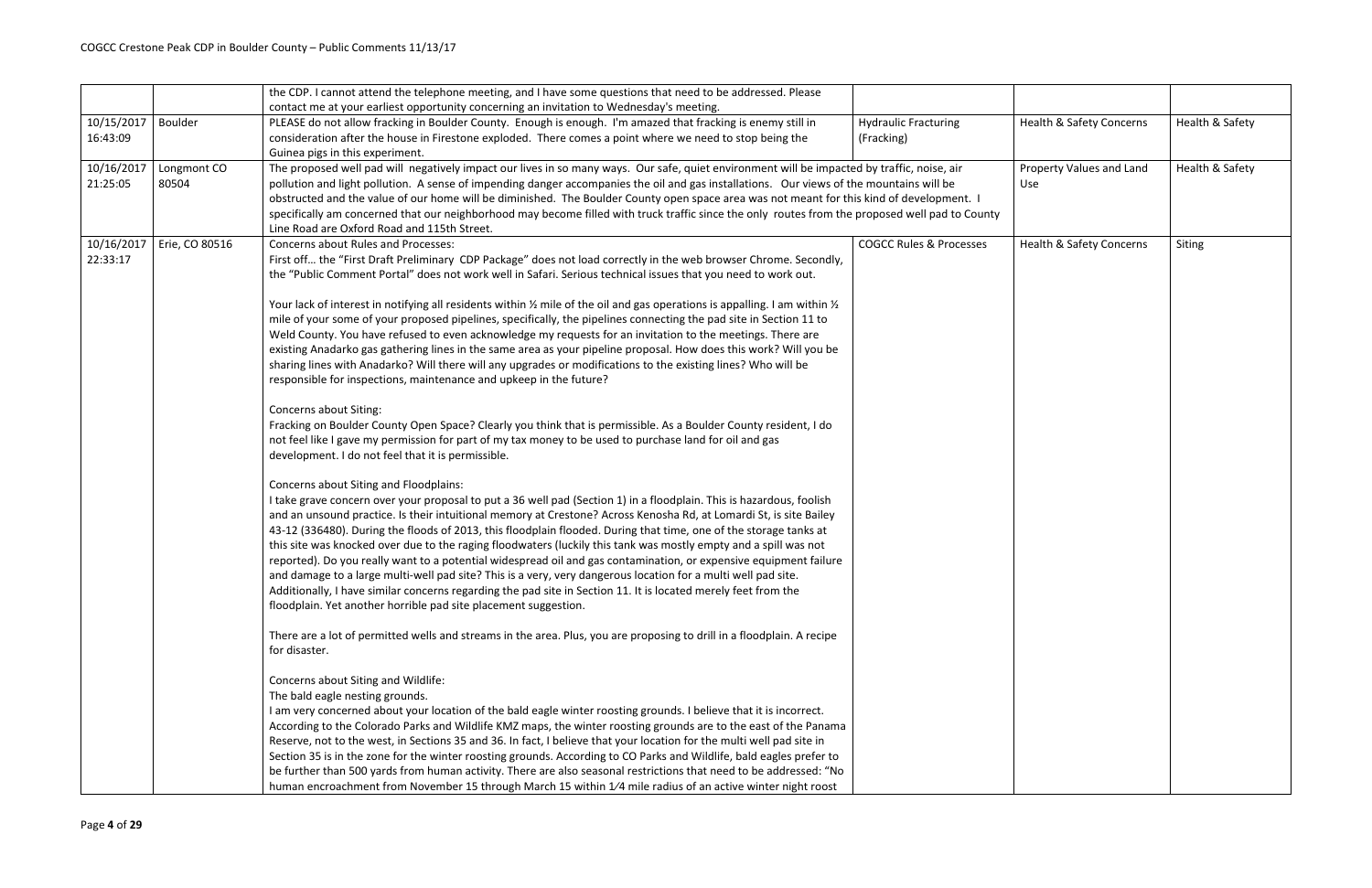|            |                | the CDP. I cannot attend the telephone meeting, and I have some questions that need to be addressed. Please                                      |                                    |                                     |                 |
|------------|----------------|--------------------------------------------------------------------------------------------------------------------------------------------------|------------------------------------|-------------------------------------|-----------------|
|            |                | contact me at your earliest opportunity concerning an invitation to Wednesday's meeting.                                                         |                                    |                                     |                 |
| 10/15/2017 | Boulder        | PLEASE do not allow fracking in Boulder County. Enough is enough. I'm amazed that fracking is enemy still in                                     | <b>Hydraulic Fracturing</b>        | Health & Safety Concerns            | Health & Safety |
| 16:43:09   |                | consideration after the house in Firestone exploded. There comes a point where we need to stop being the                                         | (Fracking)                         |                                     |                 |
|            |                | Guinea pigs in this experiment.                                                                                                                  |                                    |                                     |                 |
| 10/16/2017 | Longmont CO    | The proposed well pad will negatively impact our lives in so many ways. Our safe, quiet environment will be impacted by traffic, noise, air      |                                    | Property Values and Land            | Health & Safety |
| 21:25:05   | 80504          | pollution and light pollution. A sense of impending danger accompanies the oil and gas installations. Our views of the mountains will be         |                                    | <b>Use</b>                          |                 |
|            |                | obstructed and the value of our home will be diminished. The Boulder County open space area was not meant for this kind of development. I        |                                    |                                     |                 |
|            |                | specifically am concerned that our neighborhood may become filled with truck traffic since the only routes from the proposed well pad to County  |                                    |                                     |                 |
|            |                | Line Road are Oxford Road and 115th Street.                                                                                                      |                                    |                                     |                 |
| 10/16/2017 | Erie, CO 80516 | <b>Concerns about Rules and Processes:</b>                                                                                                       | <b>COGCC Rules &amp; Processes</b> | <b>Health &amp; Safety Concerns</b> | Siting          |
| 22:33:17   |                | First off the "First Draft Preliminary CDP Package" does not load correctly in the web browser Chrome. Secondly,                                 |                                    |                                     |                 |
|            |                | the "Public Comment Portal" does not work well in Safari. Serious technical issues that you need to work out.                                    |                                    |                                     |                 |
|            |                | Your lack of interest in notifying all residents within $\frac{1}{2}$ mile of the oil and gas operations is appalling. I am within $\frac{1}{2}$ |                                    |                                     |                 |
|            |                | mile of your some of your proposed pipelines, specifically, the pipelines connecting the pad site in Section 11 to                               |                                    |                                     |                 |
|            |                | Weld County. You have refused to even acknowledge my requests for an invitation to the meetings. There are                                       |                                    |                                     |                 |
|            |                | existing Anadarko gas gathering lines in the same area as your pipeline proposal. How does this work? Will you be                                |                                    |                                     |                 |
|            |                | sharing lines with Anadarko? Will there will any upgrades or modifications to the existing lines? Who will be                                    |                                    |                                     |                 |
|            |                | responsible for inspections, maintenance and upkeep in the future?                                                                               |                                    |                                     |                 |
|            |                |                                                                                                                                                  |                                    |                                     |                 |
|            |                | Concerns about Siting:                                                                                                                           |                                    |                                     |                 |
|            |                | Fracking on Boulder County Open Space? Clearly you think that is permissible. As a Boulder County resident, I do                                 |                                    |                                     |                 |
|            |                | not feel like I gave my permission for part of my tax money to be used to purchase land for oil and gas                                          |                                    |                                     |                 |
|            |                | development. I do not feel that it is permissible.                                                                                               |                                    |                                     |                 |
|            |                | Concerns about Siting and Floodplains:                                                                                                           |                                    |                                     |                 |
|            |                | I take grave concern over your proposal to put a 36 well pad (Section 1) in a floodplain. This is hazardous, foolish                             |                                    |                                     |                 |
|            |                | and an unsound practice. Is their intuitional memory at Crestone? Across Kenosha Rd, at Lomardi St, is site Bailey                               |                                    |                                     |                 |
|            |                | 43-12 (336480). During the floods of 2013, this floodplain flooded. During that time, one of the storage tanks at                                |                                    |                                     |                 |
|            |                | this site was knocked over due to the raging floodwaters (luckily this tank was mostly empty and a spill was not                                 |                                    |                                     |                 |
|            |                | reported). Do you really want to a potential widespread oil and gas contamination, or expensive equipment failure                                |                                    |                                     |                 |
|            |                | and damage to a large multi-well pad site? This is a very, very dangerous location for a multi well pad site.                                    |                                    |                                     |                 |
|            |                | Additionally, I have similar concerns regarding the pad site in Section 11. It is located merely feet from the                                   |                                    |                                     |                 |
|            |                | floodplain. Yet another horrible pad site placement suggestion.                                                                                  |                                    |                                     |                 |
|            |                | There are a lot of permitted wells and streams in the area. Plus, you are proposing to drill in a floodplain. A recipe                           |                                    |                                     |                 |
|            |                | for disaster.                                                                                                                                    |                                    |                                     |                 |
|            |                |                                                                                                                                                  |                                    |                                     |                 |
|            |                | Concerns about Siting and Wildlife:                                                                                                              |                                    |                                     |                 |
|            |                | The bald eagle nesting grounds.                                                                                                                  |                                    |                                     |                 |
|            |                | I am very concerned about your location of the bald eagle winter roosting grounds. I believe that it is incorrect.                               |                                    |                                     |                 |
|            |                | According to the Colorado Parks and Wildlife KMZ maps, the winter roosting grounds are to the east of the Panama                                 |                                    |                                     |                 |
|            |                | Reserve, not to the west, in Sections 35 and 36. In fact, I believe that your location for the multi well pad site in                            |                                    |                                     |                 |
|            |                | Section 35 is in the zone for the winter roosting grounds. According to CO Parks and Wildlife, bald eagles prefer to                             |                                    |                                     |                 |
|            |                | be further than 500 yards from human activity. There are also seasonal restrictions that need to be addressed: "No                               |                                    |                                     |                 |
|            |                | human encroachment from November 15 through March 15 within 1/4 mile radius of an active winter night roost                                      |                                    |                                     |                 |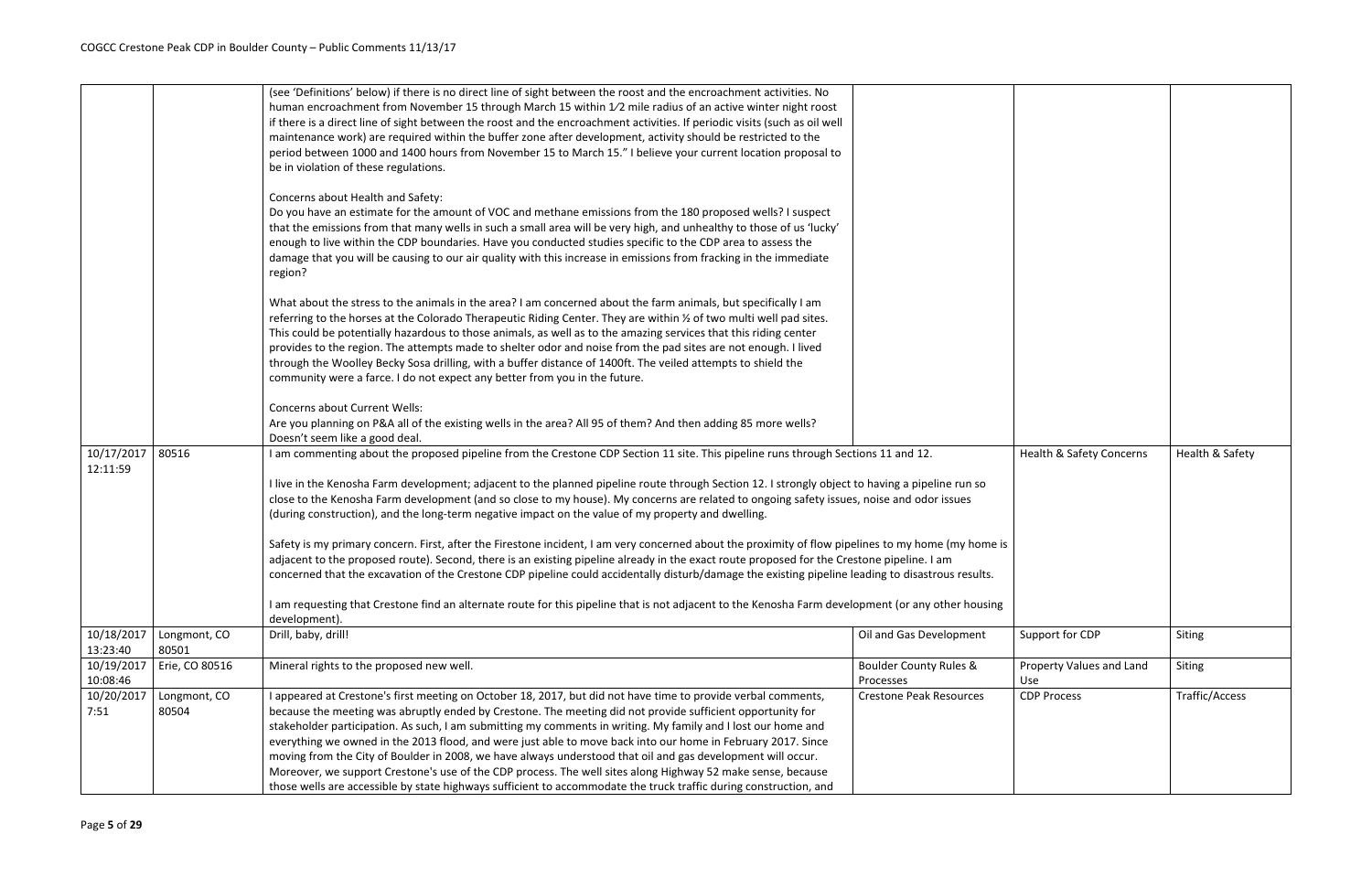|                        |                | (see 'Definitions' below) if there is no direct line of sight between the roost and the encroachment activities. No                                 |                                   |                                     |                 |
|------------------------|----------------|-----------------------------------------------------------------------------------------------------------------------------------------------------|-----------------------------------|-------------------------------------|-----------------|
|                        |                | human encroachment from November 15 through March 15 within 1/2 mile radius of an active winter night roost                                         |                                   |                                     |                 |
|                        |                | if there is a direct line of sight between the roost and the encroachment activities. If periodic visits (such as oil well                          |                                   |                                     |                 |
|                        |                | maintenance work) are required within the buffer zone after development, activity should be restricted to the                                       |                                   |                                     |                 |
|                        |                | period between 1000 and 1400 hours from November 15 to March 15." I believe your current location proposal to                                       |                                   |                                     |                 |
|                        |                | be in violation of these regulations.                                                                                                               |                                   |                                     |                 |
|                        |                | Concerns about Health and Safety:                                                                                                                   |                                   |                                     |                 |
|                        |                | Do you have an estimate for the amount of VOC and methane emissions from the 180 proposed wells? I suspect                                          |                                   |                                     |                 |
|                        |                | that the emissions from that many wells in such a small area will be very high, and unhealthy to those of us 'lucky'                                |                                   |                                     |                 |
|                        |                | enough to live within the CDP boundaries. Have you conducted studies specific to the CDP area to assess the                                         |                                   |                                     |                 |
|                        |                | damage that you will be causing to our air quality with this increase in emissions from fracking in the immediate                                   |                                   |                                     |                 |
|                        |                | region?                                                                                                                                             |                                   |                                     |                 |
|                        |                |                                                                                                                                                     |                                   |                                     |                 |
|                        |                | What about the stress to the animals in the area? I am concerned about the farm animals, but specifically I am                                      |                                   |                                     |                 |
|                        |                | referring to the horses at the Colorado Therapeutic Riding Center. They are within 1/2 of two multi well pad sites.                                 |                                   |                                     |                 |
|                        |                | This could be potentially hazardous to those animals, as well as to the amazing services that this riding center                                    |                                   |                                     |                 |
|                        |                | provides to the region. The attempts made to shelter odor and noise from the pad sites are not enough. I lived                                      |                                   |                                     |                 |
|                        |                | through the Woolley Becky Sosa drilling, with a buffer distance of 1400ft. The veiled attempts to shield the                                        |                                   |                                     |                 |
|                        |                | community were a farce. I do not expect any better from you in the future.                                                                          |                                   |                                     |                 |
|                        |                |                                                                                                                                                     |                                   |                                     |                 |
|                        |                | <b>Concerns about Current Wells:</b>                                                                                                                |                                   |                                     |                 |
|                        |                | Are you planning on P&A all of the existing wells in the area? All 95 of them? And then adding 85 more wells?                                       |                                   |                                     |                 |
|                        |                | Doesn't seem like a good deal.                                                                                                                      |                                   |                                     |                 |
| 10/17/2017<br>12:11:59 | 80516          | I am commenting about the proposed pipeline from the Crestone CDP Section 11 site. This pipeline runs through Sections 11 and 12.                   |                                   | <b>Health &amp; Safety Concerns</b> | Health & Safety |
|                        |                | I live in the Kenosha Farm development; adjacent to the planned pipeline route through Section 12. I strongly object to having a pipeline run so    |                                   |                                     |                 |
|                        |                | close to the Kenosha Farm development (and so close to my house). My concerns are related to ongoing safety issues, noise and odor issues           |                                   |                                     |                 |
|                        |                | (during construction), and the long-term negative impact on the value of my property and dwelling.                                                  |                                   |                                     |                 |
|                        |                |                                                                                                                                                     |                                   |                                     |                 |
|                        |                | Safety is my primary concern. First, after the Firestone incident, I am very concerned about the proximity of flow pipelines to my home (my home is |                                   |                                     |                 |
|                        |                | adjacent to the proposed route). Second, there is an existing pipeline already in the exact route proposed for the Crestone pipeline. I am          |                                   |                                     |                 |
|                        |                | concerned that the excavation of the Crestone CDP pipeline could accidentally disturb/damage the existing pipeline leading to disastrous results.   |                                   |                                     |                 |
|                        |                |                                                                                                                                                     |                                   |                                     |                 |
|                        |                | I am requesting that Crestone find an alternate route for this pipeline that is not adjacent to the Kenosha Farm development (or any other housing  |                                   |                                     |                 |
|                        |                | development).                                                                                                                                       |                                   |                                     |                 |
| 10/18/2017             | Longmont, CO   | Drill, baby, drill!                                                                                                                                 | Oil and Gas Development           | Support for CDP                     | Siting          |
| 13:23:40               | 80501          |                                                                                                                                                     |                                   |                                     |                 |
| 10/19/2017             | Erie, CO 80516 | Mineral rights to the proposed new well.                                                                                                            | <b>Boulder County Rules &amp;</b> | Property Values and Land            | Siting          |
| 10:08:46               |                |                                                                                                                                                     | Processes                         | Use                                 |                 |
| 10/20/2017             | Longmont, CO   | I appeared at Crestone's first meeting on October 18, 2017, but did not have time to provide verbal comments,                                       | <b>Crestone Peak Resources</b>    | <b>CDP Process</b>                  | Traffic/Access  |
| 7:51                   | 80504          | because the meeting was abruptly ended by Crestone. The meeting did not provide sufficient opportunity for                                          |                                   |                                     |                 |
|                        |                | stakeholder participation. As such, I am submitting my comments in writing. My family and I lost our home and                                       |                                   |                                     |                 |
|                        |                | everything we owned in the 2013 flood, and were just able to move back into our home in February 2017. Since                                        |                                   |                                     |                 |
|                        |                | moving from the City of Boulder in 2008, we have always understood that oil and gas development will occur.                                         |                                   |                                     |                 |
|                        |                | Moreover, we support Crestone's use of the CDP process. The well sites along Highway 52 make sense, because                                         |                                   |                                     |                 |
|                        |                | those wells are accessible by state highways sufficient to accommodate the truck traffic during construction, and                                   |                                   |                                     |                 |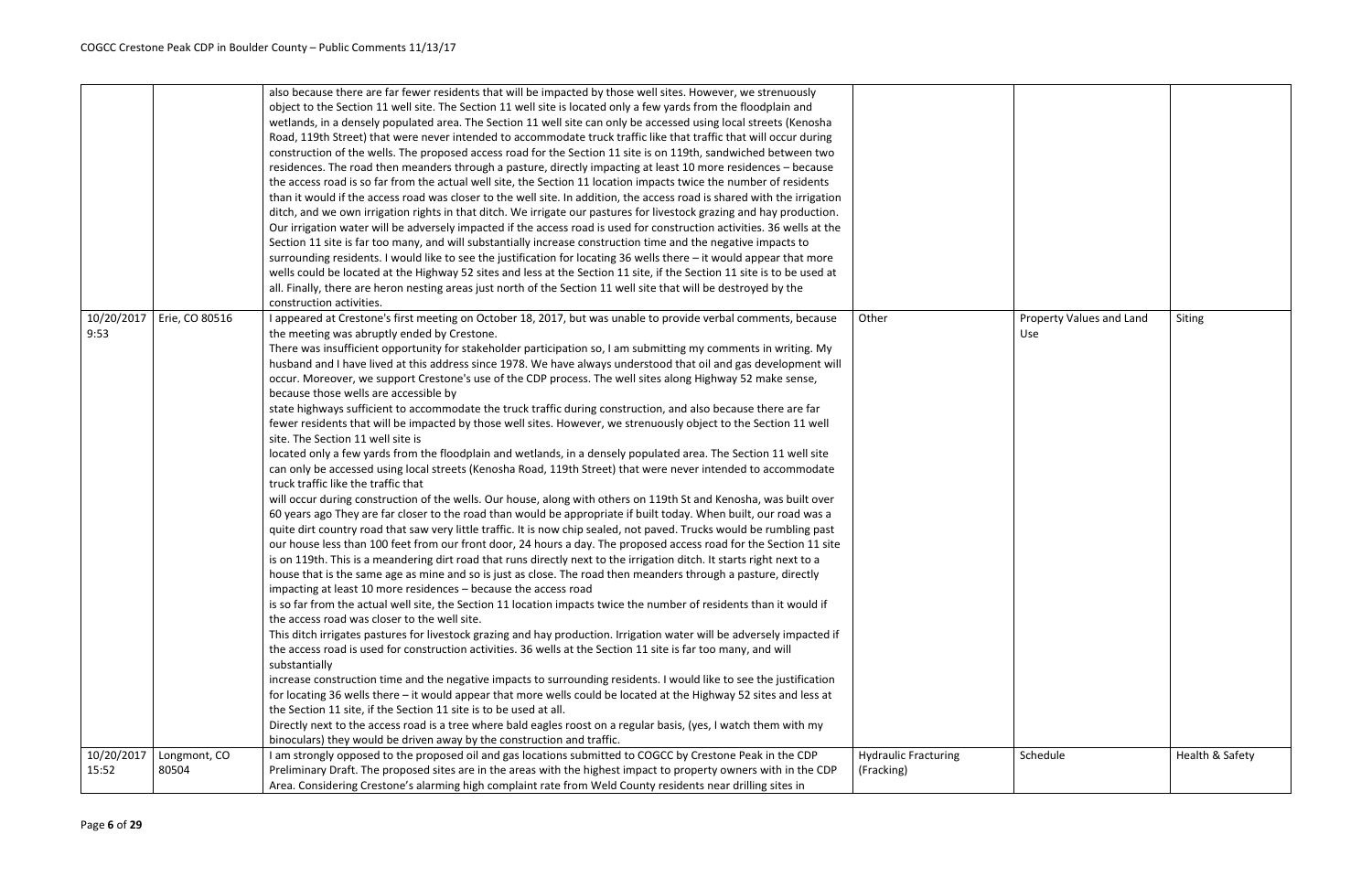|                     |                       | also because there are far fewer residents that will be impacted by those well sites. However, we strenuously<br>object to the Section 11 well site. The Section 11 well site is located only a few yards from the floodplain and<br>wetlands, in a densely populated area. The Section 11 well site can only be accessed using local streets (Kenosha<br>Road, 119th Street) that were never intended to accommodate truck traffic like that traffic that will occur during<br>construction of the wells. The proposed access road for the Section 11 site is on 119th, sandwiched between two<br>residences. The road then meanders through a pasture, directly impacting at least 10 more residences - because<br>the access road is so far from the actual well site, the Section 11 location impacts twice the number of residents<br>than it would if the access road was closer to the well site. In addition, the access road is shared with the irrigation<br>ditch, and we own irrigation rights in that ditch. We irrigate our pastures for livestock grazing and hay production.<br>Our irrigation water will be adversely impacted if the access road is used for construction activities. 36 wells at the<br>Section 11 site is far too many, and will substantially increase construction time and the negative impacts to<br>surrounding residents. I would like to see the justification for locating 36 wells there - it would appear that more<br>wells could be located at the Highway 52 sites and less at the Section 11 site, if the Section 11 site is to be used at<br>all. Finally, there are heron nesting areas just north of the Section 11 well site that will be destroyed by the<br>construction activities.                                                                                                                                                                                                                                                                                                                                                                                                                                                                                                                                                                                                                                                                                                                                                                                                                                                                                                                                                                                                                                                                                                                                    |                                           |
|---------------------|-----------------------|---------------------------------------------------------------------------------------------------------------------------------------------------------------------------------------------------------------------------------------------------------------------------------------------------------------------------------------------------------------------------------------------------------------------------------------------------------------------------------------------------------------------------------------------------------------------------------------------------------------------------------------------------------------------------------------------------------------------------------------------------------------------------------------------------------------------------------------------------------------------------------------------------------------------------------------------------------------------------------------------------------------------------------------------------------------------------------------------------------------------------------------------------------------------------------------------------------------------------------------------------------------------------------------------------------------------------------------------------------------------------------------------------------------------------------------------------------------------------------------------------------------------------------------------------------------------------------------------------------------------------------------------------------------------------------------------------------------------------------------------------------------------------------------------------------------------------------------------------------------------------------------------------------------------------------------------------------------------------------------------------------------------------------------------------------------------------------------------------------------------------------------------------------------------------------------------------------------------------------------------------------------------------------------------------------------------------------------------------------------------------------------------------------------------------------------------------------------------------------------------------------------------------------------------------------------------------------------------------------------------------------------------------------------------------------------------------------------------------------------------------------------------------------------------------------------------------------------------------------------------------------|-------------------------------------------|
| 10/20/2017<br>9:53  | Erie, CO 80516        | I appeared at Crestone's first meeting on October 18, 2017, but was unable to provide verbal comments, because<br>the meeting was abruptly ended by Crestone.<br>There was insufficient opportunity for stakeholder participation so, I am submitting my comments in writing. My<br>husband and I have lived at this address since 1978. We have always understood that oil and gas development will<br>occur. Moreover, we support Crestone's use of the CDP process. The well sites along Highway 52 make sense,<br>because those wells are accessible by<br>state highways sufficient to accommodate the truck traffic during construction, and also because there are far<br>fewer residents that will be impacted by those well sites. However, we strenuously object to the Section 11 well<br>site. The Section 11 well site is<br>located only a few yards from the floodplain and wetlands, in a densely populated area. The Section 11 well site<br>can only be accessed using local streets (Kenosha Road, 119th Street) that were never intended to accommodate<br>truck traffic like the traffic that<br>will occur during construction of the wells. Our house, along with others on 119th St and Kenosha, was built over<br>60 years ago They are far closer to the road than would be appropriate if built today. When built, our road was a<br>quite dirt country road that saw very little traffic. It is now chip sealed, not paved. Trucks would be rumbling past<br>our house less than 100 feet from our front door, 24 hours a day. The proposed access road for the Section 11 site<br>is on 119th. This is a meandering dirt road that runs directly next to the irrigation ditch. It starts right next to a<br>house that is the same age as mine and so is just as close. The road then meanders through a pasture, directly<br>impacting at least 10 more residences - because the access road<br>is so far from the actual well site, the Section 11 location impacts twice the number of residents than it would if<br>the access road was closer to the well site.<br>This ditch irrigates pastures for livestock grazing and hay production. Irrigation water will be adversely impacted if<br>the access road is used for construction activities. 36 wells at the Section 11 site is far too many, and will<br>substantially<br>increase construction time and the negative impacts to surrounding residents. I would like to see the justification<br>for locating 36 wells there - it would appear that more wells could be located at the Highway 52 sites and less at<br>the Section 11 site, if the Section 11 site is to be used at all.<br>Directly next to the access road is a tree where bald eagles roost on a regular basis, (yes, I watch them with my<br>binoculars) they would be driven away by the construction and traffic. | Other                                     |
| 10/20/2017<br>15:52 | Longmont, CO<br>80504 | I am strongly opposed to the proposed oil and gas locations submitted to COGCC by Crestone Peak in the CDP<br>Preliminary Draft. The proposed sites are in the areas with the highest impact to property owners with in the CDP<br>Area. Considering Crestone's alarming high complaint rate from Weld County residents near drilling sites in                                                                                                                                                                                                                                                                                                                                                                                                                                                                                                                                                                                                                                                                                                                                                                                                                                                                                                                                                                                                                                                                                                                                                                                                                                                                                                                                                                                                                                                                                                                                                                                                                                                                                                                                                                                                                                                                                                                                                                                                                                                                                                                                                                                                                                                                                                                                                                                                                                                                                                                                  | <b>Hydraulic Fracturing</b><br>(Fracking) |

| Other                                     | <b>Property Values and Land</b><br>Use | Siting          |
|-------------------------------------------|----------------------------------------|-----------------|
| <b>Hydraulic Fracturing</b><br>(Fracking) | Schedule                               | Health & Safety |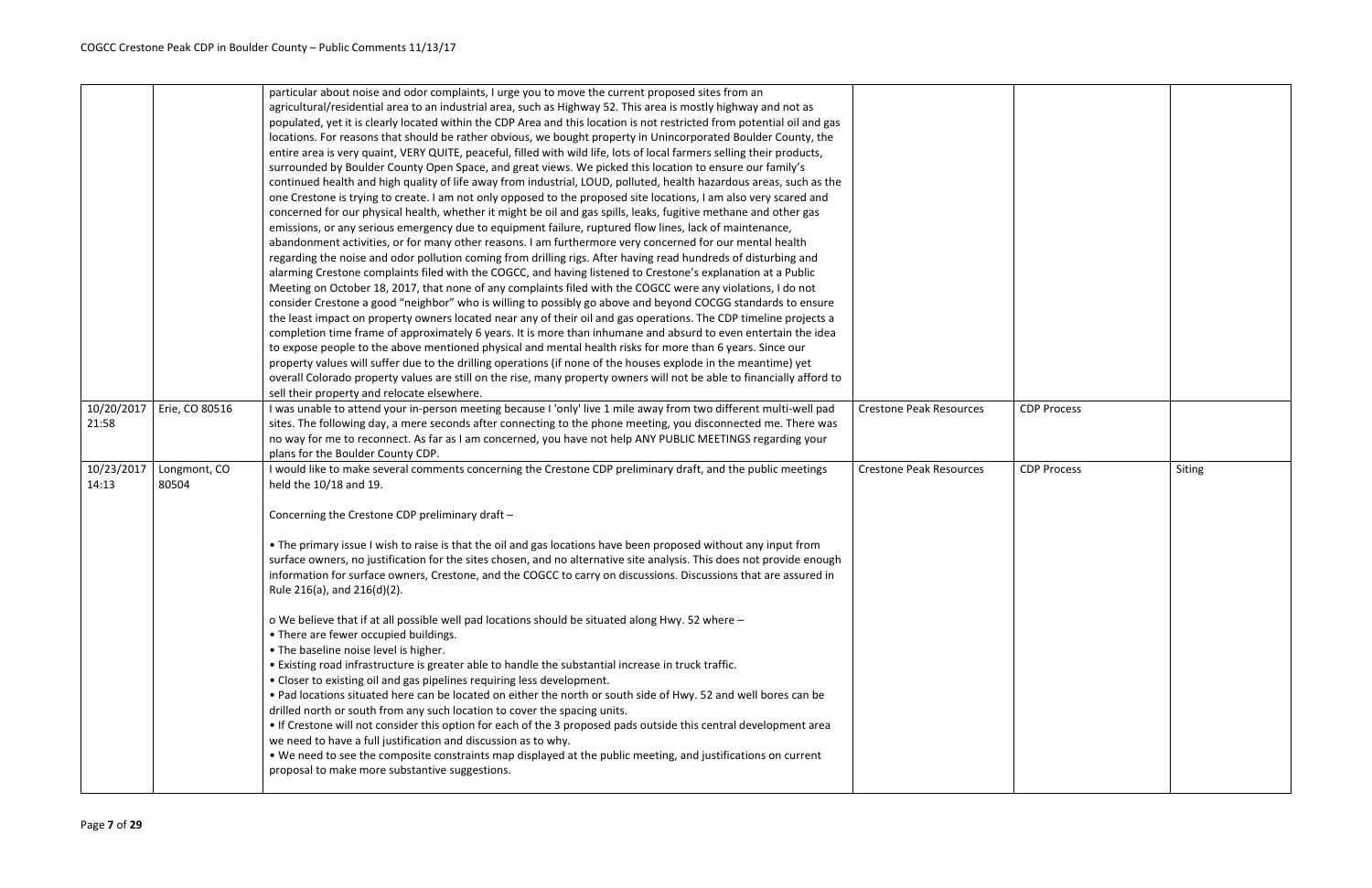| <b>Crestone Peak Resources</b> | <b>CDP Process</b> |        |
|--------------------------------|--------------------|--------|
| Crestone Peak Resources        | <b>CDP Process</b> | Siting |
|                                |                    |        |

| 10/20/2017<br>21:58 | Erie, CO 80516        | particular about noise and odor complaints, I urge you to move the current proposed sites from an<br>agricultural/residential area to an industrial area, such as Highway 52. This area is mostly highway and not as<br>populated, yet it is clearly located within the CDP Area and this location is not restricted from potential oil and gas<br>locations. For reasons that should be rather obvious, we bought property in Unincorporated Boulder County, the<br>entire area is very quaint, VERY QUITE, peaceful, filled with wild life, lots of local farmers selling their products,<br>surrounded by Boulder County Open Space, and great views. We picked this location to ensure our family's<br>continued health and high quality of life away from industrial, LOUD, polluted, health hazardous areas, such as the<br>one Crestone is trying to create. I am not only opposed to the proposed site locations, I am also very scared and<br>concerned for our physical health, whether it might be oil and gas spills, leaks, fugitive methane and other gas<br>emissions, or any serious emergency due to equipment failure, ruptured flow lines, lack of maintenance,<br>abandonment activities, or for many other reasons. I am furthermore very concerned for our mental health<br>regarding the noise and odor pollution coming from drilling rigs. After having read hundreds of disturbing and<br>alarming Crestone complaints filed with the COGCC, and having listened to Crestone's explanation at a Public<br>Meeting on October 18, 2017, that none of any complaints filed with the COGCC were any violations, I do not<br>consider Crestone a good "neighbor" who is willing to possibly go above and beyond COCGG standards to ensure<br>the least impact on property owners located near any of their oil and gas operations. The CDP timeline projects a<br>completion time frame of approximately 6 years. It is more than inhumane and absurd to even entertain the idea<br>to expose people to the above mentioned physical and mental health risks for more than 6 years. Since our<br>property values will suffer due to the drilling operations (if none of the houses explode in the meantime) yet<br>overall Colorado property values are still on the rise, many property owners will not be able to financially afford to<br>sell their property and relocate elsewhere.<br>I was unable to attend your in-person meeting because I 'only' live 1 mile away from two different multi-well pad<br>sites. The following day, a mere seconds after connecting to the phone meeting, you disconnected me. There was | <b>Crestone Peak Resources</b> | <b>CDP Process</b> |
|---------------------|-----------------------|-------------------------------------------------------------------------------------------------------------------------------------------------------------------------------------------------------------------------------------------------------------------------------------------------------------------------------------------------------------------------------------------------------------------------------------------------------------------------------------------------------------------------------------------------------------------------------------------------------------------------------------------------------------------------------------------------------------------------------------------------------------------------------------------------------------------------------------------------------------------------------------------------------------------------------------------------------------------------------------------------------------------------------------------------------------------------------------------------------------------------------------------------------------------------------------------------------------------------------------------------------------------------------------------------------------------------------------------------------------------------------------------------------------------------------------------------------------------------------------------------------------------------------------------------------------------------------------------------------------------------------------------------------------------------------------------------------------------------------------------------------------------------------------------------------------------------------------------------------------------------------------------------------------------------------------------------------------------------------------------------------------------------------------------------------------------------------------------------------------------------------------------------------------------------------------------------------------------------------------------------------------------------------------------------------------------------------------------------------------------------------------------------------------------------------------------------------------------------------------------------------------------------------------------------------------------------------------------------------------------------------------------------------|--------------------------------|--------------------|
|                     |                       | no way for me to reconnect. As far as I am concerned, you have not help ANY PUBLIC MEETINGS regarding your<br>plans for the Boulder County CDP.                                                                                                                                                                                                                                                                                                                                                                                                                                                                                                                                                                                                                                                                                                                                                                                                                                                                                                                                                                                                                                                                                                                                                                                                                                                                                                                                                                                                                                                                                                                                                                                                                                                                                                                                                                                                                                                                                                                                                                                                                                                                                                                                                                                                                                                                                                                                                                                                                                                                                                       |                                |                    |
| 10/23/2017<br>14:13 | Longmont, CO<br>80504 | I would like to make several comments concerning the Crestone CDP preliminary draft, and the public meetings<br>held the 10/18 and 19.<br>Concerning the Crestone CDP preliminary draft -<br>• The primary issue I wish to raise is that the oil and gas locations have been proposed without any input from<br>surface owners, no justification for the sites chosen, and no alternative site analysis. This does not provide enough<br>information for surface owners, Crestone, and the COGCC to carry on discussions. Discussions that are assured in<br>Rule 216(a), and 216(d)(2).<br>o We believe that if at all possible well pad locations should be situated along Hwy. 52 where -<br>• There are fewer occupied buildings.<br>. The baseline noise level is higher.<br>• Existing road infrastructure is greater able to handle the substantial increase in truck traffic.<br>• Closer to existing oil and gas pipelines requiring less development.<br>. Pad locations situated here can be located on either the north or south side of Hwy. 52 and well bores can be<br>drilled north or south from any such location to cover the spacing units.<br>• If Crestone will not consider this option for each of the 3 proposed pads outside this central development area<br>we need to have a full justification and discussion as to why.<br>. We need to see the composite constraints map displayed at the public meeting, and justifications on current<br>proposal to make more substantive suggestions.                                                                                                                                                                                                                                                                                                                                                                                                                                                                                                                                                                                                                                                                                                                                                                                                                                                                                                                                                                                                                                                                                                                             | <b>Crestone Peak Resources</b> | <b>CDP Process</b> |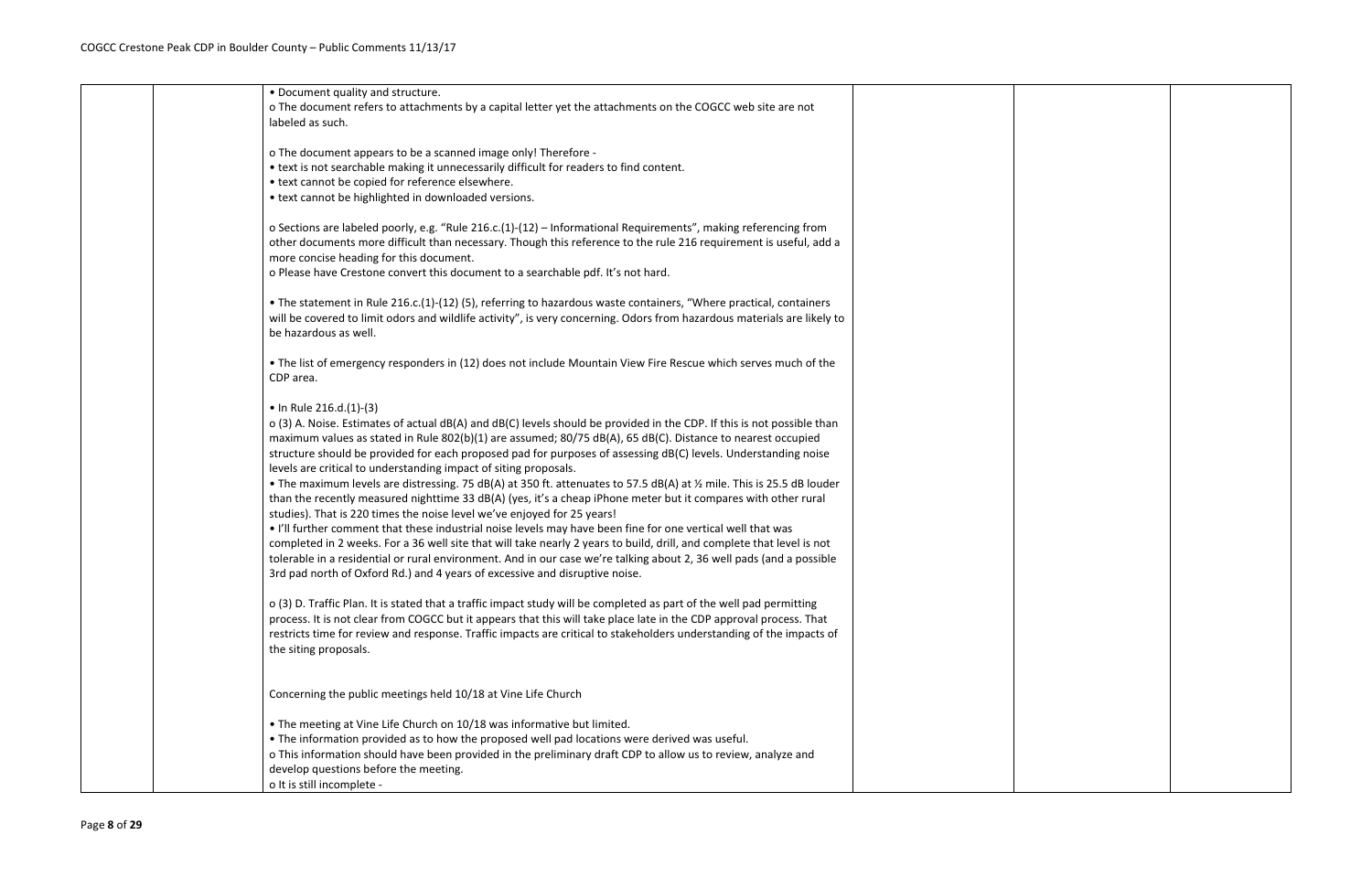| • Document quality and structure.                                                                                                                                                      |
|----------------------------------------------------------------------------------------------------------------------------------------------------------------------------------------|
| o The document refers to attachments by a capital letter yet the attachments on the COGCC web site are not                                                                             |
| labeled as such.                                                                                                                                                                       |
|                                                                                                                                                                                        |
| o The document appears to be a scanned image only! Therefore -                                                                                                                         |
| • text is not searchable making it unnecessarily difficult for readers to find content.                                                                                                |
| • text cannot be copied for reference elsewhere.                                                                                                                                       |
| • text cannot be highlighted in downloaded versions.                                                                                                                                   |
|                                                                                                                                                                                        |
| o Sections are labeled poorly, e.g. "Rule 216.c.(1)-(12) - Informational Requirements", making referencing from                                                                        |
| other documents more difficult than necessary. Though this reference to the rule 216 requirement is useful, add a                                                                      |
| more concise heading for this document.                                                                                                                                                |
| o Please have Crestone convert this document to a searchable pdf. It's not hard.                                                                                                       |
|                                                                                                                                                                                        |
| • The statement in Rule 216.c.(1)-(12) (5), referring to hazardous waste containers, "Where practical, containers                                                                      |
| will be covered to limit odors and wildlife activity", is very concerning. Odors from hazardous materials are likely to                                                                |
| be hazardous as well.                                                                                                                                                                  |
|                                                                                                                                                                                        |
| • The list of emergency responders in (12) does not include Mountain View Fire Rescue which serves much of the                                                                         |
| CDP area.                                                                                                                                                                              |
|                                                                                                                                                                                        |
| • In Rule $216.d.(1)-(3)$                                                                                                                                                              |
| o (3) A. Noise. Estimates of actual dB(A) and dB(C) levels should be provided in the CDP. If this is not possible than                                                                 |
| maximum values as stated in Rule 802(b)(1) are assumed; 80/75 dB(A), 65 dB(C). Distance to nearest occupied                                                                            |
| structure should be provided for each proposed pad for purposes of assessing dB(C) levels. Understanding noise                                                                         |
| levels are critical to understanding impact of siting proposals.                                                                                                                       |
| • The maximum levels are distressing. 75 dB(A) at 350 ft. attenuates to 57.5 dB(A) at 1/2 mile. This is 25.5 dB louder                                                                 |
|                                                                                                                                                                                        |
| than the recently measured nighttime 33 dB(A) (yes, it's a cheap iPhone meter but it compares with other rural                                                                         |
| studies). That is 220 times the noise level we've enjoyed for 25 years!<br>. I'll further comment that these industrial noise levels may have been fine for one vertical well that was |
|                                                                                                                                                                                        |
| completed in 2 weeks. For a 36 well site that will take nearly 2 years to build, drill, and complete that level is not                                                                 |
| tolerable in a residential or rural environment. And in our case we're talking about 2, 36 well pads (and a possible                                                                   |
| 3rd pad north of Oxford Rd.) and 4 years of excessive and disruptive noise.                                                                                                            |
|                                                                                                                                                                                        |
| o (3) D. Traffic Plan. It is stated that a traffic impact study will be completed as part of the well pad permitting                                                                   |
| process. It is not clear from COGCC but it appears that this will take place late in the CDP approval process. That                                                                    |
| restricts time for review and response. Traffic impacts are critical to stakeholders understanding of the impacts of                                                                   |
| the siting proposals.                                                                                                                                                                  |
|                                                                                                                                                                                        |
|                                                                                                                                                                                        |
| Concerning the public meetings held 10/18 at Vine Life Church                                                                                                                          |
|                                                                                                                                                                                        |
| • The meeting at Vine Life Church on 10/18 was informative but limited.                                                                                                                |
| . The information provided as to how the proposed well pad locations were derived was useful.                                                                                          |
| o This information should have been provided in the preliminary draft CDP to allow us to review, analyze and                                                                           |
| develop questions before the meeting.                                                                                                                                                  |
| o It is still incomplete -                                                                                                                                                             |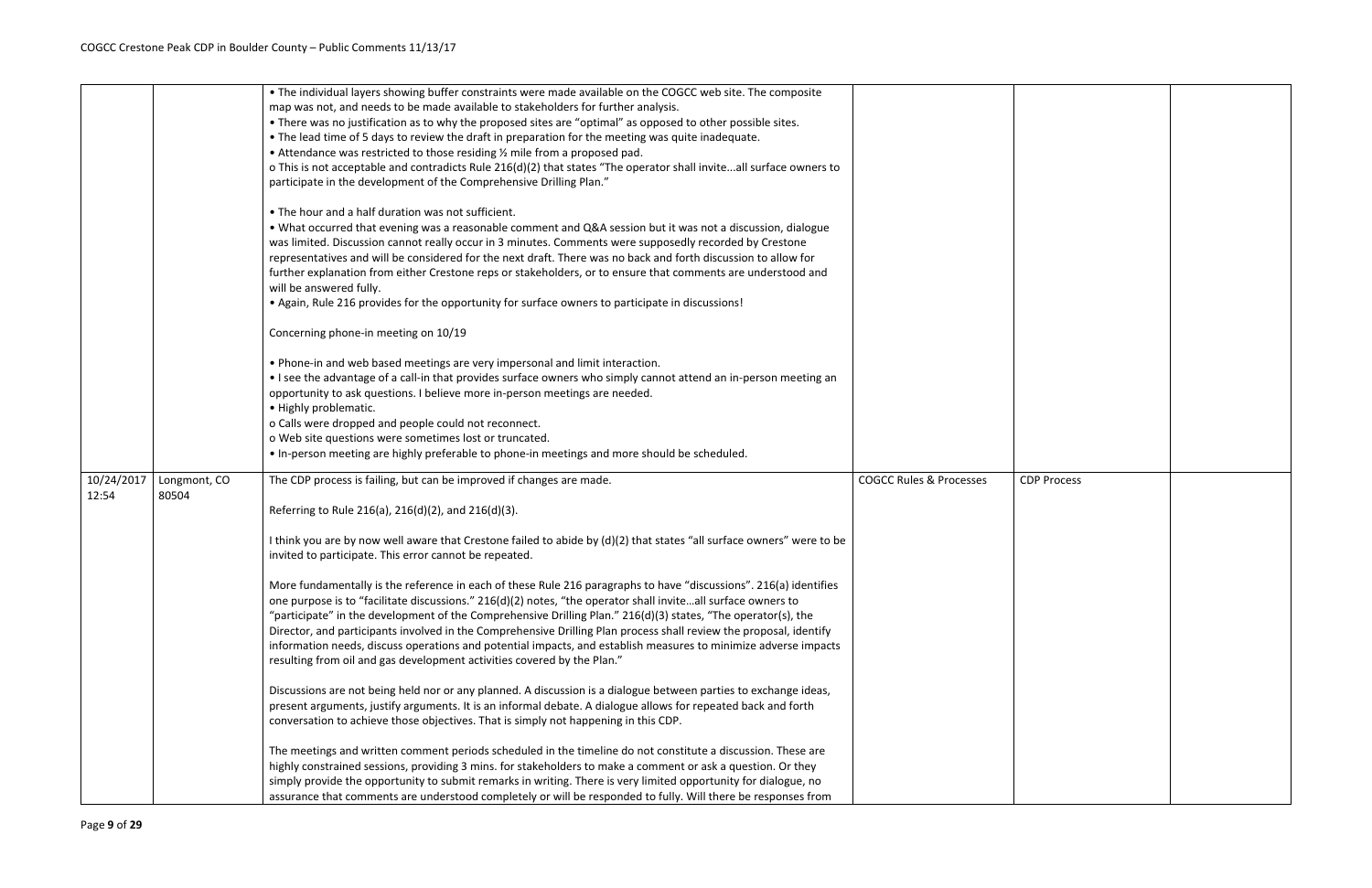| <b>CDP Process</b> |  |
|--------------------|--|
|                    |  |
|                    |  |
|                    |  |
|                    |  |
|                    |  |
|                    |  |
|                    |  |
|                    |  |
|                    |  |
|                    |  |
|                    |  |
|                    |  |
|                    |  |

|            |              | • The individual layers showing buffer constraints were made available on the COGCC web site. The composite           |                                    |                    |
|------------|--------------|-----------------------------------------------------------------------------------------------------------------------|------------------------------------|--------------------|
|            |              | map was not, and needs to be made available to stakeholders for further analysis.                                     |                                    |                    |
|            |              | • There was no justification as to why the proposed sites are "optimal" as opposed to other possible sites.           |                                    |                    |
|            |              | . The lead time of 5 days to review the draft in preparation for the meeting was quite inadequate.                    |                                    |                    |
|            |              | • Attendance was restricted to those residing % mile from a proposed pad.                                             |                                    |                    |
|            |              | o This is not acceptable and contradicts Rule 216(d)(2) that states "The operator shall inviteall surface owners to   |                                    |                    |
|            |              | participate in the development of the Comprehensive Drilling Plan."                                                   |                                    |                    |
|            |              |                                                                                                                       |                                    |                    |
|            |              | • The hour and a half duration was not sufficient.                                                                    |                                    |                    |
|            |              | . What occurred that evening was a reasonable comment and Q&A session but it was not a discussion, dialogue           |                                    |                    |
|            |              | was limited. Discussion cannot really occur in 3 minutes. Comments were supposedly recorded by Crestone               |                                    |                    |
|            |              | representatives and will be considered for the next draft. There was no back and forth discussion to allow for        |                                    |                    |
|            |              | further explanation from either Crestone reps or stakeholders, or to ensure that comments are understood and          |                                    |                    |
|            |              | will be answered fully.                                                                                               |                                    |                    |
|            |              | . Again, Rule 216 provides for the opportunity for surface owners to participate in discussions!                      |                                    |                    |
|            |              |                                                                                                                       |                                    |                    |
|            |              | Concerning phone-in meeting on 10/19                                                                                  |                                    |                    |
|            |              |                                                                                                                       |                                    |                    |
|            |              | . Phone-in and web based meetings are very impersonal and limit interaction.                                          |                                    |                    |
|            |              | • I see the advantage of a call-in that provides surface owners who simply cannot attend an in-person meeting an      |                                    |                    |
|            |              | opportunity to ask questions. I believe more in-person meetings are needed.                                           |                                    |                    |
|            |              | · Highly problematic.                                                                                                 |                                    |                    |
|            |              | o Calls were dropped and people could not reconnect.                                                                  |                                    |                    |
|            |              | o Web site questions were sometimes lost or truncated.                                                                |                                    |                    |
|            |              | . In-person meeting are highly preferable to phone-in meetings and more should be scheduled.                          |                                    |                    |
|            |              |                                                                                                                       |                                    |                    |
| 10/24/2017 | Longmont, CO | The CDP process is failing, but can be improved if changes are made.                                                  | <b>COGCC Rules &amp; Processes</b> | <b>CDP Process</b> |
| 12:54      | 80504        |                                                                                                                       |                                    |                    |
|            |              | Referring to Rule 216(a), 216(d)(2), and 216(d)(3).                                                                   |                                    |                    |
|            |              |                                                                                                                       |                                    |                    |
|            |              | I think you are by now well aware that Crestone failed to abide by (d)(2) that states "all surface owners" were to be |                                    |                    |
|            |              | invited to participate. This error cannot be repeated.                                                                |                                    |                    |
|            |              |                                                                                                                       |                                    |                    |
|            |              | More fundamentally is the reference in each of these Rule 216 paragraphs to have "discussions". 216(a) identifies     |                                    |                    |
|            |              | one purpose is to "facilitate discussions." 216(d)(2) notes, "the operator shall inviteall surface owners to          |                                    |                    |
|            |              | "participate" in the development of the Comprehensive Drilling Plan." 216(d)(3) states, "The operator(s), the         |                                    |                    |
|            |              | Director, and participants involved in the Comprehensive Drilling Plan process shall review the proposal, identify    |                                    |                    |
|            |              | information needs, discuss operations and potential impacts, and establish measures to minimize adverse impacts       |                                    |                    |
|            |              | resulting from oil and gas development activities covered by the Plan."                                               |                                    |                    |
|            |              |                                                                                                                       |                                    |                    |
|            |              | Discussions are not being held nor or any planned. A discussion is a dialogue between parties to exchange ideas,      |                                    |                    |
|            |              | present arguments, justify arguments. It is an informal debate. A dialogue allows for repeated back and forth         |                                    |                    |
|            |              | conversation to achieve those objectives. That is simply not happening in this CDP.                                   |                                    |                    |
|            |              |                                                                                                                       |                                    |                    |
|            |              | The meetings and written comment periods scheduled in the timeline do not constitute a discussion. These are          |                                    |                    |
|            |              | highly constrained sessions, providing 3 mins. for stakeholders to make a comment or ask a question. Or they          |                                    |                    |
|            |              | simply provide the opportunity to submit remarks in writing. There is very limited opportunity for dialogue, no       |                                    |                    |
|            |              | assurance that comments are understood completely or will be responded to fully. Will there be responses from         |                                    |                    |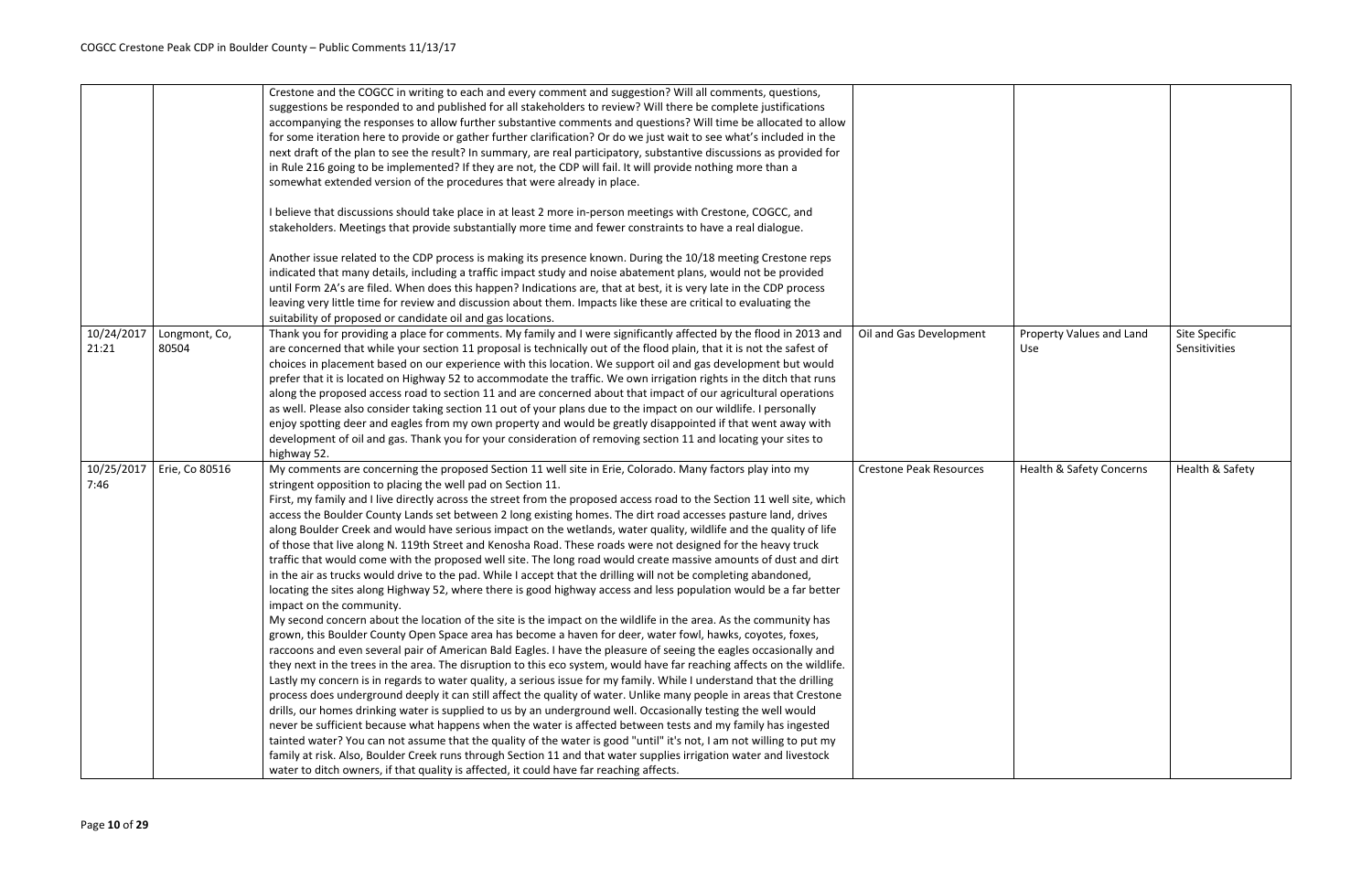|                     |                        | Crestone and the COGCC in writing to each and every comment and suggestion? Will all comments, questions,<br>suggestions be responded to and published for all stakeholders to review? Will there be complete justifications<br>accompanying the responses to allow further substantive comments and questions? Will time be allocated to allow<br>for some iteration here to provide or gather further clarification? Or do we just wait to see what's included in the<br>next draft of the plan to see the result? In summary, are real participatory, substantive discussions as provided for<br>in Rule 216 going to be implemented? If they are not, the CDP will fail. It will provide nothing more than a<br>somewhat extended version of the procedures that were already in place.<br>I believe that discussions should take place in at least 2 more in-person meetings with Crestone, COGCC, and<br>stakeholders. Meetings that provide substantially more time and fewer constraints to have a real dialogue.<br>Another issue related to the CDP process is making its presence known. During the 10/18 meeting Crestone reps<br>indicated that many details, including a traffic impact study and noise abatement plans, would not be provided<br>until Form 2A's are filed. When does this happen? Indications are, that at best, it is very late in the CDP process<br>leaving very little time for review and discussion about them. Impacts like these are critical to evaluating the<br>suitability of proposed or candidate oil and gas locations.                                                                                                                                                                                                                                                                                                                                                                                                                                                                                                                                                                                                                                                                                                                                                                                           |                                |
|---------------------|------------------------|------------------------------------------------------------------------------------------------------------------------------------------------------------------------------------------------------------------------------------------------------------------------------------------------------------------------------------------------------------------------------------------------------------------------------------------------------------------------------------------------------------------------------------------------------------------------------------------------------------------------------------------------------------------------------------------------------------------------------------------------------------------------------------------------------------------------------------------------------------------------------------------------------------------------------------------------------------------------------------------------------------------------------------------------------------------------------------------------------------------------------------------------------------------------------------------------------------------------------------------------------------------------------------------------------------------------------------------------------------------------------------------------------------------------------------------------------------------------------------------------------------------------------------------------------------------------------------------------------------------------------------------------------------------------------------------------------------------------------------------------------------------------------------------------------------------------------------------------------------------------------------------------------------------------------------------------------------------------------------------------------------------------------------------------------------------------------------------------------------------------------------------------------------------------------------------------------------------------------------------------------------------------------------------------------------------------------------------------------------------|--------------------------------|
| 10/24/2017<br>21:21 | Longmont, Co,<br>80504 | Thank you for providing a place for comments. My family and I were significantly affected by the flood in 2013 and<br>are concerned that while your section 11 proposal is technically out of the flood plain, that it is not the safest of<br>choices in placement based on our experience with this location. We support oil and gas development but would<br>prefer that it is located on Highway 52 to accommodate the traffic. We own irrigation rights in the ditch that runs<br>along the proposed access road to section 11 and are concerned about that impact of our agricultural operations<br>as well. Please also consider taking section 11 out of your plans due to the impact on our wildlife. I personally<br>enjoy spotting deer and eagles from my own property and would be greatly disappointed if that went away with<br>development of oil and gas. Thank you for your consideration of removing section 11 and locating your sites to<br>highway 52.                                                                                                                                                                                                                                                                                                                                                                                                                                                                                                                                                                                                                                                                                                                                                                                                                                                                                                                                                                                                                                                                                                                                                                                                                                                                                                                                                                                     | Oil and Gas Development        |
| 10/25/2017<br>7:46  | Erie, Co 80516         | My comments are concerning the proposed Section 11 well site in Erie, Colorado. Many factors play into my<br>stringent opposition to placing the well pad on Section 11.<br>First, my family and I live directly across the street from the proposed access road to the Section 11 well site, which<br>access the Boulder County Lands set between 2 long existing homes. The dirt road accesses pasture land, drives<br>along Boulder Creek and would have serious impact on the wetlands, water quality, wildlife and the quality of life<br>of those that live along N. 119th Street and Kenosha Road. These roads were not designed for the heavy truck<br>traffic that would come with the proposed well site. The long road would create massive amounts of dust and dirt<br>in the air as trucks would drive to the pad. While I accept that the drilling will not be completing abandoned,<br>locating the sites along Highway 52, where there is good highway access and less population would be a far better<br>impact on the community.<br>My second concern about the location of the site is the impact on the wildlife in the area. As the community has<br>grown, this Boulder County Open Space area has become a haven for deer, water fowl, hawks, coyotes, foxes,<br>raccoons and even several pair of American Bald Eagles. I have the pleasure of seeing the eagles occasionally and<br>they next in the trees in the area. The disruption to this eco system, would have far reaching affects on the wildlife.<br>Lastly my concern is in regards to water quality, a serious issue for my family. While I understand that the drilling<br>process does underground deeply it can still affect the quality of water. Unlike many people in areas that Crestone<br>drills, our homes drinking water is supplied to us by an underground well. Occasionally testing the well would<br>never be sufficient because what happens when the water is affected between tests and my family has ingested<br>tainted water? You can not assume that the quality of the water is good "until" it's not, I am not willing to put my<br>family at risk. Also, Boulder Creek runs through Section 11 and that water supplies irrigation water and livestock<br>water to ditch owners, if that quality is affected, it could have far reaching affects. | <b>Crestone Peak Resources</b> |

| Oil and Gas Development | Property Values and Land<br>Use | Site Specific<br>Sensitivities |
|-------------------------|---------------------------------|--------------------------------|
| Crestone Peak Resources | Health & Safety Concerns        | Health & Safety                |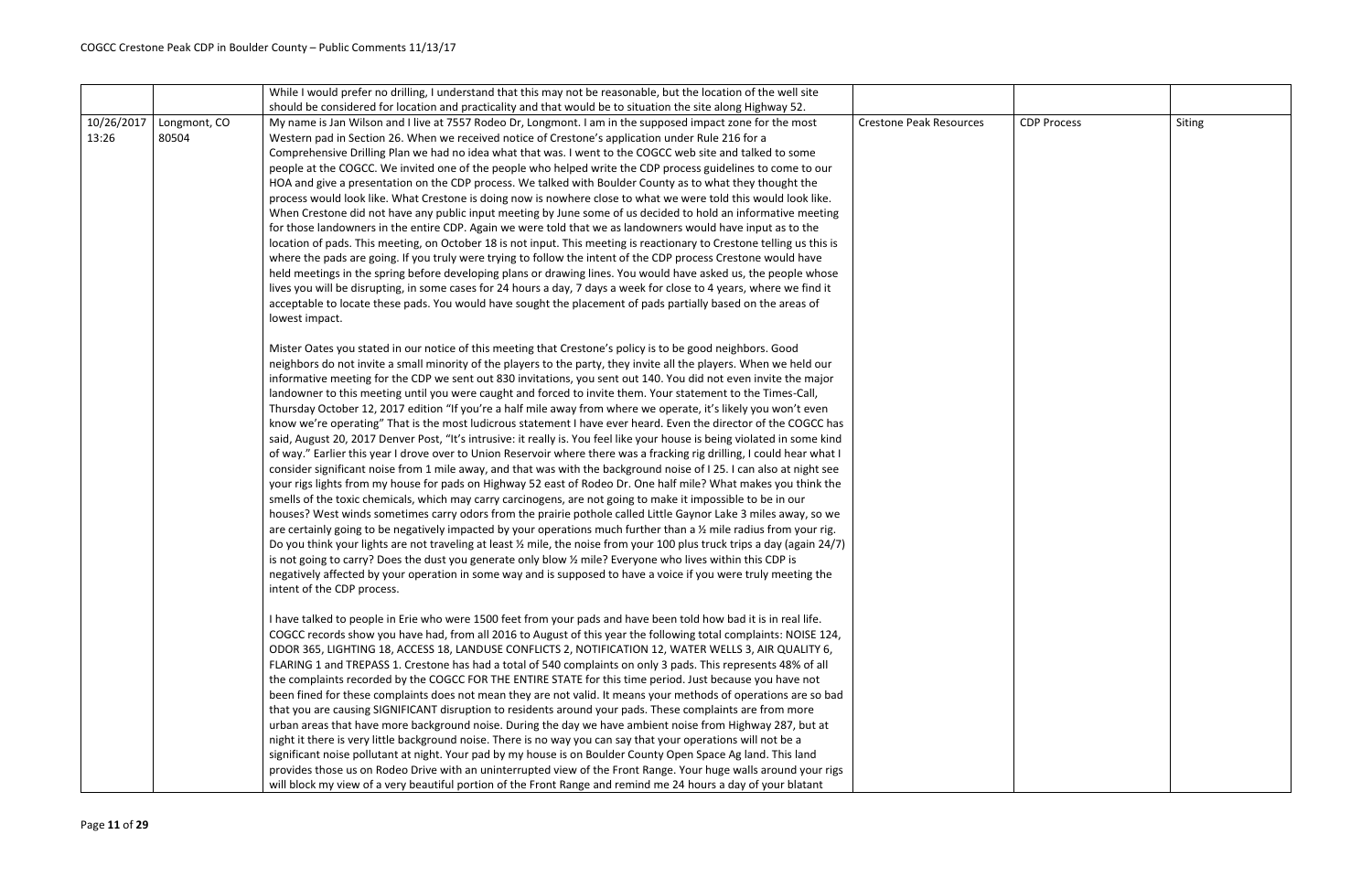|            |              | While I would prefer no drilling, I understand that this may not be reasonable, but the location of the well site                   |                                |                    |        |
|------------|--------------|-------------------------------------------------------------------------------------------------------------------------------------|--------------------------------|--------------------|--------|
|            |              | should be considered for location and practicality and that would be to situation the site along Highway 52.                        |                                |                    |        |
| 10/26/2017 | Longmont, CO | My name is Jan Wilson and I live at 7557 Rodeo Dr, Longmont. I am in the supposed impact zone for the most                          | <b>Crestone Peak Resources</b> | <b>CDP Process</b> | Siting |
| 13:26      | 80504        | Western pad in Section 26. When we received notice of Crestone's application under Rule 216 for a                                   |                                |                    |        |
|            |              | Comprehensive Drilling Plan we had no idea what that was. I went to the COGCC web site and talked to some                           |                                |                    |        |
|            |              | people at the COGCC. We invited one of the people who helped write the CDP process guidelines to come to our                        |                                |                    |        |
|            |              | HOA and give a presentation on the CDP process. We talked with Boulder County as to what they thought the                           |                                |                    |        |
|            |              | process would look like. What Crestone is doing now is nowhere close to what we were told this would look like.                     |                                |                    |        |
|            |              | When Crestone did not have any public input meeting by June some of us decided to hold an informative meeting                       |                                |                    |        |
|            |              | for those landowners in the entire CDP. Again we were told that we as landowners would have input as to the                         |                                |                    |        |
|            |              | location of pads. This meeting, on October 18 is not input. This meeting is reactionary to Crestone telling us this is              |                                |                    |        |
|            |              | where the pads are going. If you truly were trying to follow the intent of the CDP process Crestone would have                      |                                |                    |        |
|            |              | held meetings in the spring before developing plans or drawing lines. You would have asked us, the people whose                     |                                |                    |        |
|            |              | lives you will be disrupting, in some cases for 24 hours a day, 7 days a week for close to 4 years, where we find it                |                                |                    |        |
|            |              | acceptable to locate these pads. You would have sought the placement of pads partially based on the areas of                        |                                |                    |        |
|            |              | lowest impact.                                                                                                                      |                                |                    |        |
|            |              | Mister Oates you stated in our notice of this meeting that Crestone's policy is to be good neighbors. Good                          |                                |                    |        |
|            |              | neighbors do not invite a small minority of the players to the party, they invite all the players. When we held our                 |                                |                    |        |
|            |              | informative meeting for the CDP we sent out 830 invitations, you sent out 140. You did not even invite the major                    |                                |                    |        |
|            |              | landowner to this meeting until you were caught and forced to invite them. Your statement to the Times-Call,                        |                                |                    |        |
|            |              | Thursday October 12, 2017 edition "If you're a half mile away from where we operate, it's likely you won't even                     |                                |                    |        |
|            |              | know we're operating" That is the most ludicrous statement I have ever heard. Even the director of the COGCC has                    |                                |                    |        |
|            |              | said, August 20, 2017 Denver Post, "It's intrusive: it really is. You feel like your house is being violated in some kind           |                                |                    |        |
|            |              | of way." Earlier this year I drove over to Union Reservoir where there was a fracking rig drilling, I could hear what I             |                                |                    |        |
|            |              | consider significant noise from 1 mile away, and that was with the background noise of I 25. I can also at night see                |                                |                    |        |
|            |              | your rigs lights from my house for pads on Highway 52 east of Rodeo Dr. One half mile? What makes you think the                     |                                |                    |        |
|            |              | smells of the toxic chemicals, which may carry carcinogens, are not going to make it impossible to be in our                        |                                |                    |        |
|            |              | houses? West winds sometimes carry odors from the prairie pothole called Little Gaynor Lake 3 miles away, so we                     |                                |                    |        |
|            |              | are certainly going to be negatively impacted by your operations much further than a 1/2 mile radius from your rig.                 |                                |                    |        |
|            |              | Do you think your lights are not traveling at least $\frac{1}{2}$ mile, the noise from your 100 plus truck trips a day (again 24/7) |                                |                    |        |
|            |              | is not going to carry? Does the dust you generate only blow 1/2 mile? Everyone who lives within this CDP is                         |                                |                    |        |
|            |              | negatively affected by your operation in some way and is supposed to have a voice if you were truly meeting the                     |                                |                    |        |
|            |              | intent of the CDP process.                                                                                                          |                                |                    |        |
|            |              | I have talked to people in Erie who were 1500 feet from your pads and have been told how bad it is in real life.                    |                                |                    |        |
|            |              | COGCC records show you have had, from all 2016 to August of this year the following total complaints: NOISE 124,                    |                                |                    |        |
|            |              | ODOR 365, LIGHTING 18, ACCESS 18, LANDUSE CONFLICTS 2, NOTIFICATION 12, WATER WELLS 3, AIR QUALITY 6,                               |                                |                    |        |
|            |              | FLARING 1 and TREPASS 1. Crestone has had a total of 540 complaints on only 3 pads. This represents 48% of all                      |                                |                    |        |
|            |              | the complaints recorded by the COGCC FOR THE ENTIRE STATE for this time period. Just because you have not                           |                                |                    |        |
|            |              | been fined for these complaints does not mean they are not valid. It means your methods of operations are so bad                    |                                |                    |        |
|            |              | that you are causing SIGNIFICANT disruption to residents around your pads. These complaints are from more                           |                                |                    |        |
|            |              | urban areas that have more background noise. During the day we have ambient noise from Highway 287, but at                          |                                |                    |        |
|            |              | night it there is very little background noise. There is no way you can say that your operations will not be a                      |                                |                    |        |
|            |              | significant noise pollutant at night. Your pad by my house is on Boulder County Open Space Ag land. This land                       |                                |                    |        |
|            |              | provides those us on Rodeo Drive with an uninterrupted view of the Front Range. Your huge walls around your rigs                    |                                |                    |        |
|            |              | will block my view of a very beautiful portion of the Front Range and remind me 24 hours a day of your blatant                      |                                |                    |        |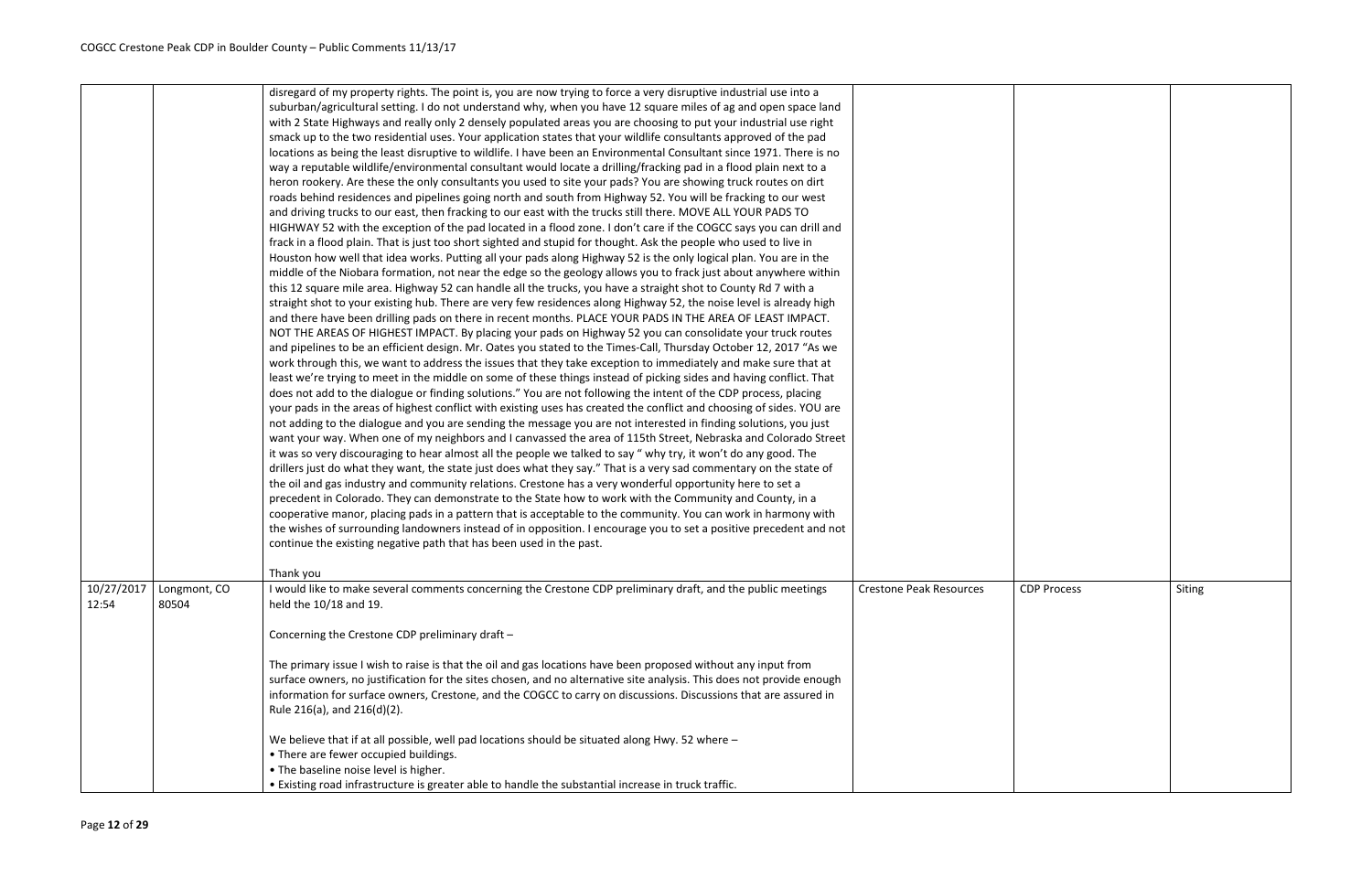|            |              | disregard of my property rights. The point is, you are now trying to force a very disruptive industrial use into a<br>suburban/agricultural setting. I do not understand why, when you have 12 square miles of ag and open space land<br>with 2 State Highways and really only 2 densely populated areas you are choosing to put your industrial use right<br>smack up to the two residential uses. Your application states that your wildlife consultants approved of the pad<br>locations as being the least disruptive to wildlife. I have been an Environmental Consultant since 1971. There is no<br>way a reputable wildlife/environmental consultant would locate a drilling/fracking pad in a flood plain next to a<br>heron rookery. Are these the only consultants you used to site your pads? You are showing truck routes on dirt<br>roads behind residences and pipelines going north and south from Highway 52. You will be fracking to our west<br>and driving trucks to our east, then fracking to our east with the trucks still there. MOVE ALL YOUR PADS TO<br>HIGHWAY 52 with the exception of the pad located in a flood zone. I don't care if the COGCC says you can drill and<br>frack in a flood plain. That is just too short sighted and stupid for thought. Ask the people who used to live in<br>Houston how well that idea works. Putting all your pads along Highway 52 is the only logical plan. You are in the<br>middle of the Niobara formation, not near the edge so the geology allows you to frack just about anywhere within<br>this 12 square mile area. Highway 52 can handle all the trucks, you have a straight shot to County Rd 7 with a<br>straight shot to your existing hub. There are very few residences along Highway 52, the noise level is already high<br>and there have been drilling pads on there in recent months. PLACE YOUR PADS IN THE AREA OF LEAST IMPACT.<br>NOT THE AREAS OF HIGHEST IMPACT. By placing your pads on Highway 52 you can consolidate your truck routes<br>and pipelines to be an efficient design. Mr. Oates you stated to the Times-Call, Thursday October 12, 2017 "As we<br>work through this, we want to address the issues that they take exception to immediately and make sure that at<br>least we're trying to meet in the middle on some of these things instead of picking sides and having conflict. That<br>does not add to the dialogue or finding solutions." You are not following the intent of the CDP process, placing<br>your pads in the areas of highest conflict with existing uses has created the conflict and choosing of sides. YOU are<br>not adding to the dialogue and you are sending the message you are not interested in finding solutions, you just<br>want your way. When one of my neighbors and I canvassed the area of 115th Street, Nebraska and Colorado Street<br>it was so very discouraging to hear almost all the people we talked to say " why try, it won't do any good. The<br>drillers just do what they want, the state just does what they say." That is a very sad commentary on the state of<br>the oil and gas industry and community relations. Crestone has a very wonderful opportunity here to set a<br>precedent in Colorado. They can demonstrate to the State how to work with the Community and County, in a<br>cooperative manor, placing pads in a pattern that is acceptable to the community. You can work in harmony with<br>the wishes of surrounding landowners instead of in opposition. I encourage you to set a positive precedent and not |                        |
|------------|--------------|--------------------------------------------------------------------------------------------------------------------------------------------------------------------------------------------------------------------------------------------------------------------------------------------------------------------------------------------------------------------------------------------------------------------------------------------------------------------------------------------------------------------------------------------------------------------------------------------------------------------------------------------------------------------------------------------------------------------------------------------------------------------------------------------------------------------------------------------------------------------------------------------------------------------------------------------------------------------------------------------------------------------------------------------------------------------------------------------------------------------------------------------------------------------------------------------------------------------------------------------------------------------------------------------------------------------------------------------------------------------------------------------------------------------------------------------------------------------------------------------------------------------------------------------------------------------------------------------------------------------------------------------------------------------------------------------------------------------------------------------------------------------------------------------------------------------------------------------------------------------------------------------------------------------------------------------------------------------------------------------------------------------------------------------------------------------------------------------------------------------------------------------------------------------------------------------------------------------------------------------------------------------------------------------------------------------------------------------------------------------------------------------------------------------------------------------------------------------------------------------------------------------------------------------------------------------------------------------------------------------------------------------------------------------------------------------------------------------------------------------------------------------------------------------------------------------------------------------------------------------------------------------------------------------------------------------------------------------------------------------------------------------------------------------------------------------------------------------------------------------------------------------------------------------------------------------------------------------------------------------------------------------------------------------------------------------------------------------------------------------------------------------------------------------------------------------------------------------------------------------------------------------------------------------------------------------------------------------------|------------------------|
| 10/27/2017 | Longmont, CO | continue the existing negative path that has been used in the past.<br>Thank you<br>I would like to make several comments concerning the Crestone CDP preliminary draft, and the public meetings                                                                                                                                                                                                                                                                                                                                                                                                                                                                                                                                                                                                                                                                                                                                                                                                                                                                                                                                                                                                                                                                                                                                                                                                                                                                                                                                                                                                                                                                                                                                                                                                                                                                                                                                                                                                                                                                                                                                                                                                                                                                                                                                                                                                                                                                                                                                                                                                                                                                                                                                                                                                                                                                                                                                                                                                                                                                                                                                                                                                                                                                                                                                                                                                                                                                                                                                                                                                 | Crestone Peak Resource |
| 12:54      | 80504        | held the 10/18 and 19.<br>Concerning the Crestone CDP preliminary draft -                                                                                                                                                                                                                                                                                                                                                                                                                                                                                                                                                                                                                                                                                                                                                                                                                                                                                                                                                                                                                                                                                                                                                                                                                                                                                                                                                                                                                                                                                                                                                                                                                                                                                                                                                                                                                                                                                                                                                                                                                                                                                                                                                                                                                                                                                                                                                                                                                                                                                                                                                                                                                                                                                                                                                                                                                                                                                                                                                                                                                                                                                                                                                                                                                                                                                                                                                                                                                                                                                                                        |                        |
|            |              | The primary issue I wish to raise is that the oil and gas locations have been proposed without any input from<br>surface owners, no justification for the sites chosen, and no alternative site analysis. This does not provide enough<br>information for surface owners, Crestone, and the COGCC to carry on discussions. Discussions that are assured in<br>Rule 216(a), and 216(d)(2).                                                                                                                                                                                                                                                                                                                                                                                                                                                                                                                                                                                                                                                                                                                                                                                                                                                                                                                                                                                                                                                                                                                                                                                                                                                                                                                                                                                                                                                                                                                                                                                                                                                                                                                                                                                                                                                                                                                                                                                                                                                                                                                                                                                                                                                                                                                                                                                                                                                                                                                                                                                                                                                                                                                                                                                                                                                                                                                                                                                                                                                                                                                                                                                                        |                        |
|            |              | We believe that if at all possible, well pad locations should be situated along Hwy. 52 where -<br>• There are fewer occupied buildings.<br>• The baseline noise level is higher.<br>. Existing road infrastructure is greater able to handle the substantial increase in truck traffic.                                                                                                                                                                                                                                                                                                                                                                                                                                                                                                                                                                                                                                                                                                                                                                                                                                                                                                                                                                                                                                                                                                                                                                                                                                                                                                                                                                                                                                                                                                                                                                                                                                                                                                                                                                                                                                                                                                                                                                                                                                                                                                                                                                                                                                                                                                                                                                                                                                                                                                                                                                                                                                                                                                                                                                                                                                                                                                                                                                                                                                                                                                                                                                                                                                                                                                         |                        |

| Crestone Peak Resources | <b>CDP Process</b> | Siting |
|-------------------------|--------------------|--------|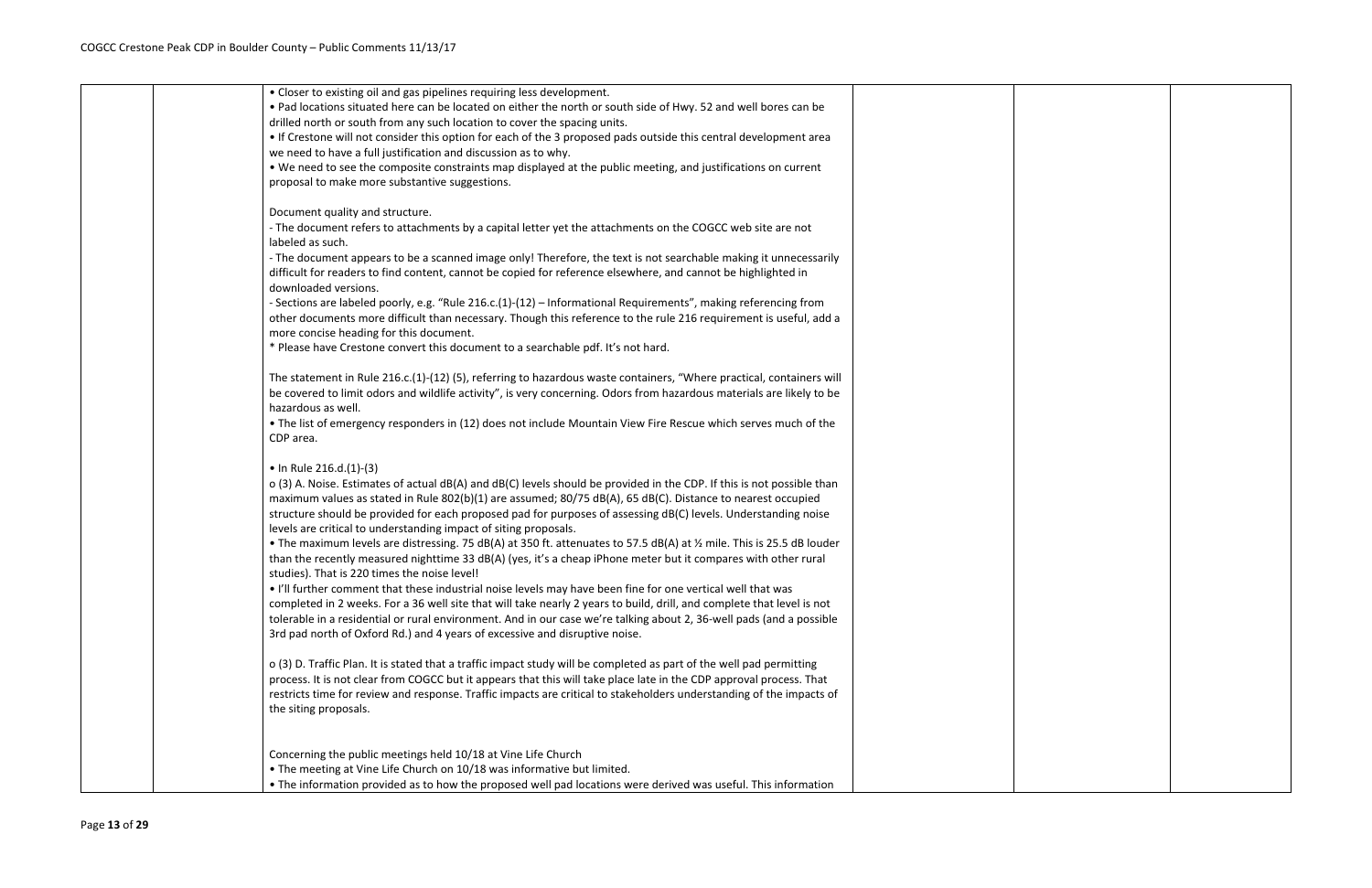|  | • Closer to existing oil and gas pipelines requiring less development.                                                 |  |
|--|------------------------------------------------------------------------------------------------------------------------|--|
|  | . Pad locations situated here can be located on either the north or south side of Hwy. 52 and well bores can be        |  |
|  | drilled north or south from any such location to cover the spacing units.                                              |  |
|  | • If Crestone will not consider this option for each of the 3 proposed pads outside this central development area      |  |
|  | we need to have a full justification and discussion as to why.                                                         |  |
|  | . We need to see the composite constraints map displayed at the public meeting, and justifications on current          |  |
|  | proposal to make more substantive suggestions.                                                                         |  |
|  |                                                                                                                        |  |
|  | Document quality and structure.                                                                                        |  |
|  | - The document refers to attachments by a capital letter yet the attachments on the COGCC web site are not             |  |
|  | labeled as such.                                                                                                       |  |
|  | - The document appears to be a scanned image only! Therefore, the text is not searchable making it unnecessarily       |  |
|  | difficult for readers to find content, cannot be copied for reference elsewhere, and cannot be highlighted in          |  |
|  | downloaded versions.                                                                                                   |  |
|  | - Sections are labeled poorly, e.g. "Rule 216.c.(1)-(12) - Informational Requirements", making referencing from        |  |
|  |                                                                                                                        |  |
|  | other documents more difficult than necessary. Though this reference to the rule 216 requirement is useful, add a      |  |
|  | more concise heading for this document.                                                                                |  |
|  | * Please have Crestone convert this document to a searchable pdf. It's not hard.                                       |  |
|  |                                                                                                                        |  |
|  | The statement in Rule 216.c.(1)-(12) (5), referring to hazardous waste containers, "Where practical, containers will   |  |
|  | be covered to limit odors and wildlife activity", is very concerning. Odors from hazardous materials are likely to be  |  |
|  | hazardous as well.                                                                                                     |  |
|  | • The list of emergency responders in (12) does not include Mountain View Fire Rescue which serves much of the         |  |
|  | CDP area.                                                                                                              |  |
|  |                                                                                                                        |  |
|  | • In Rule 216.d.(1)-(3)                                                                                                |  |
|  | o (3) A. Noise. Estimates of actual dB(A) and dB(C) levels should be provided in the CDP. If this is not possible than |  |
|  | maximum values as stated in Rule 802(b)(1) are assumed; 80/75 dB(A), 65 dB(C). Distance to nearest occupied            |  |
|  | structure should be provided for each proposed pad for purposes of assessing dB(C) levels. Understanding noise         |  |
|  | levels are critical to understanding impact of siting proposals.                                                       |  |
|  | • The maximum levels are distressing. 75 dB(A) at 350 ft. attenuates to 57.5 dB(A) at % mile. This is 25.5 dB louder   |  |
|  | than the recently measured nighttime 33 dB(A) (yes, it's a cheap iPhone meter but it compares with other rural         |  |
|  | studies). That is 220 times the noise level!                                                                           |  |
|  | . I'll further comment that these industrial noise levels may have been fine for one vertical well that was            |  |
|  | completed in 2 weeks. For a 36 well site that will take nearly 2 years to build, drill, and complete that level is not |  |
|  | tolerable in a residential or rural environment. And in our case we're talking about 2, 36-well pads (and a possible   |  |
|  | 3rd pad north of Oxford Rd.) and 4 years of excessive and disruptive noise.                                            |  |
|  |                                                                                                                        |  |
|  | o (3) D. Traffic Plan. It is stated that a traffic impact study will be completed as part of the well pad permitting   |  |
|  | process. It is not clear from COGCC but it appears that this will take place late in the CDP approval process. That    |  |
|  | restricts time for review and response. Traffic impacts are critical to stakeholders understanding of the impacts of   |  |
|  | the siting proposals.                                                                                                  |  |
|  |                                                                                                                        |  |
|  |                                                                                                                        |  |
|  | Concerning the public meetings held 10/18 at Vine Life Church                                                          |  |
|  | . The meeting at Vine Life Church on 10/18 was informative but limited.                                                |  |
|  | • The information provided as to how the proposed well pad locations were derived was useful. This information         |  |
|  |                                                                                                                        |  |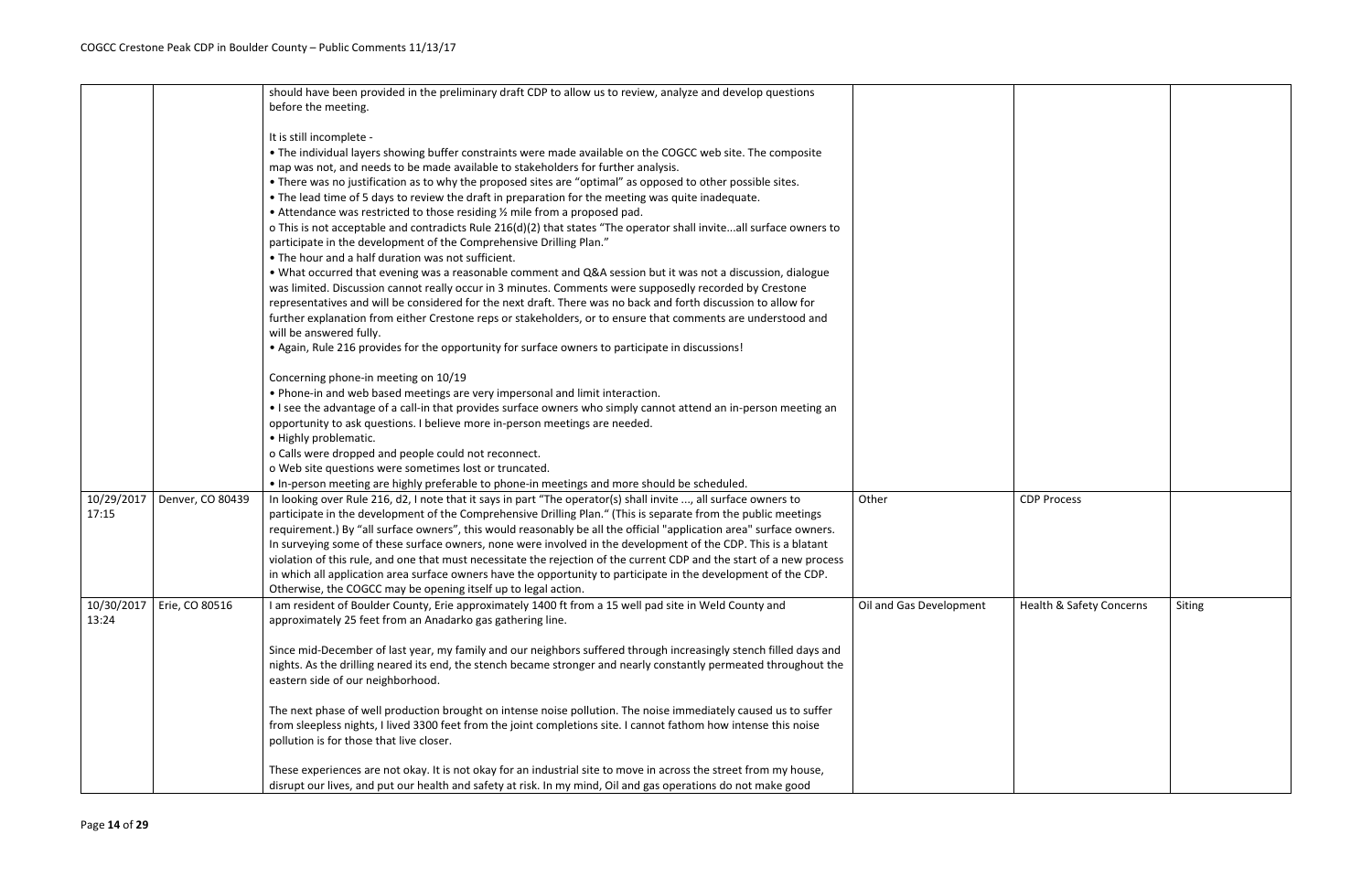|                     |                  | should have been provided in the preliminary draft CDP to allow us to review, analyze and develop questions                                                                                                                       |                         |                    |
|---------------------|------------------|-----------------------------------------------------------------------------------------------------------------------------------------------------------------------------------------------------------------------------------|-------------------------|--------------------|
|                     |                  | before the meeting.                                                                                                                                                                                                               |                         |                    |
|                     |                  | It is still incomplete -                                                                                                                                                                                                          |                         |                    |
|                     |                  | • The individual layers showing buffer constraints were made available on the COGCC web site. The composite                                                                                                                       |                         |                    |
|                     |                  | map was not, and needs to be made available to stakeholders for further analysis.                                                                                                                                                 |                         |                    |
|                     |                  | • There was no justification as to why the proposed sites are "optimal" as opposed to other possible sites.                                                                                                                       |                         |                    |
|                     |                  | . The lead time of 5 days to review the draft in preparation for the meeting was quite inadequate.                                                                                                                                |                         |                    |
|                     |                  | • Attendance was restricted to those residing 1/2 mile from a proposed pad.                                                                                                                                                       |                         |                    |
|                     |                  | o This is not acceptable and contradicts Rule 216(d)(2) that states "The operator shall inviteall surface owners to                                                                                                               |                         |                    |
|                     |                  | participate in the development of the Comprehensive Drilling Plan."                                                                                                                                                               |                         |                    |
|                     |                  | • The hour and a half duration was not sufficient.                                                                                                                                                                                |                         |                    |
|                     |                  | . What occurred that evening was a reasonable comment and Q&A session but it was not a discussion, dialogue                                                                                                                       |                         |                    |
|                     |                  | was limited. Discussion cannot really occur in 3 minutes. Comments were supposedly recorded by Crestone                                                                                                                           |                         |                    |
|                     |                  | representatives and will be considered for the next draft. There was no back and forth discussion to allow for                                                                                                                    |                         |                    |
|                     |                  | further explanation from either Crestone reps or stakeholders, or to ensure that comments are understood and                                                                                                                      |                         |                    |
|                     |                  | will be answered fully.                                                                                                                                                                                                           |                         |                    |
|                     |                  | • Again, Rule 216 provides for the opportunity for surface owners to participate in discussions!                                                                                                                                  |                         |                    |
|                     |                  | Concerning phone-in meeting on 10/19                                                                                                                                                                                              |                         |                    |
|                     |                  | . Phone-in and web based meetings are very impersonal and limit interaction.                                                                                                                                                      |                         |                    |
|                     |                  | • I see the advantage of a call-in that provides surface owners who simply cannot attend an in-person meeting an                                                                                                                  |                         |                    |
|                     |                  | opportunity to ask questions. I believe more in-person meetings are needed.                                                                                                                                                       |                         |                    |
|                     |                  | • Highly problematic.                                                                                                                                                                                                             |                         |                    |
|                     |                  | o Calls were dropped and people could not reconnect.                                                                                                                                                                              |                         |                    |
|                     |                  | o Web site questions were sometimes lost or truncated.                                                                                                                                                                            |                         |                    |
|                     |                  | • In-person meeting are highly preferable to phone-in meetings and more should be scheduled.                                                                                                                                      |                         |                    |
| 10/29/2017<br>17:15 | Denver, CO 80439 | In looking over Rule 216, d2, I note that it says in part "The operator(s) shall invite , all surface owners to<br>participate in the development of the Comprehensive Drilling Plan." (This is separate from the public meetings | Other                   | <b>CDP Process</b> |
|                     |                  | requirement.) By "all surface owners", this would reasonably be all the official "application area" surface owners.                                                                                                               |                         |                    |
|                     |                  | In surveying some of these surface owners, none were involved in the development of the CDP. This is a blatant                                                                                                                    |                         |                    |
|                     |                  | violation of this rule, and one that must necessitate the rejection of the current CDP and the start of a new process                                                                                                             |                         |                    |
|                     |                  | in which all application area surface owners have the opportunity to participate in the development of the CDP.                                                                                                                   |                         |                    |
|                     |                  | Otherwise, the COGCC may be opening itself up to legal action.                                                                                                                                                                    |                         |                    |
| 10/30/2017          | Erie, CO 80516   | I am resident of Boulder County, Erie approximately 1400 ft from a 15 well pad site in Weld County and                                                                                                                            | Oil and Gas Development | Health & Saf       |
| 13:24               |                  | approximately 25 feet from an Anadarko gas gathering line.                                                                                                                                                                        |                         |                    |
|                     |                  | Since mid-December of last year, my family and our neighbors suffered through increasingly stench filled days and                                                                                                                 |                         |                    |
|                     |                  | nights. As the drilling neared its end, the stench became stronger and nearly constantly permeated throughout the                                                                                                                 |                         |                    |
|                     |                  | eastern side of our neighborhood.                                                                                                                                                                                                 |                         |                    |
|                     |                  | The next phase of well production brought on intense noise pollution. The noise immediately caused us to suffer                                                                                                                   |                         |                    |
|                     |                  | from sleepless nights, I lived 3300 feet from the joint completions site. I cannot fathom how intense this noise<br>pollution is for those that live closer.                                                                      |                         |                    |
|                     |                  | These experiences are not okay. It is not okay for an industrial site to move in across the street from my house,                                                                                                                 |                         |                    |
|                     |                  | disrupt our lives, and put our health and safety at risk. In my mind, Oil and gas operations do not make good                                                                                                                     |                         |                    |

| Other                   | <b>CDP Process</b>       |        |
|-------------------------|--------------------------|--------|
| Oil and Gas Development | Health & Safety Concerns | Siting |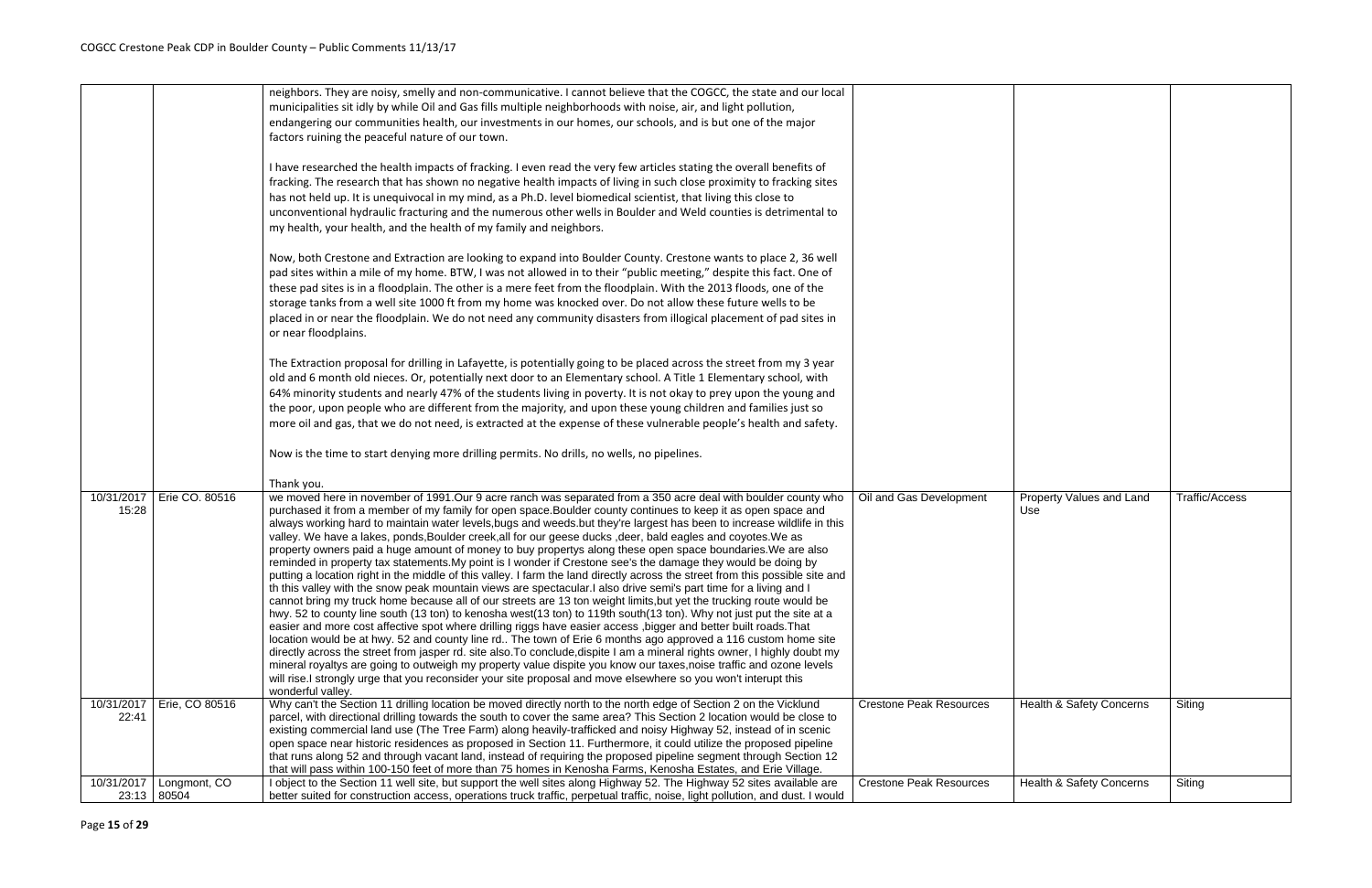|                     |                       | neighbors. They are noisy, smelly and non-communicative. I cannot believe that the COGCC, the state and our local<br>municipalities sit idly by while Oil and Gas fills multiple neighborhoods with noise, air, and light pollution,<br>endangering our communities health, our investments in our homes, our schools, and is but one of the major<br>factors ruining the peaceful nature of our town.                                                                                                                                                                                                                                                                                                                                                                                                                                                                                                                                                                                                                                                                                                                                                                                                                                                                                                                                                                                                                                                                                                                                                                                                                                                                                                                                                                                                                                           |                                |
|---------------------|-----------------------|--------------------------------------------------------------------------------------------------------------------------------------------------------------------------------------------------------------------------------------------------------------------------------------------------------------------------------------------------------------------------------------------------------------------------------------------------------------------------------------------------------------------------------------------------------------------------------------------------------------------------------------------------------------------------------------------------------------------------------------------------------------------------------------------------------------------------------------------------------------------------------------------------------------------------------------------------------------------------------------------------------------------------------------------------------------------------------------------------------------------------------------------------------------------------------------------------------------------------------------------------------------------------------------------------------------------------------------------------------------------------------------------------------------------------------------------------------------------------------------------------------------------------------------------------------------------------------------------------------------------------------------------------------------------------------------------------------------------------------------------------------------------------------------------------------------------------------------------------|--------------------------------|
|                     |                       | I have researched the health impacts of fracking. I even read the very few articles stating the overall benefits of<br>fracking. The research that has shown no negative health impacts of living in such close proximity to fracking sites<br>has not held up. It is unequivocal in my mind, as a Ph.D. level biomedical scientist, that living this close to<br>unconventional hydraulic fracturing and the numerous other wells in Boulder and Weld counties is detrimental to<br>my health, your health, and the health of my family and neighbors.                                                                                                                                                                                                                                                                                                                                                                                                                                                                                                                                                                                                                                                                                                                                                                                                                                                                                                                                                                                                                                                                                                                                                                                                                                                                                          |                                |
|                     |                       | Now, both Crestone and Extraction are looking to expand into Boulder County. Crestone wants to place 2, 36 well<br>pad sites within a mile of my home. BTW, I was not allowed in to their "public meeting," despite this fact. One of<br>these pad sites is in a floodplain. The other is a mere feet from the floodplain. With the 2013 floods, one of the<br>storage tanks from a well site 1000 ft from my home was knocked over. Do not allow these future wells to be<br>placed in or near the floodplain. We do not need any community disasters from illogical placement of pad sites in<br>or near floodplains.                                                                                                                                                                                                                                                                                                                                                                                                                                                                                                                                                                                                                                                                                                                                                                                                                                                                                                                                                                                                                                                                                                                                                                                                                          |                                |
|                     |                       | The Extraction proposal for drilling in Lafayette, is potentially going to be placed across the street from my 3 year<br>old and 6 month old nieces. Or, potentially next door to an Elementary school. A Title 1 Elementary school, with<br>64% minority students and nearly 47% of the students living in poverty. It is not okay to prey upon the young and<br>the poor, upon people who are different from the majority, and upon these young children and families just so<br>more oil and gas, that we do not need, is extracted at the expense of these vulnerable people's health and safety.                                                                                                                                                                                                                                                                                                                                                                                                                                                                                                                                                                                                                                                                                                                                                                                                                                                                                                                                                                                                                                                                                                                                                                                                                                            |                                |
|                     |                       | Now is the time to start denying more drilling permits. No drills, no wells, no pipelines.                                                                                                                                                                                                                                                                                                                                                                                                                                                                                                                                                                                                                                                                                                                                                                                                                                                                                                                                                                                                                                                                                                                                                                                                                                                                                                                                                                                                                                                                                                                                                                                                                                                                                                                                                       |                                |
|                     |                       | Thank you.                                                                                                                                                                                                                                                                                                                                                                                                                                                                                                                                                                                                                                                                                                                                                                                                                                                                                                                                                                                                                                                                                                                                                                                                                                                                                                                                                                                                                                                                                                                                                                                                                                                                                                                                                                                                                                       |                                |
| 10/31/2017<br>15:28 | Erie CO. 80516        | we moved here in november of 1991.Our 9 acre ranch was separated from a 350 acre deal with boulder county who<br>purchased it from a member of my family for open space. Boulder county continues to keep it as open space and<br>always working hard to maintain water levels, bugs and weeds. but they're largest has been to increase wildlife in this<br>valley. We have a lakes, ponds, Boulder creek, all for our geese ducks, deer, bald eagles and coyotes. We as<br>property owners paid a huge amount of money to buy propertys along these open space boundaries. We are also<br>reminded in property tax statements. My point is I wonder if Crestone see's the damage they would be doing by<br>putting a location right in the middle of this valley. I farm the land directly across the street from this possible site and<br>th this valley with the snow peak mountain views are spectacular. I also drive semi's part time for a living and I<br>cannot bring my truck home because all of our streets are 13 ton weight limits, but yet the trucking route would be<br>hwy. 52 to county line south (13 ton) to kenosha west(13 ton) to 119th south(13 ton). Why not just put the site at a<br>easier and more cost affective spot where drilling riggs have easier access , bigger and better built roads. That<br>location would be at hwy. 52 and county line rd The town of Erie 6 months ago approved a 116 custom home site<br>directly across the street from jasper rd. site also. To conclude, dispite I am a mineral rights owner, I highly doubt my<br>mineral royaltys are going to outweigh my property value dispite you know our taxes, noise traffic and ozone levels<br>will rise.I strongly urge that you reconsider your site proposal and move elsewhere so you won't interupt this<br>wonderful valley. | Oil and Gas Development        |
| 10/31/2017<br>22:41 | Erie, CO 80516        | Why can't the Section 11 drilling location be moved directly north to the north edge of Section 2 on the Vicklund<br>parcel, with directional drilling towards the south to cover the same area? This Section 2 location would be close to<br>existing commercial land use (The Tree Farm) along heavily-trafficked and noisy Highway 52, instead of in scenic<br>open space near historic residences as proposed in Section 11. Furthermore, it could utilize the proposed pipeline<br>that runs along 52 and through vacant land, instead of requiring the proposed pipeline segment through Section 12                                                                                                                                                                                                                                                                                                                                                                                                                                                                                                                                                                                                                                                                                                                                                                                                                                                                                                                                                                                                                                                                                                                                                                                                                                        | <b>Crestone Peak Resources</b> |
|                     |                       | that will pass within 100-150 feet of more than 75 homes in Kenosha Farms, Kenosha Estates, and Erie Village.                                                                                                                                                                                                                                                                                                                                                                                                                                                                                                                                                                                                                                                                                                                                                                                                                                                                                                                                                                                                                                                                                                                                                                                                                                                                                                                                                                                                                                                                                                                                                                                                                                                                                                                                    |                                |
| 10/31/2017<br>23:13 | Longmont, CO<br>80504 | I object to the Section 11 well site, but support the well sites along Highway 52. The Highway 52 sites available are<br>better suited for construction access, operations truck traffic, perpetual traffic, noise, light pollution, and dust. I would                                                                                                                                                                                                                                                                                                                                                                                                                                                                                                                                                                                                                                                                                                                                                                                                                                                                                                                                                                                                                                                                                                                                                                                                                                                                                                                                                                                                                                                                                                                                                                                           | <b>Crestone Peak Resources</b> |

| Oil and Gas Development        | Property Values and Land<br>Use     | Traffic/Access |
|--------------------------------|-------------------------------------|----------------|
| <b>Crestone Peak Resources</b> | Health & Safety Concerns            | Siting         |
|                                |                                     |                |
| <b>Crestone Peak Resources</b> | <b>Health &amp; Safety Concerns</b> | Siting         |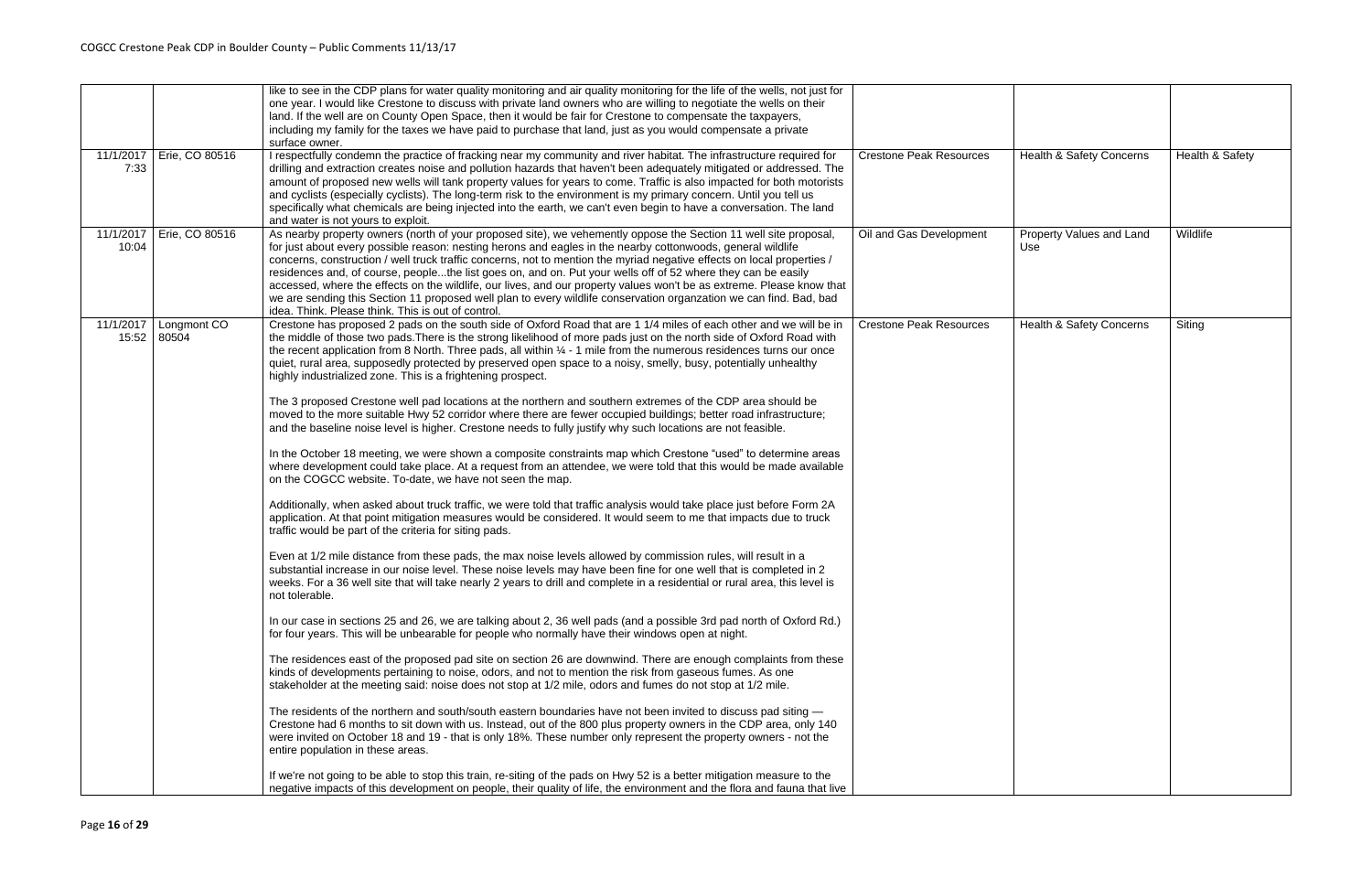| 11/1/2017          | Erie, CO 80516       | like to see in the CDP plans for water quality monitoring and air quality monitoring for the life of the wells, not just for<br>one year. I would like Crestone to discuss with private land owners who are willing to negotiate the wells on their<br>land. If the well are on County Open Space, then it would be fair for Crestone to compensate the taxpayers,<br>including my family for the taxes we have paid to purchase that land, just as you would compensate a private<br>surface owner.<br>I respectfully condemn the practice of fracking near my community and river habitat. The infrastructure required for                                                                                                                                                   | <b>Crestone Peak Resources</b> | Health & Safety Concerns        | Health & Safety |
|--------------------|----------------------|--------------------------------------------------------------------------------------------------------------------------------------------------------------------------------------------------------------------------------------------------------------------------------------------------------------------------------------------------------------------------------------------------------------------------------------------------------------------------------------------------------------------------------------------------------------------------------------------------------------------------------------------------------------------------------------------------------------------------------------------------------------------------------|--------------------------------|---------------------------------|-----------------|
| 7:33               |                      | drilling and extraction creates noise and pollution hazards that haven't been adequately mitigated or addressed. The<br>amount of proposed new wells will tank property values for years to come. Traffic is also impacted for both motorists<br>and cyclists (especially cyclists). The long-term risk to the environment is my primary concern. Until you tell us<br>specifically what chemicals are being injected into the earth, we can't even begin to have a conversation. The land<br>and water is not yours to exploit.                                                                                                                                                                                                                                               |                                |                                 |                 |
| 11/1/2017<br>10:04 | Erie, CO 80516       | As nearby property owners (north of your proposed site), we vehemently oppose the Section 11 well site proposal,<br>for just about every possible reason: nesting herons and eagles in the nearby cottonwoods, general wildlife<br>concerns, construction / well truck traffic concerns, not to mention the myriad negative effects on local properties /<br>residences and, of course, peoplethe list goes on, and on. Put your wells off of 52 where they can be easily<br>accessed, where the effects on the wildlife, our lives, and our property values won't be as extreme. Please know that<br>we are sending this Section 11 proposed well plan to every wildlife conservation organzation we can find. Bad, bad<br>idea. Think. Please think. This is out of control. | Oil and Gas Development        | Property Values and Land<br>Use | Wildlife        |
| 11/1/2017<br>15:52 | Longmont CO<br>80504 | Crestone has proposed 2 pads on the south side of Oxford Road that are 1 1/4 miles of each other and we will be in<br>the middle of those two pads. There is the strong likelihood of more pads just on the north side of Oxford Road with<br>the recent application from 8 North. Three pads, all within $\frac{1}{4}$ - 1 mile from the numerous residences turns our once<br>quiet, rural area, supposedly protected by preserved open space to a noisy, smelly, busy, potentially unhealthy<br>highly industrialized zone. This is a frightening prospect.                                                                                                                                                                                                                 | <b>Crestone Peak Resources</b> | Health & Safety Concerns        | Siting          |
|                    |                      | The 3 proposed Crestone well pad locations at the northern and southern extremes of the CDP area should be<br>moved to the more suitable Hwy 52 corridor where there are fewer occupied buildings; better road infrastructure;<br>and the baseline noise level is higher. Crestone needs to fully justify why such locations are not feasible.<br>In the October 18 meeting, we were shown a composite constraints map which Crestone "used" to determine areas                                                                                                                                                                                                                                                                                                                |                                |                                 |                 |
|                    |                      | where development could take place. At a request from an attendee, we were told that this would be made available<br>on the COGCC website. To-date, we have not seen the map.<br>Additionally, when asked about truck traffic, we were told that traffic analysis would take place just before Form 2A                                                                                                                                                                                                                                                                                                                                                                                                                                                                         |                                |                                 |                 |
|                    |                      | application. At that point mitigation measures would be considered. It would seem to me that impacts due to truck<br>traffic would be part of the criteria for siting pads.<br>Even at 1/2 mile distance from these pads, the max noise levels allowed by commission rules, will result in a                                                                                                                                                                                                                                                                                                                                                                                                                                                                                   |                                |                                 |                 |
|                    |                      | substantial increase in our noise level. These noise levels may have been fine for one well that is completed in 2<br>weeks. For a 36 well site that will take nearly 2 years to drill and complete in a residential or rural area, this level is<br>not tolerable.                                                                                                                                                                                                                                                                                                                                                                                                                                                                                                            |                                |                                 |                 |
|                    |                      | In our case in sections 25 and 26, we are talking about 2, 36 well pads (and a possible 3rd pad north of Oxford Rd.)<br>for four years. This will be unbearable for people who normally have their windows open at night.                                                                                                                                                                                                                                                                                                                                                                                                                                                                                                                                                      |                                |                                 |                 |
|                    |                      | The residences east of the proposed pad site on section 26 are downwind. There are enough complaints from these<br>kinds of developments pertaining to noise, odors, and not to mention the risk from gaseous fumes. As one<br>stakeholder at the meeting said: noise does not stop at 1/2 mile, odors and fumes do not stop at 1/2 mile.                                                                                                                                                                                                                                                                                                                                                                                                                                      |                                |                                 |                 |
|                    |                      | The residents of the northern and south/south eastern boundaries have not been invited to discuss pad siting -<br>Crestone had 6 months to sit down with us. Instead, out of the 800 plus property owners in the CDP area, only 140<br>were invited on October 18 and 19 - that is only 18%. These number only represent the property owners - not the<br>entire population in these areas.                                                                                                                                                                                                                                                                                                                                                                                    |                                |                                 |                 |
|                    |                      | If we're not going to be able to stop this train, re-siting of the pads on Hwy 52 is a better mitigation measure to the<br>negative impacts of this development on people, their quality of life, the environment and the flora and fauna that live                                                                                                                                                                                                                                                                                                                                                                                                                                                                                                                            |                                |                                 |                 |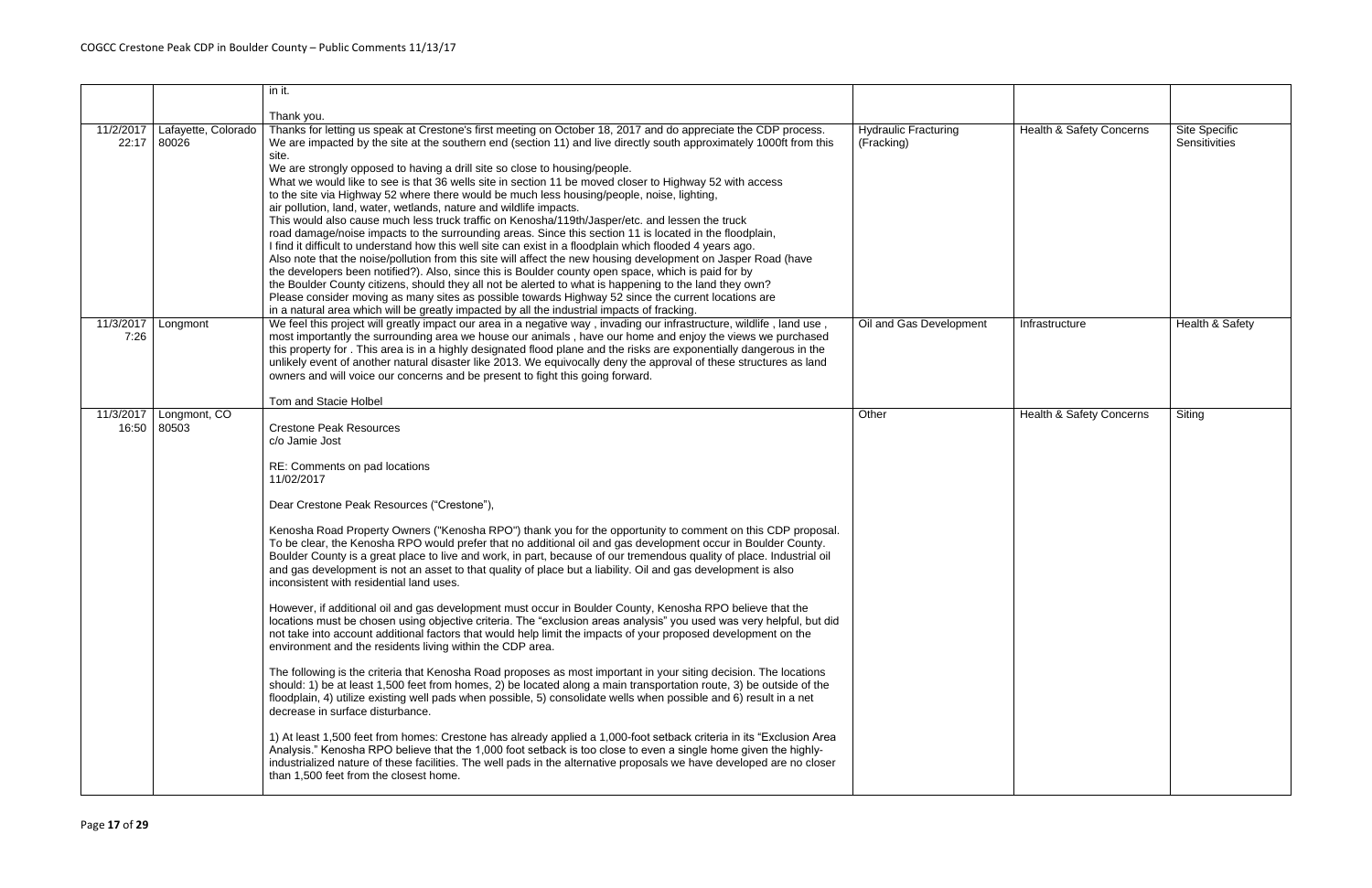|                                                    | in it.                                                                                                                                                                                                                                                                                                                                                                                                                                                                                                                                                                                                                                                                                                                                                                                                                                                                                                                                                                                                                                                                                                                                                                                                                                                                                                                                                                                                                                                                                                                                                                                                                                                                                                                                                                                                                                                                                                      |                                           |                          |                                |
|----------------------------------------------------|-------------------------------------------------------------------------------------------------------------------------------------------------------------------------------------------------------------------------------------------------------------------------------------------------------------------------------------------------------------------------------------------------------------------------------------------------------------------------------------------------------------------------------------------------------------------------------------------------------------------------------------------------------------------------------------------------------------------------------------------------------------------------------------------------------------------------------------------------------------------------------------------------------------------------------------------------------------------------------------------------------------------------------------------------------------------------------------------------------------------------------------------------------------------------------------------------------------------------------------------------------------------------------------------------------------------------------------------------------------------------------------------------------------------------------------------------------------------------------------------------------------------------------------------------------------------------------------------------------------------------------------------------------------------------------------------------------------------------------------------------------------------------------------------------------------------------------------------------------------------------------------------------------------|-------------------------------------------|--------------------------|--------------------------------|
|                                                    | Thank you.                                                                                                                                                                                                                                                                                                                                                                                                                                                                                                                                                                                                                                                                                                                                                                                                                                                                                                                                                                                                                                                                                                                                                                                                                                                                                                                                                                                                                                                                                                                                                                                                                                                                                                                                                                                                                                                                                                  |                                           |                          |                                |
| Lafayette, Colorado<br>11/2/2017<br>22:17<br>80026 | Thanks for letting us speak at Crestone's first meeting on October 18, 2017 and do appreciate the CDP process.<br>We are impacted by the site at the southern end (section 11) and live directly south approximately 1000ft from this<br>site.<br>We are strongly opposed to having a drill site so close to housing/people.<br>What we would like to see is that 36 wells site in section 11 be moved closer to Highway 52 with access<br>to the site via Highway 52 where there would be much less housing/people, noise, lighting,<br>air pollution, land, water, wetlands, nature and wildlife impacts.<br>This would also cause much less truck traffic on Kenosha/119th/Jasper/etc. and lessen the truck<br>road damage/noise impacts to the surrounding areas. Since this section 11 is located in the floodplain,<br>I find it difficult to understand how this well site can exist in a floodplain which flooded 4 years ago.<br>Also note that the noise/pollution from this site will affect the new housing development on Jasper Road (have<br>the developers been notified?). Also, since this is Boulder county open space, which is paid for by<br>the Boulder County citizens, should they all not be alerted to what is happening to the land they own?<br>Please consider moving as many sites as possible towards Highway 52 since the current locations are<br>in a natural area which will be greatly impacted by all the industrial impacts of fracking.                                                                                                                                                                                                                                                                                                                                                                                                                             | <b>Hydraulic Fracturing</b><br>(Fracking) | Health & Safety Concerns | Site Specific<br>Sensitivities |
| 11/3/2017<br>Longmont<br>7:26                      | We feel this project will greatly impact our area in a negative way, invading our infrastructure, wildlife, land use,<br>most importantly the surrounding area we house our animals, have our home and enjoy the views we purchased<br>this property for . This area is in a highly designated flood plane and the risks are exponentially dangerous in the<br>unlikely event of another natural disaster like 2013. We equivocally deny the approval of these structures as land<br>owners and will voice our concerns and be present to fight this going forward.<br>Tom and Stacie Holbel                                                                                                                                                                                                                                                                                                                                                                                                                                                                                                                                                                                                                                                                                                                                                                                                                                                                                                                                                                                                                                                                                                                                                                                                                                                                                                                | Oil and Gas Development                   | Infrastructure           | Health & Safety                |
| 11/3/2017<br>Longmont, CO<br>16:50<br>80503        | <b>Crestone Peak Resources</b><br>c/o Jamie Jost<br>RE: Comments on pad locations<br>11/02/2017<br>Dear Crestone Peak Resources ("Crestone"),<br>Kenosha Road Property Owners ("Kenosha RPO") thank you for the opportunity to comment on this CDP proposal.<br>To be clear, the Kenosha RPO would prefer that no additional oil and gas development occur in Boulder County.<br>Boulder County is a great place to live and work, in part, because of our tremendous quality of place. Industrial oil<br>and gas development is not an asset to that quality of place but a liability. Oil and gas development is also<br>inconsistent with residential land uses.<br>However, if additional oil and gas development must occur in Boulder County, Kenosha RPO believe that the<br>locations must be chosen using objective criteria. The "exclusion areas analysis" you used was very helpful, but did<br>not take into account additional factors that would help limit the impacts of your proposed development on the<br>environment and the residents living within the CDP area.<br>The following is the criteria that Kenosha Road proposes as most important in your siting decision. The locations<br>should: 1) be at least 1,500 feet from homes, 2) be located along a main transportation route, 3) be outside of the<br>floodplain, 4) utilize existing well pads when possible, 5) consolidate wells when possible and 6) result in a net<br>decrease in surface disturbance.<br>1) At least 1,500 feet from homes: Crestone has already applied a 1,000-foot setback criteria in its "Exclusion Area<br>Analysis." Kenosha RPO believe that the 1,000 foot setback is too close to even a single home given the highly-<br>industrialized nature of these facilities. The well pads in the alternative proposals we have developed are no closer<br>than 1,500 feet from the closest home. | Other                                     | Health & Safety Concerns | Siting                         |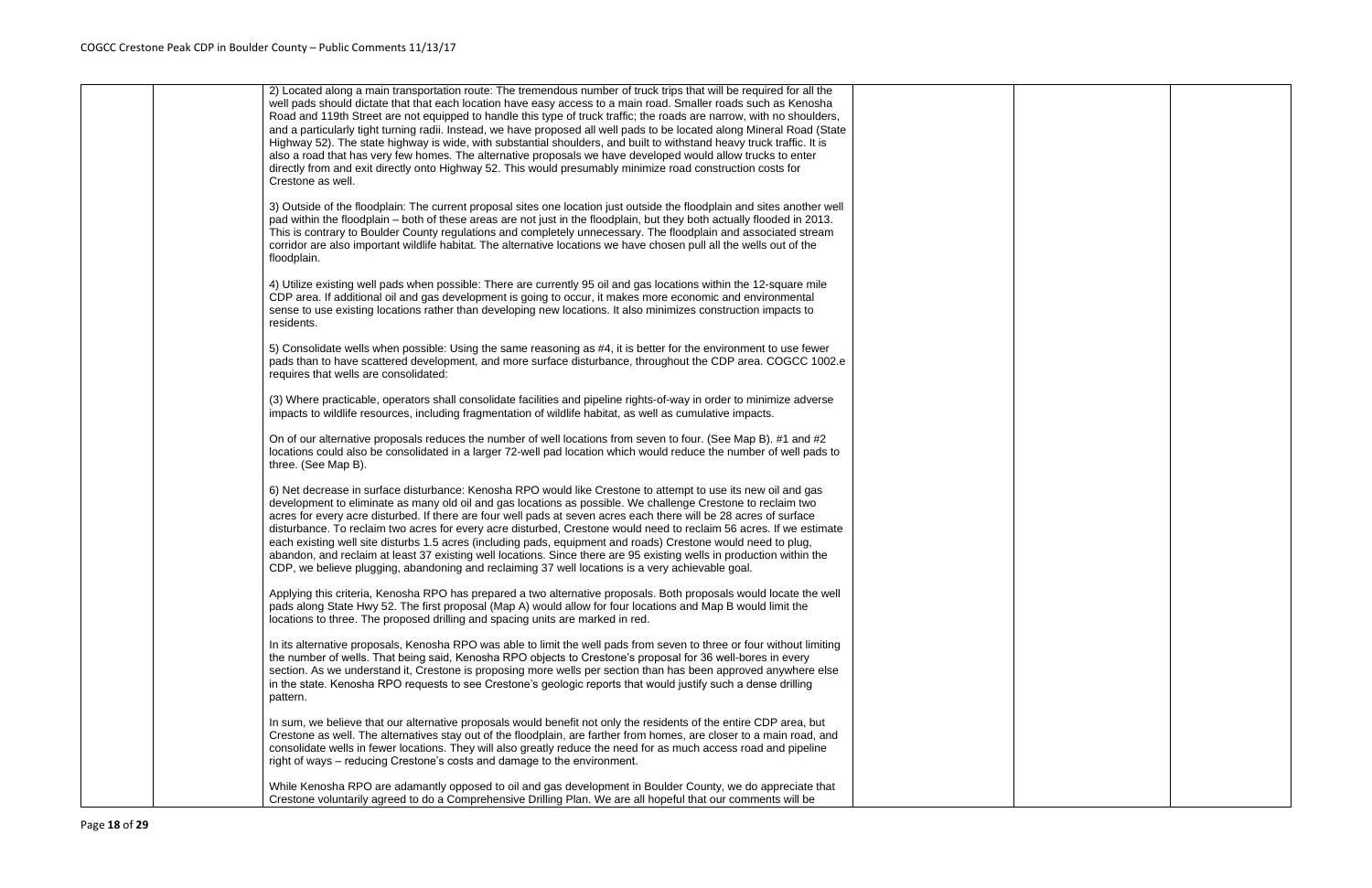|  | 2) Located along a main transportation route: The tremendous number of truck trips that will be required for all the<br>well pads should dictate that that each location have easy access to a main road. Smaller roads such as Kenosha<br>Road and 119th Street are not equipped to handle this type of truck traffic; the roads are narrow, with no shoulders,<br>and a particularly tight turning radii. Instead, we have proposed all well pads to be located along Mineral Road (State<br>Highway 52). The state highway is wide, with substantial shoulders, and built to withstand heavy truck traffic. It is<br>also a road that has very few homes. The alternative proposals we have developed would allow trucks to enter<br>directly from and exit directly onto Highway 52. This would presumably minimize road construction costs for<br>Crestone as well. |
|--|--------------------------------------------------------------------------------------------------------------------------------------------------------------------------------------------------------------------------------------------------------------------------------------------------------------------------------------------------------------------------------------------------------------------------------------------------------------------------------------------------------------------------------------------------------------------------------------------------------------------------------------------------------------------------------------------------------------------------------------------------------------------------------------------------------------------------------------------------------------------------|
|  | 3) Outside of the floodplain: The current proposal sites one location just outside the floodplain and sites another well<br>pad within the floodplain – both of these areas are not just in the floodplain, but they both actually flooded in 2013.<br>This is contrary to Boulder County regulations and completely unnecessary. The floodplain and associated stream<br>corridor are also important wildlife habitat. The alternative locations we have chosen pull all the wells out of the<br>floodplain.                                                                                                                                                                                                                                                                                                                                                            |
|  | 4) Utilize existing well pads when possible: There are currently 95 oil and gas locations within the 12-square mile<br>CDP area. If additional oil and gas development is going to occur, it makes more economic and environmental<br>sense to use existing locations rather than developing new locations. It also minimizes construction impacts to<br>residents.                                                                                                                                                                                                                                                                                                                                                                                                                                                                                                      |
|  | 5) Consolidate wells when possible: Using the same reasoning as #4, it is better for the environment to use fewer<br>pads than to have scattered development, and more surface disturbance, throughout the CDP area. COGCC 1002.e<br>requires that wells are consolidated:                                                                                                                                                                                                                                                                                                                                                                                                                                                                                                                                                                                               |
|  | (3) Where practicable, operators shall consolidate facilities and pipeline rights-of-way in order to minimize adverse<br>impacts to wildlife resources, including fragmentation of wildlife habitat, as well as cumulative impacts.                                                                                                                                                                                                                                                                                                                                                                                                                                                                                                                                                                                                                                      |
|  | On of our alternative proposals reduces the number of well locations from seven to four. (See Map B). #1 and #2<br>locations could also be consolidated in a larger 72-well pad location which would reduce the number of well pads to<br>three. (See Map B).                                                                                                                                                                                                                                                                                                                                                                                                                                                                                                                                                                                                            |
|  | 6) Net decrease in surface disturbance: Kenosha RPO would like Crestone to attempt to use its new oil and gas<br>development to eliminate as many old oil and gas locations as possible. We challenge Crestone to reclaim two<br>acres for every acre disturbed. If there are four well pads at seven acres each there will be 28 acres of surface<br>disturbance. To reclaim two acres for every acre disturbed, Crestone would need to reclaim 56 acres. If we estimate<br>each existing well site disturbs 1.5 acres (including pads, equipment and roads) Crestone would need to plug,<br>abandon, and reclaim at least 37 existing well locations. Since there are 95 existing wells in production within the<br>CDP, we believe plugging, abandoning and reclaiming 37 well locations is a very achievable goal.                                                   |
|  | Applying this criteria, Kenosha RPO has prepared a two alternative proposals. Both proposals would locate the well<br>pads along State Hwy 52. The first proposal (Map A) would allow for four locations and Map B would limit the<br>locations to three. The proposed drilling and spacing units are marked in red.                                                                                                                                                                                                                                                                                                                                                                                                                                                                                                                                                     |
|  | In its alternative proposals, Kenosha RPO was able to limit the well pads from seven to three or four without limiting<br>the number of wells. That being said, Kenosha RPO objects to Crestone's proposal for 36 well-bores in every<br>section. As we understand it, Crestone is proposing more wells per section than has been approved anywhere else<br>in the state. Kenosha RPO requests to see Crestone's geologic reports that would justify such a dense drilling<br>pattern.                                                                                                                                                                                                                                                                                                                                                                                   |
|  | In sum, we believe that our alternative proposals would benefit not only the residents of the entire CDP area, but<br>Crestone as well. The alternatives stay out of the floodplain, are farther from homes, are closer to a main road, and<br>consolidate wells in fewer locations. They will also greatly reduce the need for as much access road and pipeline<br>right of ways - reducing Crestone's costs and damage to the environment.                                                                                                                                                                                                                                                                                                                                                                                                                             |
|  | While Kenosha RPO are adamantly opposed to oil and gas development in Boulder County, we do appreciate that<br>Crestone voluntarily agreed to do a Comprehensive Drilling Plan. We are all hopeful that our comments will be                                                                                                                                                                                                                                                                                                                                                                                                                                                                                                                                                                                                                                             |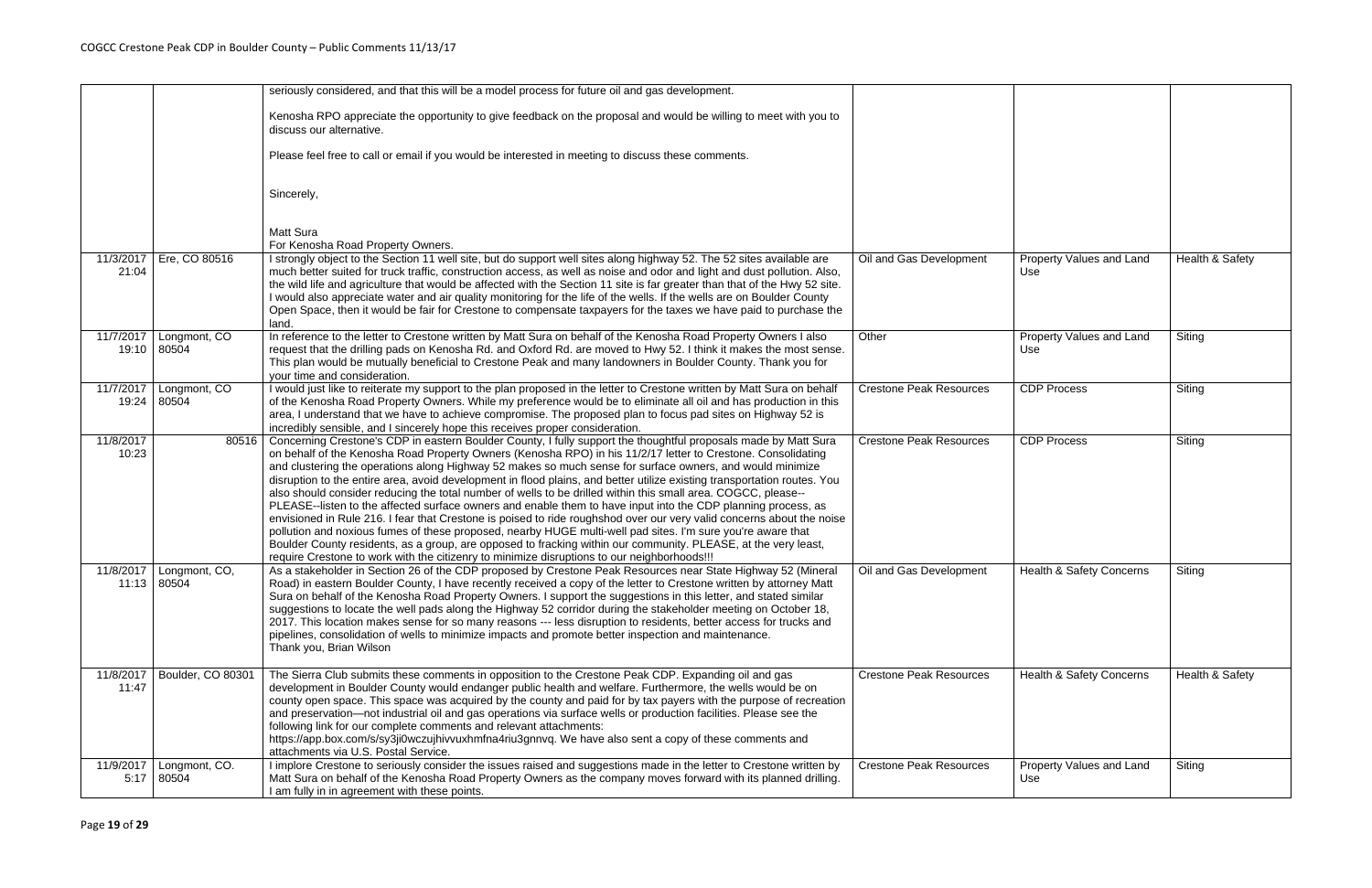|                    |                                            | seriously considered, and that this will be a model process for future oil and gas development.<br>Kenosha RPO appreciate the opportunity to give feedback on the proposal and would be willing to meet with you to<br>discuss our alternative.<br>Please feel free to call or email if you would be interested in meeting to discuss these comments.<br>Sincerely,<br>Matt Sura<br>For Kenosha Road Property Owners.                                                                                                                                                                                                                                                                                                                                                                                                                                                                                                                                                                                                                                                                                                                                               |                                |                                     |                 |
|--------------------|--------------------------------------------|---------------------------------------------------------------------------------------------------------------------------------------------------------------------------------------------------------------------------------------------------------------------------------------------------------------------------------------------------------------------------------------------------------------------------------------------------------------------------------------------------------------------------------------------------------------------------------------------------------------------------------------------------------------------------------------------------------------------------------------------------------------------------------------------------------------------------------------------------------------------------------------------------------------------------------------------------------------------------------------------------------------------------------------------------------------------------------------------------------------------------------------------------------------------|--------------------------------|-------------------------------------|-----------------|
| 11/3/2017<br>21:04 | Ere, CO 80516                              | I strongly object to the Section 11 well site, but do support well sites along highway 52. The 52 sites available are<br>much better suited for truck traffic, construction access, as well as noise and odor and light and dust pollution. Also,<br>the wild life and agriculture that would be affected with the Section 11 site is far greater than that of the Hwy 52 site.<br>I would also appreciate water and air quality monitoring for the life of the wells. If the wells are on Boulder County<br>Open Space, then it would be fair for Crestone to compensate taxpayers for the taxes we have paid to purchase the<br>land.                                                                                                                                                                                                                                                                                                                                                                                                                                                                                                                             | Oil and Gas Development        | Property Values and Land<br>Use     | Health & Safety |
| 11/7/2017          | Longmont, CO<br>19:10 80504                | In reference to the letter to Crestone written by Matt Sura on behalf of the Kenosha Road Property Owners I also<br>request that the drilling pads on Kenosha Rd. and Oxford Rd. are moved to Hwy 52. I think it makes the most sense.<br>This plan would be mutually beneficial to Crestone Peak and many landowners in Boulder County. Thank you for<br>your time and consideration.                                                                                                                                                                                                                                                                                                                                                                                                                                                                                                                                                                                                                                                                                                                                                                              | Other                          | Property Values and Land<br>Use     | Siting          |
| 11/7/2017          | Longmont, CO<br>19:24 80504                | I would just like to reiterate my support to the plan proposed in the letter to Crestone written by Matt Sura on behalf<br>of the Kenosha Road Property Owners. While my preference would be to eliminate all oil and has production in this<br>area, I understand that we have to achieve compromise. The proposed plan to focus pad sites on Highway 52 is<br>incredibly sensible, and I sincerely hope this receives proper consideration.                                                                                                                                                                                                                                                                                                                                                                                                                                                                                                                                                                                                                                                                                                                       | <b>Crestone Peak Resources</b> | <b>CDP Process</b>                  | Siting          |
| 11/8/2017<br>10:23 | 80516                                      | Concerning Crestone's CDP in eastern Boulder County, I fully support the thoughtful proposals made by Matt Sura<br>on behalf of the Kenosha Road Property Owners (Kenosha RPO) in his 11/2/17 letter to Crestone. Consolidating<br>and clustering the operations along Highway 52 makes so much sense for surface owners, and would minimize<br>disruption to the entire area, avoid development in flood plains, and better utilize existing transportation routes. You<br>also should consider reducing the total number of wells to be drilled within this small area. COGCC, please--<br>PLEASE--listen to the affected surface owners and enable them to have input into the CDP planning process, as<br>envisioned in Rule 216. I fear that Crestone is poised to ride roughshod over our very valid concerns about the noise<br>pollution and noxious fumes of these proposed, nearby HUGE multi-well pad sites. I'm sure you're aware that<br>Boulder County residents, as a group, are opposed to fracking within our community. PLEASE, at the very least,<br>require Crestone to work with the citizenry to minimize disruptions to our neighborhoods!!! | <b>Crestone Peak Resources</b> | <b>CDP Process</b>                  | Siting          |
|                    | 11/8/2017   Longmont, CO,<br>$11:13$ 80504 | As a stakeholder in Section 26 of the CDP proposed by Crestone Peak Resources near State Highway 52 (Mineral<br>Road) in eastern Boulder County, I have recently received a copy of the letter to Crestone written by attorney Matt<br>Sura on behalf of the Kenosha Road Property Owners. I support the suggestions in this letter, and stated similar<br>suggestions to locate the well pads along the Highway 52 corridor during the stakeholder meeting on October 18,<br>2017. This location makes sense for so many reasons --- less disruption to residents, better access for trucks and<br>pipelines, consolidation of wells to minimize impacts and promote better inspection and maintenance.<br>Thank you, Brian Wilson                                                                                                                                                                                                                                                                                                                                                                                                                                 | Oil and Gas Development        | <b>Health &amp; Safety Concerns</b> | Siting          |
| 11/8/2017<br>11:47 | Boulder, CO 80301                          | The Sierra Club submits these comments in opposition to the Crestone Peak CDP. Expanding oil and gas<br>development in Boulder County would endanger public health and welfare. Furthermore, the wells would be on<br>county open space. This space was acquired by the county and paid for by tax payers with the purpose of recreation<br>and preservation-not industrial oil and gas operations via surface wells or production facilities. Please see the<br>following link for our complete comments and relevant attachments:<br>https://app.box.com/s/sy3ji0wczujhivvuxhmfna4riu3gnnvq. We have also sent a copy of these comments and<br>attachments via U.S. Postal Service.                                                                                                                                                                                                                                                                                                                                                                                                                                                                               | <b>Crestone Peak Resources</b> | Health & Safety Concerns            | Health & Safety |
| 11/9/2017          | Longmont, CO.<br>$5:17$ 80504              | I implore Crestone to seriously consider the issues raised and suggestions made in the letter to Crestone written by<br>Matt Sura on behalf of the Kenosha Road Property Owners as the company moves forward with its planned drilling.<br>I am fully in in agreement with these points.                                                                                                                                                                                                                                                                                                                                                                                                                                                                                                                                                                                                                                                                                                                                                                                                                                                                            | <b>Crestone Peak Resources</b> | Property Values and Land<br>Use     | Siting          |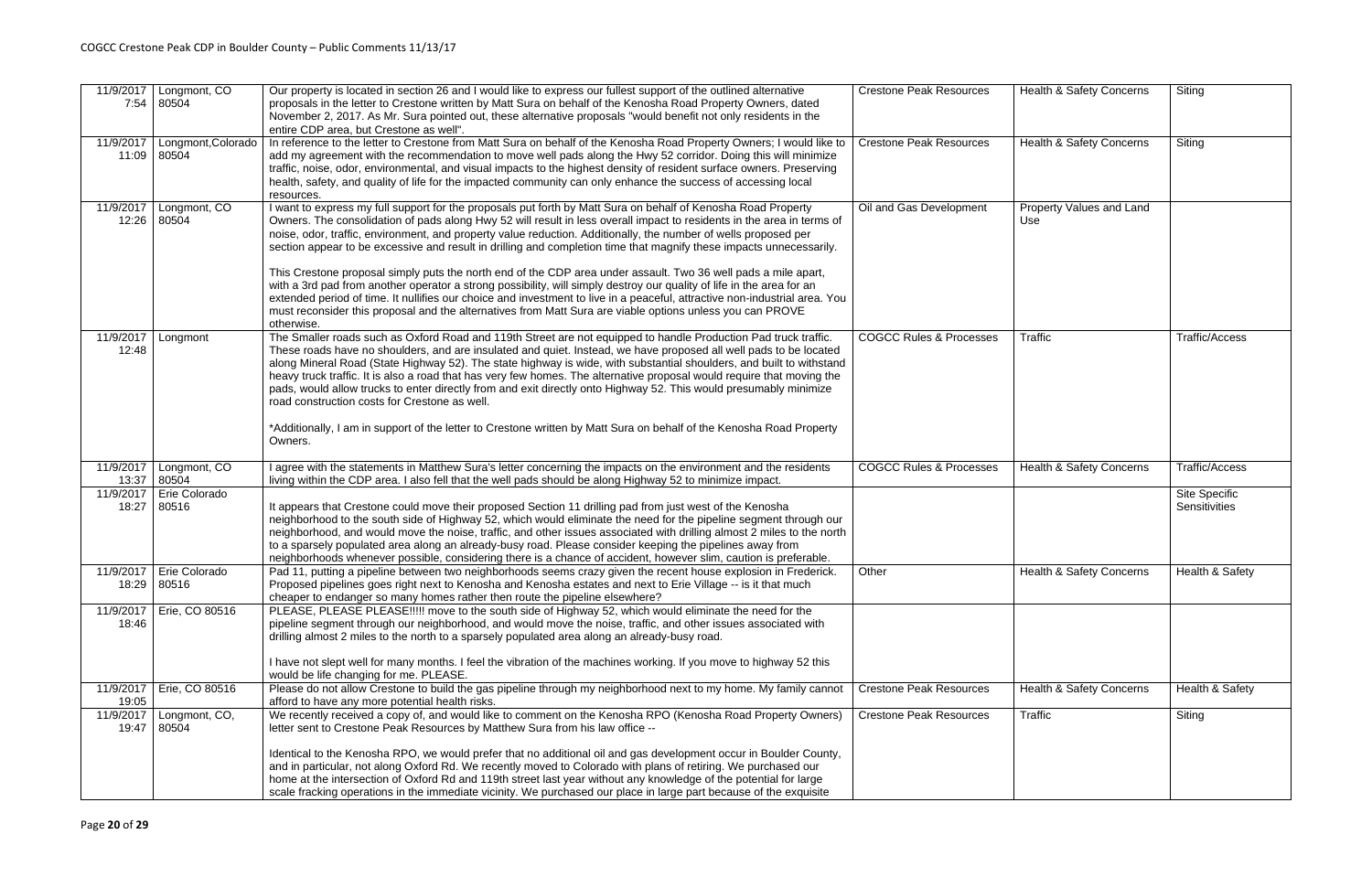| 11/9/2017          | Longmont, CO<br>7:54 80504               | Our property is located in section 26 and I would like to express our fullest support of the outlined alternative<br>proposals in the letter to Crestone written by Matt Sura on behalf of the Kenosha Road Property Owners, dated<br>November 2, 2017. As Mr. Sura pointed out, these alternative proposals "would benefit not only residents in the<br>entire CDP area, but Crestone as well".                                                                                                                                                                                                                                                                                                                                                                                                                                                                                                                                                                                      | <b>Crestone Peak Resources</b>     | <b>Health &amp; Safety Concerns</b> | Siting                                |
|--------------------|------------------------------------------|---------------------------------------------------------------------------------------------------------------------------------------------------------------------------------------------------------------------------------------------------------------------------------------------------------------------------------------------------------------------------------------------------------------------------------------------------------------------------------------------------------------------------------------------------------------------------------------------------------------------------------------------------------------------------------------------------------------------------------------------------------------------------------------------------------------------------------------------------------------------------------------------------------------------------------------------------------------------------------------|------------------------------------|-------------------------------------|---------------------------------------|
| 11/9/2017          | Longmont, Colorado<br>11:09 80504        | In reference to the letter to Crestone from Matt Sura on behalf of the Kenosha Road Property Owners; I would like to<br>add my agreement with the recommendation to move well pads along the Hwy 52 corridor. Doing this will minimize<br>traffic, noise, odor, environmental, and visual impacts to the highest density of resident surface owners. Preserving<br>health, safety, and quality of life for the impacted community can only enhance the success of accessing local<br>resources.                                                                                                                                                                                                                                                                                                                                                                                                                                                                                       | <b>Crestone Peak Resources</b>     | Health & Safety Concerns            | Siting                                |
| 11/9/2017<br>12:26 | Longmont, CO<br>80504                    | I want to express my full support for the proposals put forth by Matt Sura on behalf of Kenosha Road Property<br>Owners. The consolidation of pads along Hwy 52 will result in less overall impact to residents in the area in terms of<br>noise, odor, traffic, environment, and property value reduction. Additionally, the number of wells proposed per<br>section appear to be excessive and result in drilling and completion time that magnify these impacts unnecessarily.<br>This Crestone proposal simply puts the north end of the CDP area under assault. Two 36 well pads a mile apart,<br>with a 3rd pad from another operator a strong possibility, will simply destroy our quality of life in the area for an<br>extended period of time. It nullifies our choice and investment to live in a peaceful, attractive non-industrial area. You<br>must reconsider this proposal and the alternatives from Matt Sura are viable options unless you can PROVE<br>otherwise. | Oil and Gas Development            | Property Values and Land<br>Use     |                                       |
| 11/9/2017<br>12:48 | Longmont                                 | The Smaller roads such as Oxford Road and 119th Street are not equipped to handle Production Pad truck traffic.<br>These roads have no shoulders, and are insulated and quiet. Instead, we have proposed all well pads to be located<br>along Mineral Road (State Highway 52). The state highway is wide, with substantial shoulders, and built to withstand<br>heavy truck traffic. It is also a road that has very few homes. The alternative proposal would require that moving the<br>pads, would allow trucks to enter directly from and exit directly onto Highway 52. This would presumably minimize<br>road construction costs for Crestone as well.<br>*Additionally, I am in support of the letter to Crestone written by Matt Sura on behalf of the Kenosha Road Property<br>Owners.                                                                                                                                                                                       | <b>COGCC Rules &amp; Processes</b> | Traffic                             | <b>Traffic/Access</b>                 |
| 11/9/2017          | Longmont, CO<br>13:37 80504              | I agree with the statements in Matthew Sura's letter concerning the impacts on the environment and the residents<br>living within the CDP area. I also fell that the well pads should be along Highway 52 to minimize impact.                                                                                                                                                                                                                                                                                                                                                                                                                                                                                                                                                                                                                                                                                                                                                         | <b>COGCC Rules &amp; Processes</b> | Health & Safety Concerns            | <b>Traffic/Access</b>                 |
| 11/9/2017<br>18:27 | Erie Colorado<br>80516                   | It appears that Crestone could move their proposed Section 11 drilling pad from just west of the Kenosha<br>neighborhood to the south side of Highway 52, which would eliminate the need for the pipeline segment through our<br>neighborhood, and would move the noise, traffic, and other issues associated with drilling almost 2 miles to the north<br>to a sparsely populated area along an already-busy road. Please consider keeping the pipelines away from<br>neighborhoods whenever possible, considering there is a chance of accident, however slim, caution is preferable.                                                                                                                                                                                                                                                                                                                                                                                               |                                    |                                     | <b>Site Specific</b><br>Sensitivities |
|                    | 11/9/2017   Erie Colorado<br>18:29 80516 | Pad 11, putting a pipeline between two neighborhoods seems crazy given the recent house explosion in Frederick.<br>Proposed pipelines goes right next to Kenosha and Kenosha estates and next to Erie Village -- is it that much<br>cheaper to endanger so many homes rather then route the pipeline elsewhere?                                                                                                                                                                                                                                                                                                                                                                                                                                                                                                                                                                                                                                                                       | Other                              | Health & Safety Concerns            | Health & Safety                       |
| 11/9/2017<br>18:46 | Erie, CO 80516                           | PLEASE, PLEASE PLEASE !!!!! move to the south side of Highway 52, which would eliminate the need for the<br>pipeline segment through our neighborhood, and would move the noise, traffic, and other issues associated with<br>drilling almost 2 miles to the north to a sparsely populated area along an already-busy road.<br>I have not slept well for many months. I feel the vibration of the machines working. If you move to highway 52 this                                                                                                                                                                                                                                                                                                                                                                                                                                                                                                                                    |                                    |                                     |                                       |
| 11/9/2017          | Erie, CO 80516                           | would be life changing for me. PLEASE.<br>Please do not allow Crestone to build the gas pipeline through my neighborhood next to my home. My family cannot                                                                                                                                                                                                                                                                                                                                                                                                                                                                                                                                                                                                                                                                                                                                                                                                                            | <b>Crestone Peak Resources</b>     | Health & Safety Concerns            | Health & Safety                       |
| 19:05              | 11/9/2017   Longmont, CO,                | afford to have any more potential health risks.<br>We recently received a copy of, and would like to comment on the Kenosha RPO (Kenosha Road Property Owners)                                                                                                                                                                                                                                                                                                                                                                                                                                                                                                                                                                                                                                                                                                                                                                                                                        | <b>Crestone Peak Resources</b>     | <b>Traffic</b>                      | Siting                                |
|                    | 19:47 80504                              | letter sent to Crestone Peak Resources by Matthew Sura from his law office --<br>Identical to the Kenosha RPO, we would prefer that no additional oil and gas development occur in Boulder County,<br>and in particular, not along Oxford Rd. We recently moved to Colorado with plans of retiring. We purchased our<br>home at the intersection of Oxford Rd and 119th street last year without any knowledge of the potential for large<br>scale fracking operations in the immediate vicinity. We purchased our place in large part because of the exquisite                                                                                                                                                                                                                                                                                                                                                                                                                       |                                    |                                     |                                       |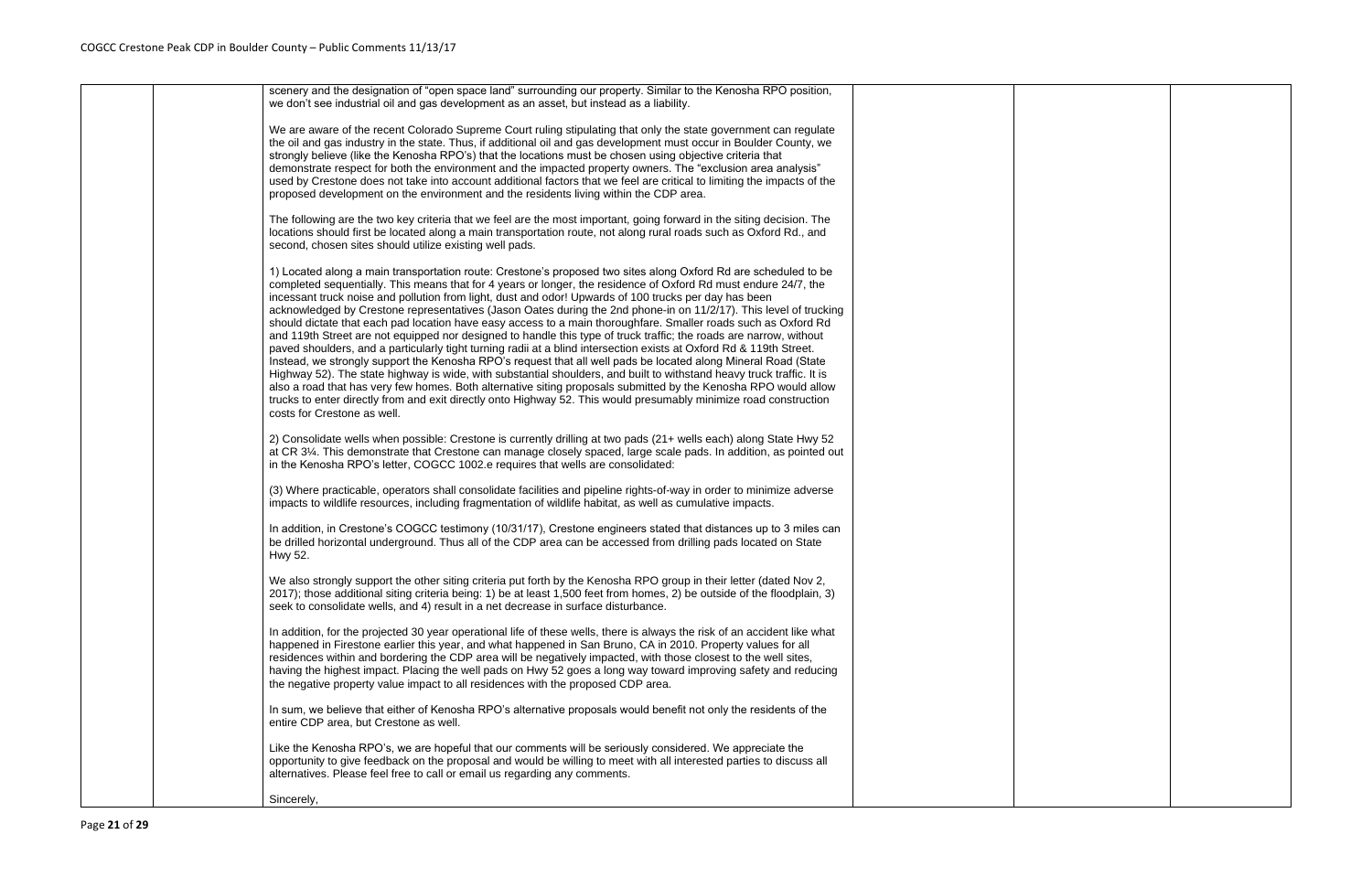|  | scenery and the designation of "open space land" surrounding our property. Similar to the Kenosha RPO position,<br>we don't see industrial oil and gas development as an asset, but instead as a liability.                                                                                                                                                                                                                                                                                                                                                                                                                                                                                                                                                                                                                                                                                                                                                                                                                                                                                                                                                                                                                                                                                                                                       |
|--|---------------------------------------------------------------------------------------------------------------------------------------------------------------------------------------------------------------------------------------------------------------------------------------------------------------------------------------------------------------------------------------------------------------------------------------------------------------------------------------------------------------------------------------------------------------------------------------------------------------------------------------------------------------------------------------------------------------------------------------------------------------------------------------------------------------------------------------------------------------------------------------------------------------------------------------------------------------------------------------------------------------------------------------------------------------------------------------------------------------------------------------------------------------------------------------------------------------------------------------------------------------------------------------------------------------------------------------------------|
|  | We are aware of the recent Colorado Supreme Court ruling stipulating that only the state government can regulate<br>the oil and gas industry in the state. Thus, if additional oil and gas development must occur in Boulder County, we<br>strongly believe (like the Kenosha RPO's) that the locations must be chosen using objective criteria that<br>demonstrate respect for both the environment and the impacted property owners. The "exclusion area analysis"<br>used by Crestone does not take into account additional factors that we feel are critical to limiting the impacts of the<br>proposed development on the environment and the residents living within the CDP area.                                                                                                                                                                                                                                                                                                                                                                                                                                                                                                                                                                                                                                                          |
|  | The following are the two key criteria that we feel are the most important, going forward in the siting decision. The<br>locations should first be located along a main transportation route, not along rural roads such as Oxford Rd., and<br>second, chosen sites should utilize existing well pads.                                                                                                                                                                                                                                                                                                                                                                                                                                                                                                                                                                                                                                                                                                                                                                                                                                                                                                                                                                                                                                            |
|  | 1) Located along a main transportation route: Crestone's proposed two sites along Oxford Rd are scheduled to be<br>completed sequentially. This means that for 4 years or longer, the residence of Oxford Rd must endure 24/7, the<br>incessant truck noise and pollution from light, dust and odor! Upwards of 100 trucks per day has been<br>acknowledged by Crestone representatives (Jason Oates during the 2nd phone-in on 11/2/17). This level of trucking<br>should dictate that each pad location have easy access to a main thoroughfare. Smaller roads such as Oxford Rd<br>and 119th Street are not equipped nor designed to handle this type of truck traffic; the roads are narrow, without<br>paved shoulders, and a particularly tight turning radii at a blind intersection exists at Oxford Rd & 119th Street.<br>Instead, we strongly support the Kenosha RPO's request that all well pads be located along Mineral Road (State<br>Highway 52). The state highway is wide, with substantial shoulders, and built to withstand heavy truck traffic. It is<br>also a road that has very few homes. Both alternative siting proposals submitted by the Kenosha RPO would allow<br>trucks to enter directly from and exit directly onto Highway 52. This would presumably minimize road construction<br>costs for Crestone as well. |
|  | 2) Consolidate wells when possible: Crestone is currently drilling at two pads (21+ wells each) along State Hwy 52<br>at CR 3¼. This demonstrate that Crestone can manage closely spaced, large scale pads. In addition, as pointed out<br>in the Kenosha RPO's letter, COGCC 1002.e requires that wells are consolidated:                                                                                                                                                                                                                                                                                                                                                                                                                                                                                                                                                                                                                                                                                                                                                                                                                                                                                                                                                                                                                        |
|  | (3) Where practicable, operators shall consolidate facilities and pipeline rights-of-way in order to minimize adverse<br>impacts to wildlife resources, including fragmentation of wildlife habitat, as well as cumulative impacts.                                                                                                                                                                                                                                                                                                                                                                                                                                                                                                                                                                                                                                                                                                                                                                                                                                                                                                                                                                                                                                                                                                               |
|  | In addition, in Crestone's COGCC testimony (10/31/17), Crestone engineers stated that distances up to 3 miles can<br>be drilled horizontal underground. Thus all of the CDP area can be accessed from drilling pads located on State<br>Hwy 52.                                                                                                                                                                                                                                                                                                                                                                                                                                                                                                                                                                                                                                                                                                                                                                                                                                                                                                                                                                                                                                                                                                   |
|  | We also strongly support the other siting criteria put forth by the Kenosha RPO group in their letter (dated Nov 2,<br>2017); those additional siting criteria being: 1) be at least 1,500 feet from homes, 2) be outside of the floodplain, 3)<br>seek to consolidate wells, and 4) result in a net decrease in surface disturbance.                                                                                                                                                                                                                                                                                                                                                                                                                                                                                                                                                                                                                                                                                                                                                                                                                                                                                                                                                                                                             |
|  | In addition, for the projected 30 year operational life of these wells, there is always the risk of an accident like what<br>happened in Firestone earlier this year, and what happened in San Bruno, CA in 2010. Property values for all<br>residences within and bordering the CDP area will be negatively impacted, with those closest to the well sites,<br>having the highest impact. Placing the well pads on Hwy 52 goes a long way toward improving safety and reducing<br>the negative property value impact to all residences with the proposed CDP area.                                                                                                                                                                                                                                                                                                                                                                                                                                                                                                                                                                                                                                                                                                                                                                               |
|  | In sum, we believe that either of Kenosha RPO's alternative proposals would benefit not only the residents of the<br>entire CDP area, but Crestone as well.                                                                                                                                                                                                                                                                                                                                                                                                                                                                                                                                                                                                                                                                                                                                                                                                                                                                                                                                                                                                                                                                                                                                                                                       |
|  | Like the Kenosha RPO's, we are hopeful that our comments will be seriously considered. We appreciate the<br>opportunity to give feedback on the proposal and would be willing to meet with all interested parties to discuss all<br>alternatives. Please feel free to call or email us regarding any comments.                                                                                                                                                                                                                                                                                                                                                                                                                                                                                                                                                                                                                                                                                                                                                                                                                                                                                                                                                                                                                                    |
|  | Sincerely,                                                                                                                                                                                                                                                                                                                                                                                                                                                                                                                                                                                                                                                                                                                                                                                                                                                                                                                                                                                                                                                                                                                                                                                                                                                                                                                                        |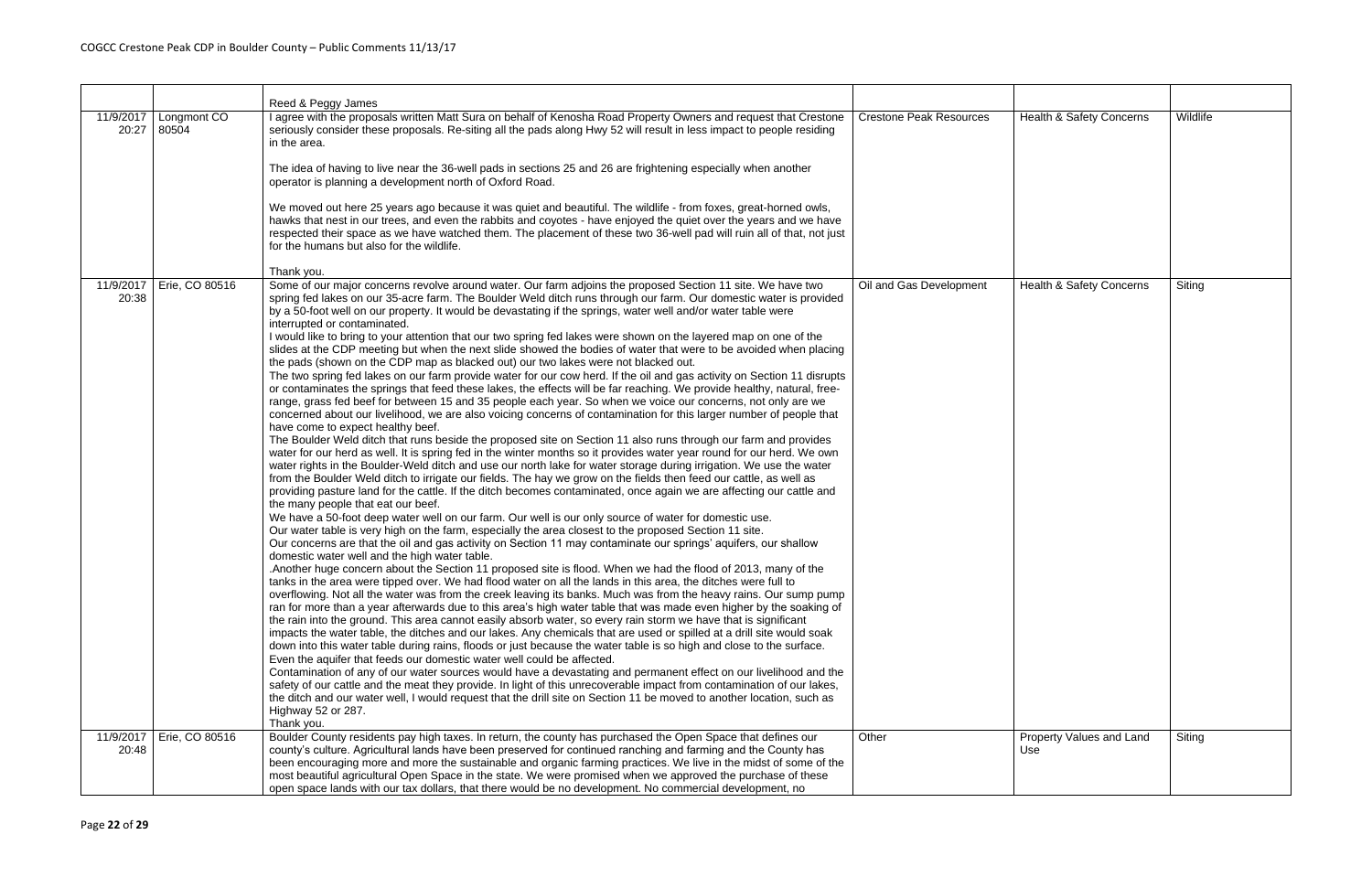|                    |                      | Reed & Peggy James                                                                                                                                                                                                                                                                                                                                                                                                                                                                                                                                                                                                                                                                                                                                                                                                                                                                                                                                                                                                                                                                                                                                                                                                                                                                                                                                                                                                                                                                                                                                                                                                                                                                                                                                                                                                                                                                                                                                                                                                                                                                                                                                                                                                                                                                                                                                                                                                                                                                                                                                                                                                                                                                                                                                                                                                                                                                                                                                                                                                                                                                                                                                                                                                                                                                                                                                                                                                                                                                                                                                                                                                            |                                |                                 |          |
|--------------------|----------------------|-------------------------------------------------------------------------------------------------------------------------------------------------------------------------------------------------------------------------------------------------------------------------------------------------------------------------------------------------------------------------------------------------------------------------------------------------------------------------------------------------------------------------------------------------------------------------------------------------------------------------------------------------------------------------------------------------------------------------------------------------------------------------------------------------------------------------------------------------------------------------------------------------------------------------------------------------------------------------------------------------------------------------------------------------------------------------------------------------------------------------------------------------------------------------------------------------------------------------------------------------------------------------------------------------------------------------------------------------------------------------------------------------------------------------------------------------------------------------------------------------------------------------------------------------------------------------------------------------------------------------------------------------------------------------------------------------------------------------------------------------------------------------------------------------------------------------------------------------------------------------------------------------------------------------------------------------------------------------------------------------------------------------------------------------------------------------------------------------------------------------------------------------------------------------------------------------------------------------------------------------------------------------------------------------------------------------------------------------------------------------------------------------------------------------------------------------------------------------------------------------------------------------------------------------------------------------------------------------------------------------------------------------------------------------------------------------------------------------------------------------------------------------------------------------------------------------------------------------------------------------------------------------------------------------------------------------------------------------------------------------------------------------------------------------------------------------------------------------------------------------------------------------------------------------------------------------------------------------------------------------------------------------------------------------------------------------------------------------------------------------------------------------------------------------------------------------------------------------------------------------------------------------------------------------------------------------------------------------------------------------------|--------------------------------|---------------------------------|----------|
| 11/9/2017<br>20:27 | Longmont CO<br>80504 | I agree with the proposals written Matt Sura on behalf of Kenosha Road Property Owners and request that Crestone<br>seriously consider these proposals. Re-siting all the pads along Hwy 52 will result in less impact to people residing<br>in the area.                                                                                                                                                                                                                                                                                                                                                                                                                                                                                                                                                                                                                                                                                                                                                                                                                                                                                                                                                                                                                                                                                                                                                                                                                                                                                                                                                                                                                                                                                                                                                                                                                                                                                                                                                                                                                                                                                                                                                                                                                                                                                                                                                                                                                                                                                                                                                                                                                                                                                                                                                                                                                                                                                                                                                                                                                                                                                                                                                                                                                                                                                                                                                                                                                                                                                                                                                                     | <b>Crestone Peak Resources</b> | Health & Safety Concerns        | Wildlife |
|                    |                      | The idea of having to live near the 36-well pads in sections 25 and 26 are frightening especially when another<br>operator is planning a development north of Oxford Road.                                                                                                                                                                                                                                                                                                                                                                                                                                                                                                                                                                                                                                                                                                                                                                                                                                                                                                                                                                                                                                                                                                                                                                                                                                                                                                                                                                                                                                                                                                                                                                                                                                                                                                                                                                                                                                                                                                                                                                                                                                                                                                                                                                                                                                                                                                                                                                                                                                                                                                                                                                                                                                                                                                                                                                                                                                                                                                                                                                                                                                                                                                                                                                                                                                                                                                                                                                                                                                                    |                                |                                 |          |
|                    |                      | We moved out here 25 years ago because it was quiet and beautiful. The wildlife - from foxes, great-horned owls,<br>hawks that nest in our trees, and even the rabbits and coyotes - have enjoyed the quiet over the years and we have<br>respected their space as we have watched them. The placement of these two 36-well pad will ruin all of that, not just<br>for the humans but also for the wildlife.                                                                                                                                                                                                                                                                                                                                                                                                                                                                                                                                                                                                                                                                                                                                                                                                                                                                                                                                                                                                                                                                                                                                                                                                                                                                                                                                                                                                                                                                                                                                                                                                                                                                                                                                                                                                                                                                                                                                                                                                                                                                                                                                                                                                                                                                                                                                                                                                                                                                                                                                                                                                                                                                                                                                                                                                                                                                                                                                                                                                                                                                                                                                                                                                                  |                                |                                 |          |
|                    |                      | Thank you.                                                                                                                                                                                                                                                                                                                                                                                                                                                                                                                                                                                                                                                                                                                                                                                                                                                                                                                                                                                                                                                                                                                                                                                                                                                                                                                                                                                                                                                                                                                                                                                                                                                                                                                                                                                                                                                                                                                                                                                                                                                                                                                                                                                                                                                                                                                                                                                                                                                                                                                                                                                                                                                                                                                                                                                                                                                                                                                                                                                                                                                                                                                                                                                                                                                                                                                                                                                                                                                                                                                                                                                                                    |                                |                                 |          |
| 11/9/2017<br>20:38 | Erie, CO 80516       | Some of our major concerns revolve around water. Our farm adjoins the proposed Section 11 site. We have two<br>spring fed lakes on our 35-acre farm. The Boulder Weld ditch runs through our farm. Our domestic water is provided<br>by a 50-foot well on our property. It would be devastating if the springs, water well and/or water table were<br>interrupted or contaminated.<br>I would like to bring to your attention that our two spring fed lakes were shown on the layered map on one of the<br>slides at the CDP meeting but when the next slide showed the bodies of water that were to be avoided when placing<br>the pads (shown on the CDP map as blacked out) our two lakes were not blacked out.<br>The two spring fed lakes on our farm provide water for our cow herd. If the oil and gas activity on Section 11 disrupts<br>or contaminates the springs that feed these lakes, the effects will be far reaching. We provide healthy, natural, free-<br>range, grass fed beef for between 15 and 35 people each year. So when we voice our concerns, not only are we<br>concerned about our livelihood, we are also voicing concerns of contamination for this larger number of people that<br>have come to expect healthy beef.<br>The Boulder Weld ditch that runs beside the proposed site on Section 11 also runs through our farm and provides<br>water for our herd as well. It is spring fed in the winter months so it provides water year round for our herd. We own<br>water rights in the Boulder-Weld ditch and use our north lake for water storage during irrigation. We use the water<br>from the Boulder Weld ditch to irrigate our fields. The hay we grow on the fields then feed our cattle, as well as<br>providing pasture land for the cattle. If the ditch becomes contaminated, once again we are affecting our cattle and<br>the many people that eat our beef.<br>We have a 50-foot deep water well on our farm. Our well is our only source of water for domestic use.<br>Our water table is very high on the farm, especially the area closest to the proposed Section 11 site.<br>Our concerns are that the oil and gas activity on Section 11 may contaminate our springs' aquifers, our shallow<br>domestic water well and the high water table.<br>Another huge concern about the Section 11 proposed site is flood. When we had the flood of 2013, many of the<br>tanks in the area were tipped over. We had flood water on all the lands in this area, the ditches were full to<br>overflowing. Not all the water was from the creek leaving its banks. Much was from the heavy rains. Our sump pump<br>ran for more than a year afterwards due to this area's high water table that was made even higher by the soaking of<br>the rain into the ground. This area cannot easily absorb water, so every rain storm we have that is significant<br>impacts the water table, the ditches and our lakes. Any chemicals that are used or spilled at a drill site would soak<br>down into this water table during rains, floods or just because the water table is so high and close to the surface.<br>Even the aquifer that feeds our domestic water well could be affected.<br>Contamination of any of our water sources would have a devastating and permanent effect on our livelihood and the<br>safety of our cattle and the meat they provide. In light of this unrecoverable impact from contamination of our lakes,<br>the ditch and our water well, I would request that the drill site on Section 11 be moved to another location, such as<br>Highway 52 or 287. | Oil and Gas Development        | Health & Safety Concerns        | Siting   |
|                    |                      | Thank you.                                                                                                                                                                                                                                                                                                                                                                                                                                                                                                                                                                                                                                                                                                                                                                                                                                                                                                                                                                                                                                                                                                                                                                                                                                                                                                                                                                                                                                                                                                                                                                                                                                                                                                                                                                                                                                                                                                                                                                                                                                                                                                                                                                                                                                                                                                                                                                                                                                                                                                                                                                                                                                                                                                                                                                                                                                                                                                                                                                                                                                                                                                                                                                                                                                                                                                                                                                                                                                                                                                                                                                                                                    |                                |                                 |          |
| 11/9/2017<br>20:48 | Erie, CO 80516       | Boulder County residents pay high taxes. In return, the county has purchased the Open Space that defines our<br>county's culture. Agricultural lands have been preserved for continued ranching and farming and the County has<br>been encouraging more and more the sustainable and organic farming practices. We live in the midst of some of the<br>most beautiful agricultural Open Space in the state. We were promised when we approved the purchase of these<br>open space lands with our tax dollars, that there would be no development. No commercial development, no                                                                                                                                                                                                                                                                                                                                                                                                                                                                                                                                                                                                                                                                                                                                                                                                                                                                                                                                                                                                                                                                                                                                                                                                                                                                                                                                                                                                                                                                                                                                                                                                                                                                                                                                                                                                                                                                                                                                                                                                                                                                                                                                                                                                                                                                                                                                                                                                                                                                                                                                                                                                                                                                                                                                                                                                                                                                                                                                                                                                                                               | Other                          | Property Values and Land<br>Use | Siting   |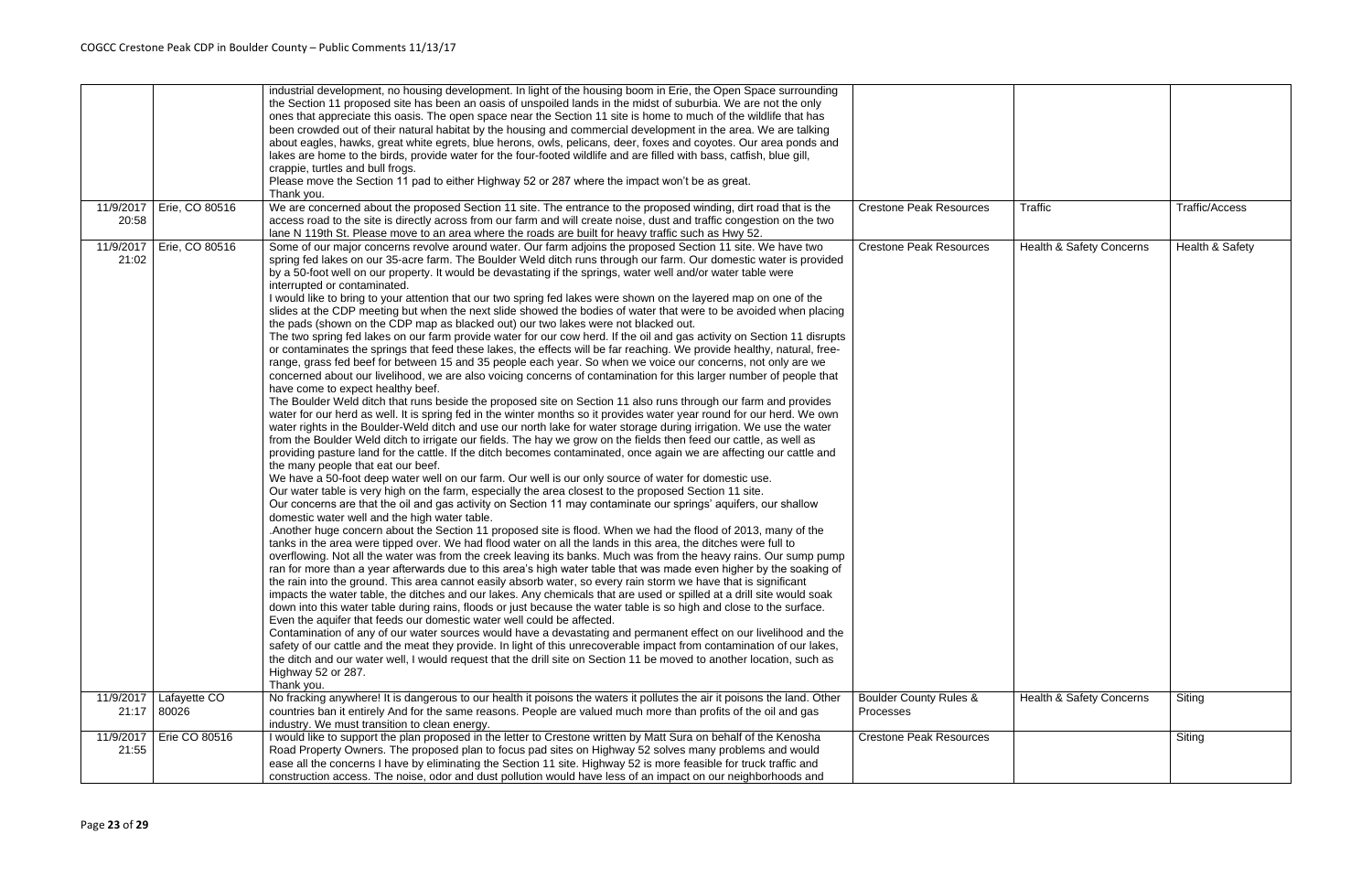|                    |                             | industrial development, no housing development. In light of the housing boom in Erie, the Open Space surrounding<br>the Section 11 proposed site has been an oasis of unspoiled lands in the midst of suburbia. We are not the only<br>ones that appreciate this oasis. The open space near the Section 11 site is home to much of the wildlife that has<br>been crowded out of their natural habitat by the housing and commercial development in the area. We are talking<br>about eagles, hawks, great white egrets, blue herons, owls, pelicans, deer, foxes and coyotes. Our area ponds and<br>lakes are home to the birds, provide water for the four-footed wildlife and are filled with bass, catfish, blue gill,<br>crappie, turtles and bull frogs.<br>Please move the Section 11 pad to either Highway 52 or 287 where the impact won't be as great.<br>Thank you.                                                                                                                                                                                                                                                                                                                                                                                                                                                                                                                                                                                                                                                                                                                                                                                                                                                                                                                                                                                                                                                                                                                                                                                                                                                                                                                                                                                                                                                                                                                                                                                                                                                                                                                                                                                                                                                                                                                                                                                                                                                                                                                                                                                                                                                                                                                                                                                                                                                                                                                                                                                                                                                                                                                                                   |                                                |                                     |                       |
|--------------------|-----------------------------|---------------------------------------------------------------------------------------------------------------------------------------------------------------------------------------------------------------------------------------------------------------------------------------------------------------------------------------------------------------------------------------------------------------------------------------------------------------------------------------------------------------------------------------------------------------------------------------------------------------------------------------------------------------------------------------------------------------------------------------------------------------------------------------------------------------------------------------------------------------------------------------------------------------------------------------------------------------------------------------------------------------------------------------------------------------------------------------------------------------------------------------------------------------------------------------------------------------------------------------------------------------------------------------------------------------------------------------------------------------------------------------------------------------------------------------------------------------------------------------------------------------------------------------------------------------------------------------------------------------------------------------------------------------------------------------------------------------------------------------------------------------------------------------------------------------------------------------------------------------------------------------------------------------------------------------------------------------------------------------------------------------------------------------------------------------------------------------------------------------------------------------------------------------------------------------------------------------------------------------------------------------------------------------------------------------------------------------------------------------------------------------------------------------------------------------------------------------------------------------------------------------------------------------------------------------------------------------------------------------------------------------------------------------------------------------------------------------------------------------------------------------------------------------------------------------------------------------------------------------------------------------------------------------------------------------------------------------------------------------------------------------------------------------------------------------------------------------------------------------------------------------------------------------------------------------------------------------------------------------------------------------------------------------------------------------------------------------------------------------------------------------------------------------------------------------------------------------------------------------------------------------------------------------------------------------------------------------------------------------------------------|------------------------------------------------|-------------------------------------|-----------------------|
|                    | 11/9/2017   Erie, CO 80516  | We are concerned about the proposed Section 11 site. The entrance to the proposed winding, dirt road that is the                                                                                                                                                                                                                                                                                                                                                                                                                                                                                                                                                                                                                                                                                                                                                                                                                                                                                                                                                                                                                                                                                                                                                                                                                                                                                                                                                                                                                                                                                                                                                                                                                                                                                                                                                                                                                                                                                                                                                                                                                                                                                                                                                                                                                                                                                                                                                                                                                                                                                                                                                                                                                                                                                                                                                                                                                                                                                                                                                                                                                                                                                                                                                                                                                                                                                                                                                                                                                                                                                                                | <b>Crestone Peak Resources</b>                 | <b>Traffic</b>                      | <b>Traffic/Access</b> |
| 20:58              |                             | access road to the site is directly across from our farm and will create noise, dust and traffic congestion on the two<br>lane N 119th St. Please move to an area where the roads are built for heavy traffic such as Hwy 52.                                                                                                                                                                                                                                                                                                                                                                                                                                                                                                                                                                                                                                                                                                                                                                                                                                                                                                                                                                                                                                                                                                                                                                                                                                                                                                                                                                                                                                                                                                                                                                                                                                                                                                                                                                                                                                                                                                                                                                                                                                                                                                                                                                                                                                                                                                                                                                                                                                                                                                                                                                                                                                                                                                                                                                                                                                                                                                                                                                                                                                                                                                                                                                                                                                                                                                                                                                                                   |                                                |                                     |                       |
| 11/9/2017<br>21:02 | Erie, CO 80516              | Some of our major concerns revolve around water. Our farm adjoins the proposed Section 11 site. We have two<br>spring fed lakes on our 35-acre farm. The Boulder Weld ditch runs through our farm. Our domestic water is provided<br>by a 50-foot well on our property. It would be devastating if the springs, water well and/or water table were<br>interrupted or contaminated.<br>I would like to bring to your attention that our two spring fed lakes were shown on the layered map on one of the<br>slides at the CDP meeting but when the next slide showed the bodies of water that were to be avoided when placing<br>the pads (shown on the CDP map as blacked out) our two lakes were not blacked out.<br>The two spring fed lakes on our farm provide water for our cow herd. If the oil and gas activity on Section 11 disrupts<br>or contaminates the springs that feed these lakes, the effects will be far reaching. We provide healthy, natural, free-<br>range, grass fed beef for between 15 and 35 people each year. So when we voice our concerns, not only are we<br>concerned about our livelihood, we are also voicing concerns of contamination for this larger number of people that<br>have come to expect healthy beef.<br>The Boulder Weld ditch that runs beside the proposed site on Section 11 also runs through our farm and provides<br>water for our herd as well. It is spring fed in the winter months so it provides water year round for our herd. We own<br>water rights in the Boulder-Weld ditch and use our north lake for water storage during irrigation. We use the water<br>from the Boulder Weld ditch to irrigate our fields. The hay we grow on the fields then feed our cattle, as well as<br>providing pasture land for the cattle. If the ditch becomes contaminated, once again we are affecting our cattle and<br>the many people that eat our beef.<br>We have a 50-foot deep water well on our farm. Our well is our only source of water for domestic use.<br>Our water table is very high on the farm, especially the area closest to the proposed Section 11 site.<br>Our concerns are that the oil and gas activity on Section 11 may contaminate our springs' aquifers, our shallow<br>domestic water well and the high water table.<br>. Another huge concern about the Section 11 proposed site is flood. When we had the flood of 2013, many of the<br>tanks in the area were tipped over. We had flood water on all the lands in this area, the ditches were full to<br>overflowing. Not all the water was from the creek leaving its banks. Much was from the heavy rains. Our sump pump<br>ran for more than a year afterwards due to this area's high water table that was made even higher by the soaking of<br>the rain into the ground. This area cannot easily absorb water, so every rain storm we have that is significant<br>impacts the water table, the ditches and our lakes. Any chemicals that are used or spilled at a drill site would soak<br>down into this water table during rains, floods or just because the water table is so high and close to the surface.<br>Even the aquifer that feeds our domestic water well could be affected.<br>Contamination of any of our water sources would have a devastating and permanent effect on our livelihood and the<br>safety of our cattle and the meat they provide. In light of this unrecoverable impact from contamination of our lakes,<br>the ditch and our water well, I would request that the drill site on Section 11 be moved to another location, such as<br>Highway 52 or 287. | <b>Crestone Peak Resources</b>                 | <b>Health &amp; Safety Concerns</b> | Health & Safety       |
|                    |                             | Thank you.                                                                                                                                                                                                                                                                                                                                                                                                                                                                                                                                                                                                                                                                                                                                                                                                                                                                                                                                                                                                                                                                                                                                                                                                                                                                                                                                                                                                                                                                                                                                                                                                                                                                                                                                                                                                                                                                                                                                                                                                                                                                                                                                                                                                                                                                                                                                                                                                                                                                                                                                                                                                                                                                                                                                                                                                                                                                                                                                                                                                                                                                                                                                                                                                                                                                                                                                                                                                                                                                                                                                                                                                                      |                                                |                                     |                       |
| 11/9/2017          | Lafayette CO<br>21:17 80026 | No fracking anywhere! It is dangerous to our health it poisons the waters it pollutes the air it poisons the land. Other<br>countries ban it entirely And for the same reasons. People are valued much more than profits of the oil and gas<br>industry. We must transition to clean energy.                                                                                                                                                                                                                                                                                                                                                                                                                                                                                                                                                                                                                                                                                                                                                                                                                                                                                                                                                                                                                                                                                                                                                                                                                                                                                                                                                                                                                                                                                                                                                                                                                                                                                                                                                                                                                                                                                                                                                                                                                                                                                                                                                                                                                                                                                                                                                                                                                                                                                                                                                                                                                                                                                                                                                                                                                                                                                                                                                                                                                                                                                                                                                                                                                                                                                                                                    | <b>Boulder County Rules &amp;</b><br>Processes | <b>Health &amp; Safety Concerns</b> | Siting                |
| 11/9/2017          | Erie CO 80516               | I would like to support the plan proposed in the letter to Crestone written by Matt Sura on behalf of the Kenosha                                                                                                                                                                                                                                                                                                                                                                                                                                                                                                                                                                                                                                                                                                                                                                                                                                                                                                                                                                                                                                                                                                                                                                                                                                                                                                                                                                                                                                                                                                                                                                                                                                                                                                                                                                                                                                                                                                                                                                                                                                                                                                                                                                                                                                                                                                                                                                                                                                                                                                                                                                                                                                                                                                                                                                                                                                                                                                                                                                                                                                                                                                                                                                                                                                                                                                                                                                                                                                                                                                               | <b>Crestone Peak Resources</b>                 |                                     | Siting                |
| 21:55              |                             | Road Property Owners. The proposed plan to focus pad sites on Highway 52 solves many problems and would<br>ease all the concerns I have by eliminating the Section 11 site. Highway 52 is more feasible for truck traffic and<br>construction access. The noise, odor and dust pollution would have less of an impact on our neighborhoods and                                                                                                                                                                                                                                                                                                                                                                                                                                                                                                                                                                                                                                                                                                                                                                                                                                                                                                                                                                                                                                                                                                                                                                                                                                                                                                                                                                                                                                                                                                                                                                                                                                                                                                                                                                                                                                                                                                                                                                                                                                                                                                                                                                                                                                                                                                                                                                                                                                                                                                                                                                                                                                                                                                                                                                                                                                                                                                                                                                                                                                                                                                                                                                                                                                                                                  |                                                |                                     |                       |
|                    |                             |                                                                                                                                                                                                                                                                                                                                                                                                                                                                                                                                                                                                                                                                                                                                                                                                                                                                                                                                                                                                                                                                                                                                                                                                                                                                                                                                                                                                                                                                                                                                                                                                                                                                                                                                                                                                                                                                                                                                                                                                                                                                                                                                                                                                                                                                                                                                                                                                                                                                                                                                                                                                                                                                                                                                                                                                                                                                                                                                                                                                                                                                                                                                                                                                                                                                                                                                                                                                                                                                                                                                                                                                                                 |                                                |                                     |                       |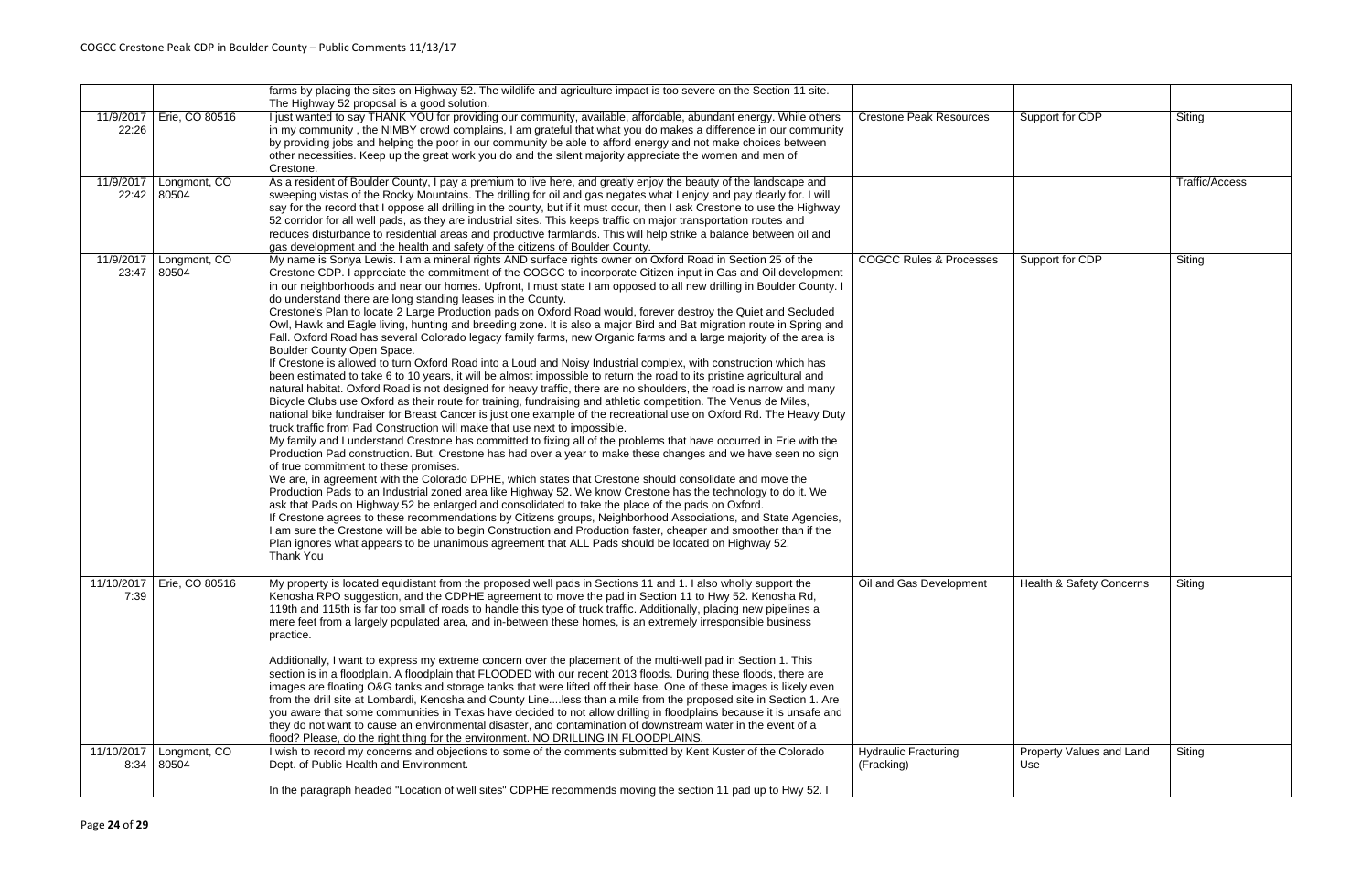|                    |                             | farms by placing the sites on Highway 52. The wildlife and agriculture impact is too severe on the Section 11 site.<br>The Highway 52 proposal is a good solution.                                                                                                                                                                                                                                                                                                                                                                                                                                                                                                                                                                                                                                                                                                                                                                                                                                                                                                                                                                                                                                                                                                                                                                                                                                                                                                                                                                                                                                                                                                                                                                                                                                                                                                                                                                                                                                                                                                                                                                                                                                                                                                                                                                                                                                                                                                                        |                                           |                                     |                |
|--------------------|-----------------------------|-------------------------------------------------------------------------------------------------------------------------------------------------------------------------------------------------------------------------------------------------------------------------------------------------------------------------------------------------------------------------------------------------------------------------------------------------------------------------------------------------------------------------------------------------------------------------------------------------------------------------------------------------------------------------------------------------------------------------------------------------------------------------------------------------------------------------------------------------------------------------------------------------------------------------------------------------------------------------------------------------------------------------------------------------------------------------------------------------------------------------------------------------------------------------------------------------------------------------------------------------------------------------------------------------------------------------------------------------------------------------------------------------------------------------------------------------------------------------------------------------------------------------------------------------------------------------------------------------------------------------------------------------------------------------------------------------------------------------------------------------------------------------------------------------------------------------------------------------------------------------------------------------------------------------------------------------------------------------------------------------------------------------------------------------------------------------------------------------------------------------------------------------------------------------------------------------------------------------------------------------------------------------------------------------------------------------------------------------------------------------------------------------------------------------------------------------------------------------------------------|-------------------------------------------|-------------------------------------|----------------|
| 11/9/2017<br>22:26 | Erie, CO 80516              | I just wanted to say THANK YOU for providing our community, available, affordable, abundant energy. While others<br>in my community, the NIMBY crowd complains, I am grateful that what you do makes a difference in our community<br>by providing jobs and helping the poor in our community be able to afford energy and not make choices between<br>other necessities. Keep up the great work you do and the silent majority appreciate the women and men of<br>Crestone.                                                                                                                                                                                                                                                                                                                                                                                                                                                                                                                                                                                                                                                                                                                                                                                                                                                                                                                                                                                                                                                                                                                                                                                                                                                                                                                                                                                                                                                                                                                                                                                                                                                                                                                                                                                                                                                                                                                                                                                                              | <b>Crestone Peak Resources</b>            | Support for CDP                     | Siting         |
| 11/9/2017          | Longmont, CO<br>22:42 80504 | As a resident of Boulder County, I pay a premium to live here, and greatly enjoy the beauty of the landscape and<br>sweeping vistas of the Rocky Mountains. The drilling for oil and gas negates what I enjoy and pay dearly for. I will<br>say for the record that I oppose all drilling in the county, but if it must occur, then I ask Crestone to use the Highway<br>52 corridor for all well pads, as they are industrial sites. This keeps traffic on major transportation routes and<br>reduces disturbance to residential areas and productive farmlands. This will help strike a balance between oil and<br>gas development and the health and safety of the citizens of Boulder County.                                                                                                                                                                                                                                                                                                                                                                                                                                                                                                                                                                                                                                                                                                                                                                                                                                                                                                                                                                                                                                                                                                                                                                                                                                                                                                                                                                                                                                                                                                                                                                                                                                                                                                                                                                                         |                                           |                                     | Traffic/Access |
| 11/9/2017<br>23:47 | Longmont, CO<br>80504       | My name is Sonya Lewis. I am a mineral rights AND surface rights owner on Oxford Road in Section 25 of the<br>Crestone CDP. I appreciate the commitment of the COGCC to incorporate Citizen input in Gas and Oil development<br>in our neighborhoods and near our homes. Upfront, I must state I am opposed to all new drilling in Boulder County. I<br>do understand there are long standing leases in the County.<br>Crestone's Plan to locate 2 Large Production pads on Oxford Road would, forever destroy the Quiet and Secluded<br>Owl, Hawk and Eagle living, hunting and breeding zone. It is also a major Bird and Bat migration route in Spring and<br>Fall. Oxford Road has several Colorado legacy family farms, new Organic farms and a large majority of the area is<br>Boulder County Open Space.<br>If Crestone is allowed to turn Oxford Road into a Loud and Noisy Industrial complex, with construction which has<br>been estimated to take 6 to 10 years, it will be almost impossible to return the road to its pristine agricultural and<br>natural habitat. Oxford Road is not designed for heavy traffic, there are no shoulders, the road is narrow and many<br>Bicycle Clubs use Oxford as their route for training, fundraising and athletic competition. The Venus de Miles,<br>national bike fundraiser for Breast Cancer is just one example of the recreational use on Oxford Rd. The Heavy Duty<br>truck traffic from Pad Construction will make that use next to impossible.<br>My family and I understand Crestone has committed to fixing all of the problems that have occurred in Erie with the<br>Production Pad construction. But, Crestone has had over a year to make these changes and we have seen no sign<br>of true commitment to these promises.<br>We are, in agreement with the Colorado DPHE, which states that Crestone should consolidate and move the<br>Production Pads to an Industrial zoned area like Highway 52. We know Crestone has the technology to do it. We<br>ask that Pads on Highway 52 be enlarged and consolidated to take the place of the pads on Oxford.<br>If Crestone agrees to these recommendations by Citizens groups, Neighborhood Associations, and State Agencies,<br>I am sure the Crestone will be able to begin Construction and Production faster, cheaper and smoother than if the<br>Plan ignores what appears to be unanimous agreement that ALL Pads should be located on Highway 52.<br>Thank You | <b>COGCC Rules &amp; Processes</b>        | Support for CDP                     | Siting         |
| 7:39               | 11/10/2017   Erie, CO 80516 | My property is located equidistant from the proposed well pads in Sections 11 and 1. I also wholly support the<br>Kenosha RPO suggestion, and the CDPHE agreement to move the pad in Section 11 to Hwy 52. Kenosha Rd,<br>119th and 115th is far too small of roads to handle this type of truck traffic. Additionally, placing new pipelines a<br>mere feet from a largely populated area, and in-between these homes, is an extremely irresponsible business<br>practice.<br>Additionally, I want to express my extreme concern over the placement of the multi-well pad in Section 1. This<br>section is in a floodplain. A floodplain that FLOODED with our recent 2013 floods. During these floods, there are<br>images are floating O&G tanks and storage tanks that were lifted off their base. One of these images is likely even<br>from the drill site at Lombardi, Kenosha and County Lineless than a mile from the proposed site in Section 1. Are<br>you aware that some communities in Texas have decided to not allow drilling in floodplains because it is unsafe and<br>they do not want to cause an environmental disaster, and contamination of downstream water in the event of a<br>flood? Please, do the right thing for the environment. NO DRILLING IN FLOODPLAINS.                                                                                                                                                                                                                                                                                                                                                                                                                                                                                                                                                                                                                                                                                                                                                                                                                                                                                                                                                                                                                                                                                                                                                                                               | Oil and Gas Development                   | <b>Health &amp; Safety Concerns</b> | Siting         |
| 11/10/2017         | Longmont, CO<br>8:34 80504  | I wish to record my concerns and objections to some of the comments submitted by Kent Kuster of the Colorado<br>Dept. of Public Health and Environment.<br>In the paragraph headed "Location of well sites" CDPHE recommends moving the section 11 pad up to Hwy 52. I                                                                                                                                                                                                                                                                                                                                                                                                                                                                                                                                                                                                                                                                                                                                                                                                                                                                                                                                                                                                                                                                                                                                                                                                                                                                                                                                                                                                                                                                                                                                                                                                                                                                                                                                                                                                                                                                                                                                                                                                                                                                                                                                                                                                                    | <b>Hydraulic Fracturing</b><br>(Fracking) | Property Values and Land<br>Use     | Siting         |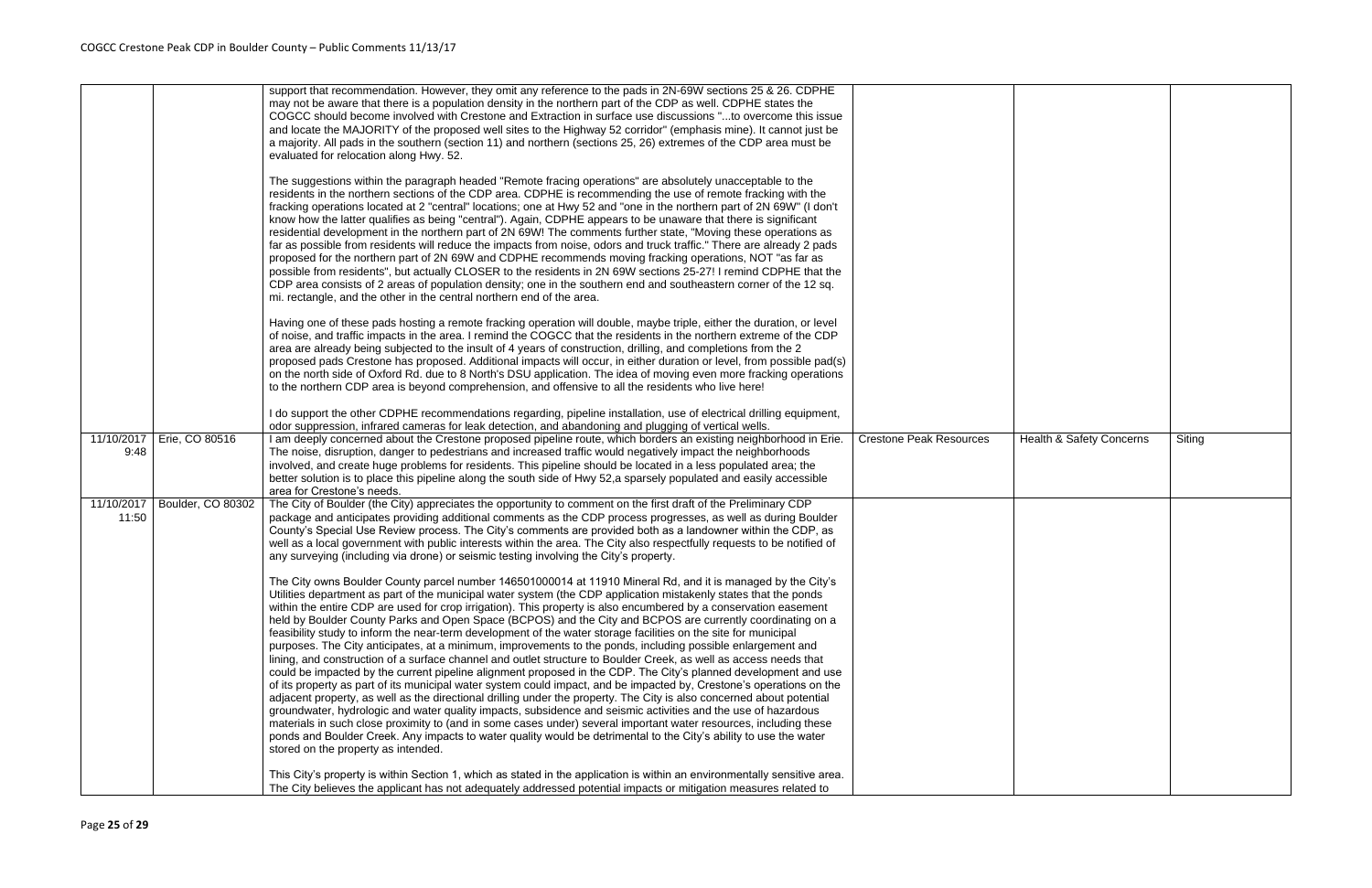|                     |                   | support that recommendation. However, they omit any reference to the pads in 2N-69W sections 25 & 26. CDPHE<br>may not be aware that there is a population density in the northern part of the CDP as well. CDPHE states the<br>COGCC should become involved with Crestone and Extraction in surface use discussions "to overcome this issue<br>and locate the MAJORITY of the proposed well sites to the Highway 52 corridor" (emphasis mine). It cannot just be<br>a majority. All pads in the southern (section 11) and northern (sections 25, 26) extremes of the CDP area must be<br>evaluated for relocation along Hwy. 52.                                                                                                                                                                                                                                                                                                                                                                                                                                                                                                                                                                                                                                                                                                                                                                                                                                                                                                                                                               |                                |
|---------------------|-------------------|-------------------------------------------------------------------------------------------------------------------------------------------------------------------------------------------------------------------------------------------------------------------------------------------------------------------------------------------------------------------------------------------------------------------------------------------------------------------------------------------------------------------------------------------------------------------------------------------------------------------------------------------------------------------------------------------------------------------------------------------------------------------------------------------------------------------------------------------------------------------------------------------------------------------------------------------------------------------------------------------------------------------------------------------------------------------------------------------------------------------------------------------------------------------------------------------------------------------------------------------------------------------------------------------------------------------------------------------------------------------------------------------------------------------------------------------------------------------------------------------------------------------------------------------------------------------------------------------------|--------------------------------|
|                     |                   | The suggestions within the paragraph headed "Remote fracing operations" are absolutely unacceptable to the<br>residents in the northern sections of the CDP area. CDPHE is recommending the use of remote fracking with the<br>fracking operations located at 2 "central" locations; one at Hwy 52 and "one in the northern part of 2N 69W" (I don't<br>know how the latter qualifies as being "central"). Again, CDPHE appears to be unaware that there is significant<br>residential development in the northern part of 2N 69W! The comments further state, "Moving these operations as<br>far as possible from residents will reduce the impacts from noise, odors and truck traffic." There are already 2 pads<br>proposed for the northern part of 2N 69W and CDPHE recommends moving fracking operations, NOT "as far as<br>possible from residents", but actually CLOSER to the residents in 2N 69W sections 25-27! I remind CDPHE that the<br>CDP area consists of 2 areas of population density; one in the southern end and southeastern corner of the 12 sq.<br>mi. rectangle, and the other in the central northern end of the area.                                                                                                                                                                                                                                                                                                                                                                                                                                               |                                |
|                     |                   | Having one of these pads hosting a remote fracking operation will double, maybe triple, either the duration, or level<br>of noise, and traffic impacts in the area. I remind the COGCC that the residents in the northern extreme of the CDP<br>area are already being subjected to the insult of 4 years of construction, drilling, and completions from the 2<br>proposed pads Crestone has proposed. Additional impacts will occur, in either duration or level, from possible pad(s)<br>on the north side of Oxford Rd. due to 8 North's DSU application. The idea of moving even more fracking operations<br>to the northern CDP area is beyond comprehension, and offensive to all the residents who live here!                                                                                                                                                                                                                                                                                                                                                                                                                                                                                                                                                                                                                                                                                                                                                                                                                                                                           |                                |
|                     |                   | I do support the other CDPHE recommendations regarding, pipeline installation, use of electrical drilling equipment,<br>odor suppression, infrared cameras for leak detection, and abandoning and plugging of vertical wells.                                                                                                                                                                                                                                                                                                                                                                                                                                                                                                                                                                                                                                                                                                                                                                                                                                                                                                                                                                                                                                                                                                                                                                                                                                                                                                                                                                   |                                |
| 11/10/2017<br>9:48  | Erie, CO 80516    | I am deeply concerned about the Crestone proposed pipeline route, which borders an existing neighborhood in Erie.<br>The noise, disruption, danger to pedestrians and increased traffic would negatively impact the neighborhoods<br>involved, and create huge problems for residents. This pipeline should be located in a less populated area; the<br>better solution is to place this pipeline along the south side of Hwy 52,a sparsely populated and easily accessible<br>area for Crestone's needs.                                                                                                                                                                                                                                                                                                                                                                                                                                                                                                                                                                                                                                                                                                                                                                                                                                                                                                                                                                                                                                                                                       | <b>Crestone Peak Resources</b> |
| 11/10/2017<br>11:50 | Boulder, CO 80302 | The City of Boulder (the City) appreciates the opportunity to comment on the first draft of the Preliminary CDP<br>package and anticipates providing additional comments as the CDP process progresses, as well as during Boulder<br>County's Special Use Review process. The City's comments are provided both as a landowner within the CDP, as<br>well as a local government with public interests within the area. The City also respectfully requests to be notified of<br>any surveying (including via drone) or seismic testing involving the City's property.                                                                                                                                                                                                                                                                                                                                                                                                                                                                                                                                                                                                                                                                                                                                                                                                                                                                                                                                                                                                                           |                                |
|                     |                   | The City owns Boulder County parcel number 146501000014 at 11910 Mineral Rd, and it is managed by the City's<br>Utilities department as part of the municipal water system (the CDP application mistakenly states that the ponds<br>within the entire CDP are used for crop irrigation). This property is also encumbered by a conservation easement<br>held by Boulder County Parks and Open Space (BCPOS) and the City and BCPOS are currently coordinating on a<br>feasibility study to inform the near-term development of the water storage facilities on the site for municipal<br>purposes. The City anticipates, at a minimum, improvements to the ponds, including possible enlargement and<br>lining, and construction of a surface channel and outlet structure to Boulder Creek, as well as access needs that<br>could be impacted by the current pipeline alignment proposed in the CDP. The City's planned development and use<br>of its property as part of its municipal water system could impact, and be impacted by, Crestone's operations on the<br>adjacent property, as well as the directional drilling under the property. The City is also concerned about potential<br>groundwater, hydrologic and water quality impacts, subsidence and seismic activities and the use of hazardous<br>materials in such close proximity to (and in some cases under) several important water resources, including these<br>ponds and Boulder Creek. Any impacts to water quality would be detrimental to the City's ability to use the water<br>stored on the property as intended. |                                |
|                     |                   | This City's property is within Section 1, which as stated in the application is within an environmentally sensitive area.<br>The City believes the applicant has not adequately addressed potential impacts or mitigation measures related to                                                                                                                                                                                                                                                                                                                                                                                                                                                                                                                                                                                                                                                                                                                                                                                                                                                                                                                                                                                                                                                                                                                                                                                                                                                                                                                                                   |                                |

| Crestone Peak Resources | Health & Safety Concerns | Siting |
|-------------------------|--------------------------|--------|
|                         |                          |        |
|                         |                          |        |
|                         |                          |        |
|                         |                          |        |
|                         |                          |        |
|                         |                          |        |
|                         |                          |        |
|                         |                          |        |
|                         |                          |        |
|                         |                          |        |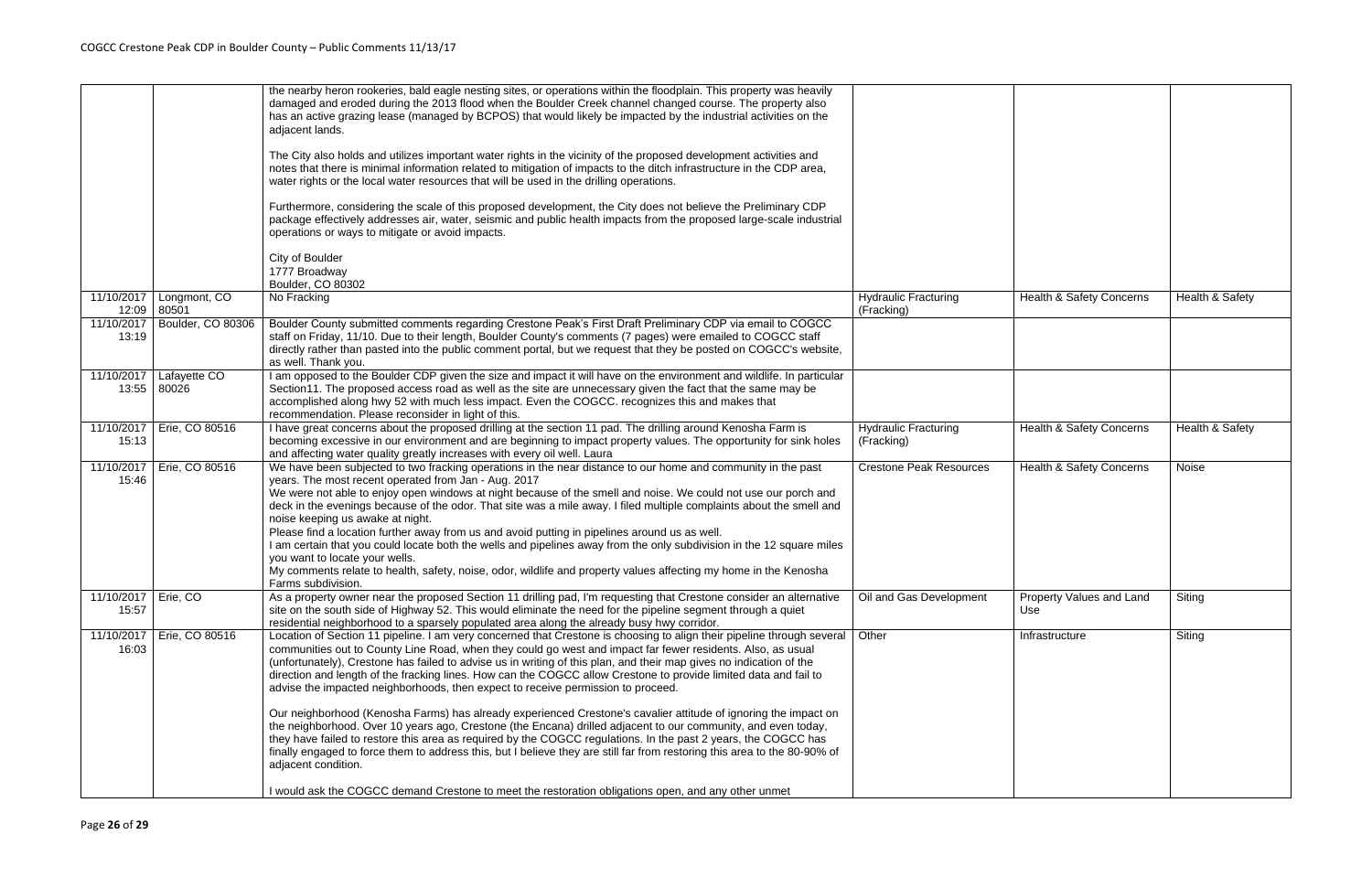|                                |                             | the nearby heron rookeries, bald eagle nesting sites, or operations within the floodplain. This property was heavily<br>damaged and eroded during the 2013 flood when the Boulder Creek channel changed course. The property also<br>has an active grazing lease (managed by BCPOS) that would likely be impacted by the industrial activities on the<br>adjacent lands.<br>The City also holds and utilizes important water rights in the vicinity of the proposed development activities and<br>notes that there is minimal information related to mitigation of impacts to the ditch infrastructure in the CDP area,<br>water rights or the local water resources that will be used in the drilling operations.<br>Furthermore, considering the scale of this proposed development, the City does not believe the Preliminary CDP<br>package effectively addresses air, water, seismic and public health impacts from the proposed large-scale industrial<br>operations or ways to mitigate or avoid impacts.<br>City of Boulder<br>1777 Broadway                                                                                                                                  |                                           |                                 |                            |
|--------------------------------|-----------------------------|---------------------------------------------------------------------------------------------------------------------------------------------------------------------------------------------------------------------------------------------------------------------------------------------------------------------------------------------------------------------------------------------------------------------------------------------------------------------------------------------------------------------------------------------------------------------------------------------------------------------------------------------------------------------------------------------------------------------------------------------------------------------------------------------------------------------------------------------------------------------------------------------------------------------------------------------------------------------------------------------------------------------------------------------------------------------------------------------------------------------------------------------------------------------------------------|-------------------------------------------|---------------------------------|----------------------------|
| 11/10/2017                     | Longmont, CO<br>12:09 80501 | Boulder, CO 80302<br>No Fracking                                                                                                                                                                                                                                                                                                                                                                                                                                                                                                                                                                                                                                                                                                                                                                                                                                                                                                                                                                                                                                                                                                                                                      | <b>Hydraulic Fracturing</b><br>(Fracking) | Health & Safety Concerns        | Health & Safety            |
| 11/10/2017<br>13:19            | Boulder, CO 80306           | Boulder County submitted comments regarding Crestone Peak's First Draft Preliminary CDP via email to COGCC<br>staff on Friday, 11/10. Due to their length, Boulder County's comments (7 pages) were emailed to COGCC staff<br>directly rather than pasted into the public comment portal, but we request that they be posted on COGCC's website,<br>as well. Thank you.                                                                                                                                                                                                                                                                                                                                                                                                                                                                                                                                                                                                                                                                                                                                                                                                               |                                           |                                 |                            |
| 11/10/2017                     | Lafayette CO<br>13:55 80026 | I am opposed to the Boulder CDP given the size and impact it will have on the environment and wildlife. In particular<br>Section11. The proposed access road as well as the site are unnecessary given the fact that the same may be<br>accomplished along hwy 52 with much less impact. Even the COGCC. recognizes this and makes that<br>recommendation. Please reconsider in light of this.                                                                                                                                                                                                                                                                                                                                                                                                                                                                                                                                                                                                                                                                                                                                                                                        |                                           |                                 |                            |
| 11/10/2017<br>15:13            | Erie, CO 80516              | I have great concerns about the proposed drilling at the section 11 pad. The drilling around Kenosha Farm is<br>becoming excessive in our environment and are beginning to impact property values. The opportunity for sink holes<br>and affecting water quality greatly increases with every oil well. Laura                                                                                                                                                                                                                                                                                                                                                                                                                                                                                                                                                                                                                                                                                                                                                                                                                                                                         | <b>Hydraulic Fracturing</b><br>(Fracking) | Health & Safety Concerns        | <b>Health &amp; Safety</b> |
| 11/10/2017<br>15:46            | Erie, CO 80516              | We have been subjected to two fracking operations in the near distance to our home and community in the past<br>years. The most recent operated from Jan - Aug. 2017<br>We were not able to enjoy open windows at night because of the smell and noise. We could not use our porch and<br>deck in the evenings because of the odor. That site was a mile away. I filed multiple complaints about the smell and<br>noise keeping us awake at night.<br>Please find a location further away from us and avoid putting in pipelines around us as well.<br>I am certain that you could locate both the wells and pipelines away from the only subdivision in the 12 square miles<br>you want to locate your wells.<br>My comments relate to health, safety, noise, odor, wildlife and property values affecting my home in the Kenosha<br>Farms subdivision.                                                                                                                                                                                                                                                                                                                              | <b>Crestone Peak Resources</b>            | Health & Safety Concerns        | Noise                      |
| 11/10/2017   Erie, CO<br>15:57 |                             | As a property owner near the proposed Section 11 drilling pad, I'm requesting that Crestone consider an alternative<br>site on the south side of Highway 52. This would eliminate the need for the pipeline segment through a quiet<br>residential neighborhood to a sparsely populated area along the already busy hwy corridor.                                                                                                                                                                                                                                                                                                                                                                                                                                                                                                                                                                                                                                                                                                                                                                                                                                                     | Oil and Gas Development                   | Property Values and Land<br>Use | Siting                     |
| 11/10/2017<br>16:03            | Erie, CO 80516              | Location of Section 11 pipeline. I am very concerned that Crestone is choosing to align their pipeline through several<br>communities out to County Line Road, when they could go west and impact far fewer residents. Also, as usual<br>(unfortunately), Crestone has failed to advise us in writing of this plan, and their map gives no indication of the<br>direction and length of the fracking lines. How can the COGCC allow Crestone to provide limited data and fail to<br>advise the impacted neighborhoods, then expect to receive permission to proceed.<br>Our neighborhood (Kenosha Farms) has already experienced Crestone's cavalier attitude of ignoring the impact on<br>the neighborhood. Over 10 years ago, Crestone (the Encana) drilled adjacent to our community, and even today,<br>they have failed to restore this area as required by the COGCC regulations. In the past 2 years, the COGCC has<br>finally engaged to force them to address this, but I believe they are still far from restoring this area to the 80-90% of<br>adjacent condition.<br>I would ask the COGCC demand Crestone to meet the restoration obligations open, and any other unmet | Other                                     | Infrastructure                  | Siting                     |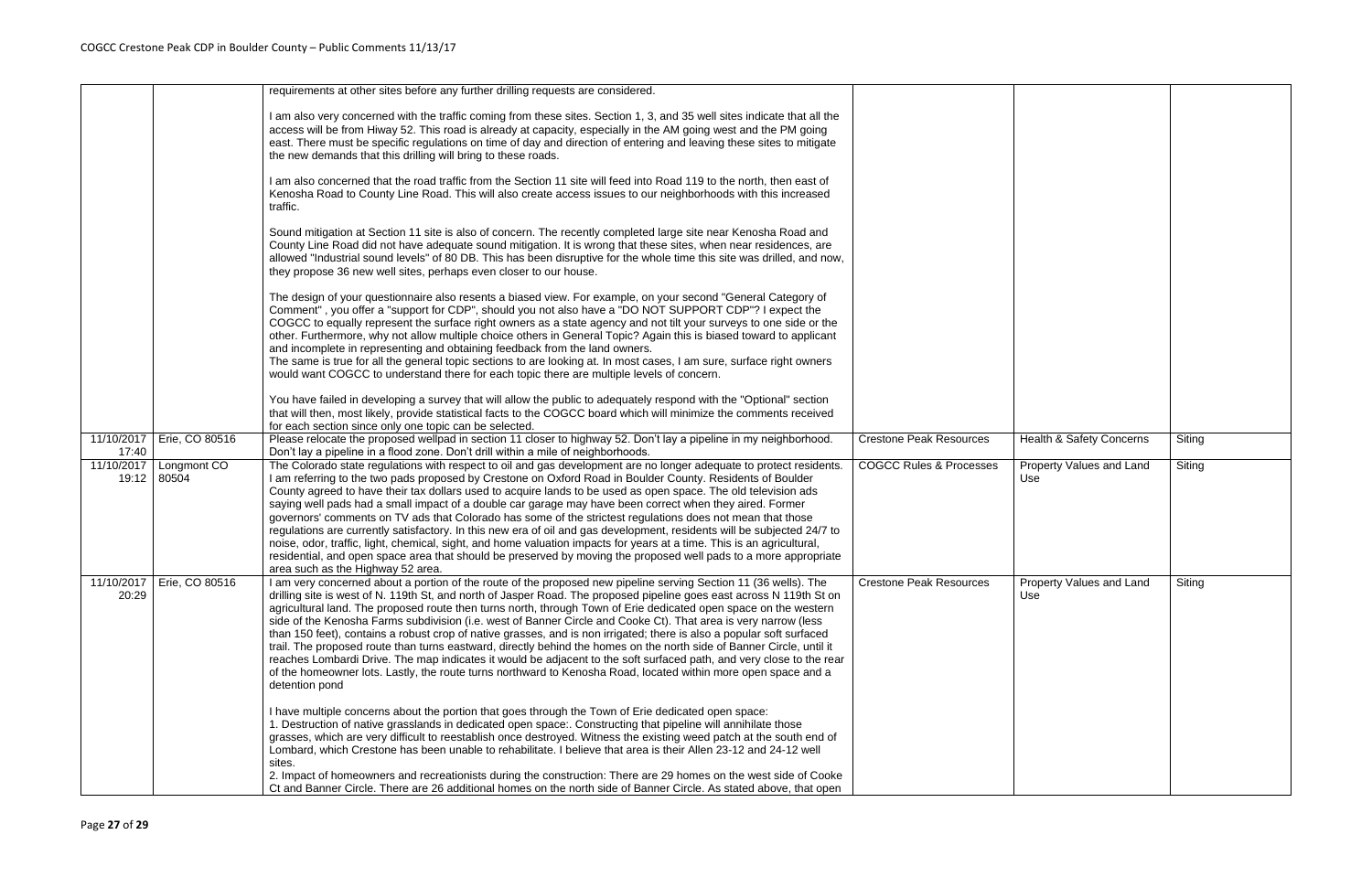|                     |                             | requirements at other sites before any further drilling requests are considered.                                                                                                                                                                                                                                                                                                                                                                                                                                                                                                                                                                                                                                                                                                                                                                                                                                                                                                              |                                    |
|---------------------|-----------------------------|-----------------------------------------------------------------------------------------------------------------------------------------------------------------------------------------------------------------------------------------------------------------------------------------------------------------------------------------------------------------------------------------------------------------------------------------------------------------------------------------------------------------------------------------------------------------------------------------------------------------------------------------------------------------------------------------------------------------------------------------------------------------------------------------------------------------------------------------------------------------------------------------------------------------------------------------------------------------------------------------------|------------------------------------|
|                     |                             | I am also very concerned with the traffic coming from these sites. Section 1, 3, and 35 well sites indicate that all the<br>access will be from Hiway 52. This road is already at capacity, especially in the AM going west and the PM going<br>east. There must be specific regulations on time of day and direction of entering and leaving these sites to mitigate<br>the new demands that this drilling will bring to these roads.                                                                                                                                                                                                                                                                                                                                                                                                                                                                                                                                                        |                                    |
|                     |                             | I am also concerned that the road traffic from the Section 11 site will feed into Road 119 to the north, then east of<br>Kenosha Road to County Line Road. This will also create access issues to our neighborhoods with this increased<br>traffic.                                                                                                                                                                                                                                                                                                                                                                                                                                                                                                                                                                                                                                                                                                                                           |                                    |
|                     |                             | Sound mitigation at Section 11 site is also of concern. The recently completed large site near Kenosha Road and<br>County Line Road did not have adequate sound mitigation. It is wrong that these sites, when near residences, are<br>allowed "Industrial sound levels" of 80 DB. This has been disruptive for the whole time this site was drilled, and now,<br>they propose 36 new well sites, perhaps even closer to our house.                                                                                                                                                                                                                                                                                                                                                                                                                                                                                                                                                           |                                    |
|                     |                             | The design of your questionnaire also resents a biased view. For example, on your second "General Category of<br>Comment", you offer a "support for CDP", should you not also have a "DO NOT SUPPORT CDP"? I expect the<br>COGCC to equally represent the surface right owners as a state agency and not tilt your surveys to one side or the<br>other. Furthermore, why not allow multiple choice others in General Topic? Again this is biased toward to applicant<br>and incomplete in representing and obtaining feedback from the land owners.<br>The same is true for all the general topic sections to are looking at. In most cases, I am sure, surface right owners<br>would want COGCC to understand there for each topic there are multiple levels of concern.                                                                                                                                                                                                                     |                                    |
|                     |                             | You have failed in developing a survey that will allow the public to adequately respond with the "Optional" section<br>that will then, most likely, provide statistical facts to the COGCC board which will minimize the comments received<br>for each section since only one topic can be selected.                                                                                                                                                                                                                                                                                                                                                                                                                                                                                                                                                                                                                                                                                          |                                    |
| 11/10/2017<br>17:40 | Erie, CO 80516              | Please relocate the proposed wellpad in section 11 closer to highway 52. Don't lay a pipeline in my neighborhood.<br>Don't lay a pipeline in a flood zone. Don't drill within a mile of neighborhoods.                                                                                                                                                                                                                                                                                                                                                                                                                                                                                                                                                                                                                                                                                                                                                                                        | <b>Crestone Peak Resources</b>     |
| 11/10/2017<br>19:12 | Longmont CO<br>80504        | The Colorado state regulations with respect to oil and gas development are no longer adequate to protect residents.<br>I am referring to the two pads proposed by Crestone on Oxford Road in Boulder County. Residents of Boulder<br>County agreed to have their tax dollars used to acquire lands to be used as open space. The old television ads<br>saying well pads had a small impact of a double car garage may have been correct when they aired. Former<br>governors' comments on TV ads that Colorado has some of the strictest regulations does not mean that those<br>regulations are currently satisfactory. In this new era of oil and gas development, residents will be subjected 24/7 to<br>noise, odor, traffic, light, chemical, sight, and home valuation impacts for years at a time. This is an agricultural,<br>residential, and open space area that should be preserved by moving the proposed well pads to a more appropriate<br>area such as the Highway 52 area.   | <b>COGCC Rules &amp; Processes</b> |
| 20:29               | 11/10/2017   Erie, CO 80516 | I am very concerned about a portion of the route of the proposed new pipeline serving Section 11 (36 wells). The<br>drilling site is west of N. 119th St, and north of Jasper Road. The proposed pipeline goes east across N 119th St on<br>agricultural land. The proposed route then turns north, through Town of Erie dedicated open space on the western<br>side of the Kenosha Farms subdivision (i.e. west of Banner Circle and Cooke Ct). That area is very narrow (less<br>than 150 feet), contains a robust crop of native grasses, and is non irrigated; there is also a popular soft surfaced<br>trail. The proposed route than turns eastward, directly behind the homes on the north side of Banner Circle, until it<br>reaches Lombardi Drive. The map indicates it would be adjacent to the soft surfaced path, and very close to the rear<br>of the homeowner lots. Lastly, the route turns northward to Kenosha Road, located within more open space and a<br>detention pond | <b>Crestone Peak Resources</b>     |
|                     |                             | I have multiple concerns about the portion that goes through the Town of Erie dedicated open space:<br>1. Destruction of native grasslands in dedicated open space:. Constructing that pipeline will annihilate those<br>grasses, which are very difficult to reestablish once destroyed. Witness the existing weed patch at the south end of<br>Lombard, which Crestone has been unable to rehabilitate. I believe that area is their Allen 23-12 and 24-12 well<br>sites.<br>2. Impact of homeowners and recreationists during the construction: There are 29 homes on the west side of Cooke<br>Ct and Banner Circle. There are 26 additional homes on the north side of Banner Circle. As stated above, that open                                                                                                                                                                                                                                                                         |                                    |

| <b>Crestone Peak Resources</b>     | Health & Safety Concerns               | Siting |
|------------------------------------|----------------------------------------|--------|
| <b>COGCC Rules &amp; Processes</b> | Property Values and Land<br>Use        | Siting |
| <b>Crestone Peak Resources</b>     | <b>Property Values and Land</b><br>Use | Siting |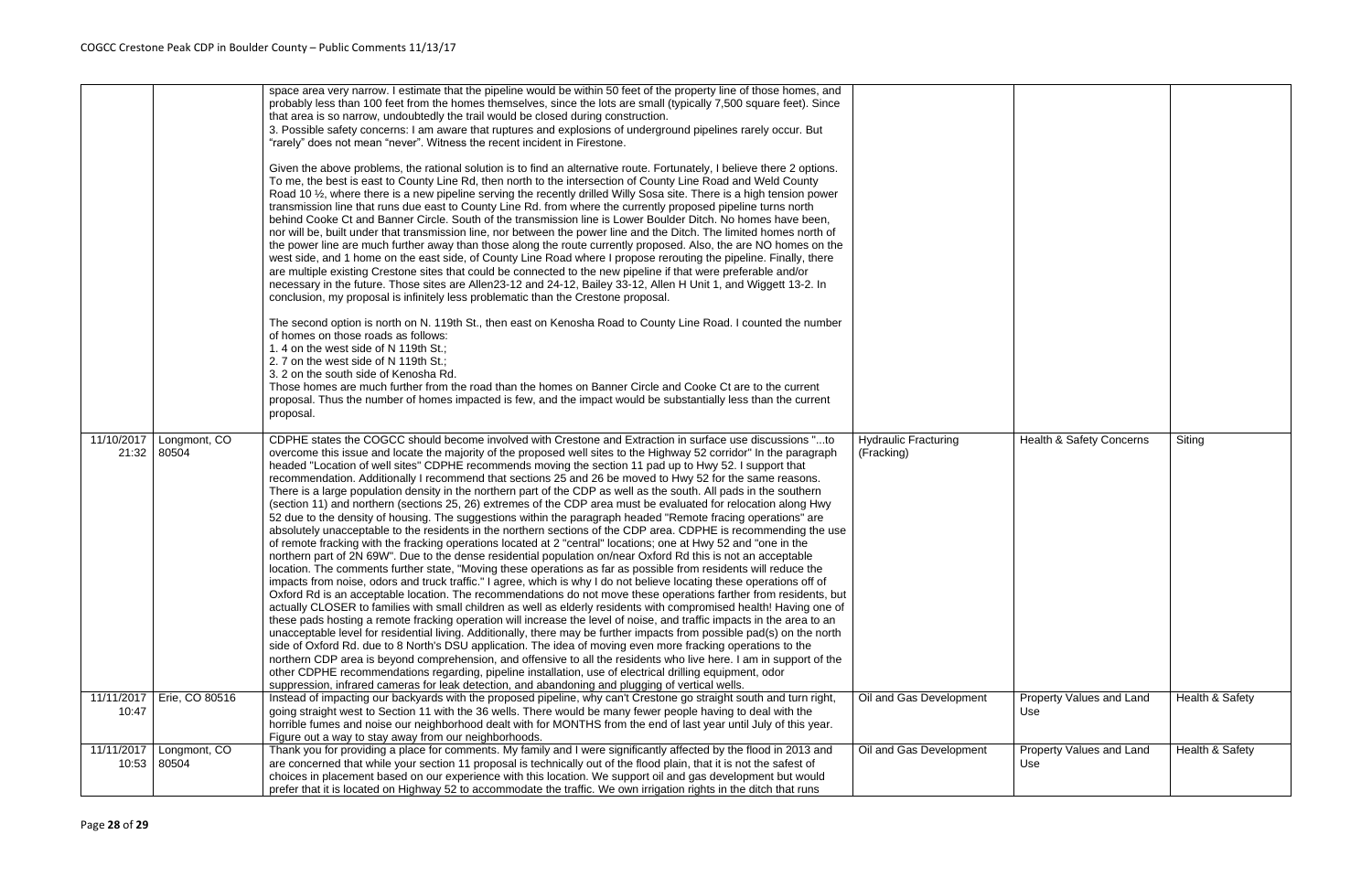|                     |                       | space area very narrow. I estimate that the pipeline would be within 50 feet of the property line of those homes, and                                                                                                                                                                                                                                                                                                                                                                                                                                                                                                                                                                                                                                                                                                                                                                                                                                                                                                                                                                                                                                                                                                                                                                                                                                                                                                                                                                                                                                                                                                                                                                                                                                                                                                                                                                                                                                                                                                                                                                                                                                                                                                                                                                                                                                                           |                                           |
|---------------------|-----------------------|---------------------------------------------------------------------------------------------------------------------------------------------------------------------------------------------------------------------------------------------------------------------------------------------------------------------------------------------------------------------------------------------------------------------------------------------------------------------------------------------------------------------------------------------------------------------------------------------------------------------------------------------------------------------------------------------------------------------------------------------------------------------------------------------------------------------------------------------------------------------------------------------------------------------------------------------------------------------------------------------------------------------------------------------------------------------------------------------------------------------------------------------------------------------------------------------------------------------------------------------------------------------------------------------------------------------------------------------------------------------------------------------------------------------------------------------------------------------------------------------------------------------------------------------------------------------------------------------------------------------------------------------------------------------------------------------------------------------------------------------------------------------------------------------------------------------------------------------------------------------------------------------------------------------------------------------------------------------------------------------------------------------------------------------------------------------------------------------------------------------------------------------------------------------------------------------------------------------------------------------------------------------------------------------------------------------------------------------------------------------------------|-------------------------------------------|
|                     |                       | probably less than 100 feet from the homes themselves, since the lots are small (typically 7,500 square feet). Since<br>that area is so narrow, undoubtedly the trail would be closed during construction.<br>3. Possible safety concerns: I am aware that ruptures and explosions of underground pipelines rarely occur. But                                                                                                                                                                                                                                                                                                                                                                                                                                                                                                                                                                                                                                                                                                                                                                                                                                                                                                                                                                                                                                                                                                                                                                                                                                                                                                                                                                                                                                                                                                                                                                                                                                                                                                                                                                                                                                                                                                                                                                                                                                                   |                                           |
|                     |                       | "rarely" does not mean "never". Witness the recent incident in Firestone.                                                                                                                                                                                                                                                                                                                                                                                                                                                                                                                                                                                                                                                                                                                                                                                                                                                                                                                                                                                                                                                                                                                                                                                                                                                                                                                                                                                                                                                                                                                                                                                                                                                                                                                                                                                                                                                                                                                                                                                                                                                                                                                                                                                                                                                                                                       |                                           |
|                     |                       | Given the above problems, the rational solution is to find an alternative route. Fortunately, I believe there 2 options.<br>To me, the best is east to County Line Rd, then north to the intersection of County Line Road and Weld County<br>Road 10 1/ <sub>2</sub> , where there is a new pipeline serving the recently drilled Willy Sosa site. There is a high tension power<br>transmission line that runs due east to County Line Rd. from where the currently proposed pipeline turns north<br>behind Cooke Ct and Banner Circle. South of the transmission line is Lower Boulder Ditch. No homes have been,<br>nor will be, built under that transmission line, nor between the power line and the Ditch. The limited homes north of<br>the power line are much further away than those along the route currently proposed. Also, the are NO homes on the<br>west side, and 1 home on the east side, of County Line Road where I propose rerouting the pipeline. Finally, there<br>are multiple existing Crestone sites that could be connected to the new pipeline if that were preferable and/or<br>necessary in the future. Those sites are Allen23-12 and 24-12, Bailey 33-12, Allen H Unit 1, and Wiggett 13-2. In<br>conclusion, my proposal is infinitely less problematic than the Crestone proposal.                                                                                                                                                                                                                                                                                                                                                                                                                                                                                                                                                                                                                                                                                                                                                                                                                                                                                                                                                                                                                                                           |                                           |
|                     |                       | The second option is north on N. 119th St., then east on Kenosha Road to County Line Road. I counted the number<br>of homes on those roads as follows:<br>1.4 on the west side of N 119th St.;<br>2.7 on the west side of N 119th St.;                                                                                                                                                                                                                                                                                                                                                                                                                                                                                                                                                                                                                                                                                                                                                                                                                                                                                                                                                                                                                                                                                                                                                                                                                                                                                                                                                                                                                                                                                                                                                                                                                                                                                                                                                                                                                                                                                                                                                                                                                                                                                                                                          |                                           |
|                     |                       | 3. 2 on the south side of Kenosha Rd.<br>Those homes are much further from the road than the homes on Banner Circle and Cooke Ct are to the current<br>proposal. Thus the number of homes impacted is few, and the impact would be substantially less than the current<br>proposal.                                                                                                                                                                                                                                                                                                                                                                                                                                                                                                                                                                                                                                                                                                                                                                                                                                                                                                                                                                                                                                                                                                                                                                                                                                                                                                                                                                                                                                                                                                                                                                                                                                                                                                                                                                                                                                                                                                                                                                                                                                                                                             |                                           |
| 11/10/2017<br>21:32 | Longmont, CO<br>80504 | CDPHE states the COGCC should become involved with Crestone and Extraction in surface use discussions "to<br>overcome this issue and locate the majority of the proposed well sites to the Highway 52 corridor" In the paragraph<br>headed "Location of well sites" CDPHE recommends moving the section 11 pad up to Hwy 52. I support that<br>recommendation. Additionally I recommend that sections 25 and 26 be moved to Hwy 52 for the same reasons.<br>There is a large population density in the northern part of the CDP as well as the south. All pads in the southern<br>(section 11) and northern (sections 25, 26) extremes of the CDP area must be evaluated for relocation along Hwy<br>52 due to the density of housing. The suggestions within the paragraph headed "Remote fracing operations" are<br>absolutely unacceptable to the residents in the northern sections of the CDP area. CDPHE is recommending the use<br>of remote fracking with the fracking operations located at 2 "central" locations; one at Hwy 52 and "one in the<br>northern part of 2N 69W". Due to the dense residential population on/near Oxford Rd this is not an acceptable<br>location. The comments further state, "Moving these operations as far as possible from residents will reduce the<br>impacts from noise, odors and truck traffic." I agree, which is why I do not believe locating these operations off of<br>Oxford Rd is an acceptable location. The recommendations do not move these operations farther from residents, but<br>actually CLOSER to families with small children as well as elderly residents with compromised health! Having one of<br>these pads hosting a remote fracking operation will increase the level of noise, and traffic impacts in the area to an<br>unacceptable level for residential living. Additionally, there may be further impacts from possible pad(s) on the north<br>side of Oxford Rd. due to 8 North's DSU application. The idea of moving even more fracking operations to the<br>northern CDP area is beyond comprehension, and offensive to all the residents who live here. I am in support of the<br>other CDPHE recommendations regarding, pipeline installation, use of electrical drilling equipment, odor<br>suppression, infrared cameras for leak detection, and abandoning and plugging of vertical wells. | <b>Hydraulic Fracturing</b><br>(Fracking) |
| 11/11/2017<br>10:47 | Erie, CO 80516        | Instead of impacting our backyards with the proposed pipeline, why can't Crestone go straight south and turn right,<br>going straight west to Section 11 with the 36 wells. There would be many fewer people having to deal with the<br>horrible fumes and noise our neighborhood dealt with for MONTHS from the end of last year until July of this year.                                                                                                                                                                                                                                                                                                                                                                                                                                                                                                                                                                                                                                                                                                                                                                                                                                                                                                                                                                                                                                                                                                                                                                                                                                                                                                                                                                                                                                                                                                                                                                                                                                                                                                                                                                                                                                                                                                                                                                                                                      | Oil and Gas Development                   |
|                     |                       | Figure out a way to stay away from our neighborhoods.                                                                                                                                                                                                                                                                                                                                                                                                                                                                                                                                                                                                                                                                                                                                                                                                                                                                                                                                                                                                                                                                                                                                                                                                                                                                                                                                                                                                                                                                                                                                                                                                                                                                                                                                                                                                                                                                                                                                                                                                                                                                                                                                                                                                                                                                                                                           |                                           |
| 11/11/2017<br>10:53 | Longmont, CO<br>80504 | Thank you for providing a place for comments. My family and I were significantly affected by the flood in 2013 and<br>are concerned that while your section 11 proposal is technically out of the flood plain, that it is not the safest of<br>choices in placement based on our experience with this location. We support oil and gas development but would                                                                                                                                                                                                                                                                                                                                                                                                                                                                                                                                                                                                                                                                                                                                                                                                                                                                                                                                                                                                                                                                                                                                                                                                                                                                                                                                                                                                                                                                                                                                                                                                                                                                                                                                                                                                                                                                                                                                                                                                                    | Oil and Gas Development                   |
|                     |                       | prefer that it is located on Highway 52 to accommodate the traffic. We own irrigation rights in the ditch that runs                                                                                                                                                                                                                                                                                                                                                                                                                                                                                                                                                                                                                                                                                                                                                                                                                                                                                                                                                                                                                                                                                                                                                                                                                                                                                                                                                                                                                                                                                                                                                                                                                                                                                                                                                                                                                                                                                                                                                                                                                                                                                                                                                                                                                                                             |                                           |

| <b>Hydraulic Fracturing</b><br>(Fracking) | <b>Health &amp; Safety Concerns</b>    | Siting                     |
|-------------------------------------------|----------------------------------------|----------------------------|
| Oil and Gas Development                   | Property Values and Land<br>Use        | <b>Health &amp; Safety</b> |
| Oil and Gas Development                   | <b>Property Values and Land</b><br>Use | Health & Safety            |
|                                           |                                        |                            |